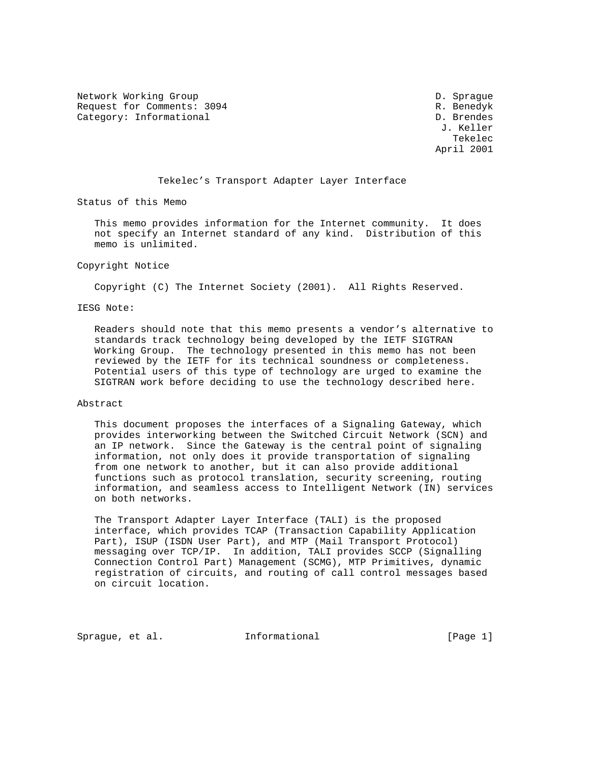Network Working Group D. Sprague D. Sprague Request for Comments: 3094 R. Benedyk Category: Informational D. Brendes

 J. Keller the contract of the contract of the contract of the contract of the contract of the contract of the contract of the contract of the contract of the contract of the contract of the contract of the contract of the contract o April 2001

#### Tekelec's Transport Adapter Layer Interface

Status of this Memo

 This memo provides information for the Internet community. It does not specify an Internet standard of any kind. Distribution of this memo is unlimited.

#### Copyright Notice

Copyright (C) The Internet Society (2001). All Rights Reserved.

#### IESG Note:

 Readers should note that this memo presents a vendor's alternative to standards track technology being developed by the IETF SIGTRAN Working Group. The technology presented in this memo has not been reviewed by the IETF for its technical soundness or completeness. Potential users of this type of technology are urged to examine the SIGTRAN work before deciding to use the technology described here.

#### Abstract

 This document proposes the interfaces of a Signaling Gateway, which provides interworking between the Switched Circuit Network (SCN) and an IP network. Since the Gateway is the central point of signaling information, not only does it provide transportation of signaling from one network to another, but it can also provide additional functions such as protocol translation, security screening, routing information, and seamless access to Intelligent Network (IN) services on both networks.

 The Transport Adapter Layer Interface (TALI) is the proposed interface, which provides TCAP (Transaction Capability Application Part), ISUP (ISDN User Part), and MTP (Mail Transport Protocol) messaging over TCP/IP. In addition, TALI provides SCCP (Signalling Connection Control Part) Management (SCMG), MTP Primitives, dynamic registration of circuits, and routing of call control messages based on circuit location.

Sprague, et al. 10 Informational 10 10 [Page 1]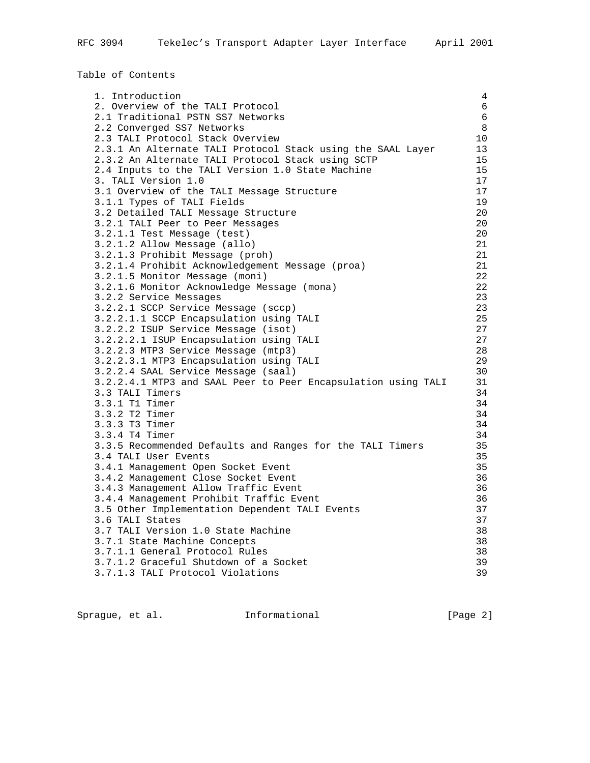Table of Contents

| 1. Introduction                                               | 4               |
|---------------------------------------------------------------|-----------------|
| 2. Overview of the TALI Protocol                              | $6\phantom{.}6$ |
| 2.1 Traditional PSTN SS7 Networks                             | $6\phantom{.}6$ |
| 2.2 Converged SS7 Networks                                    | 8               |
| 2.3 TALI Protocol Stack Overview                              | 10              |
| 2.3.1 An Alternate TALI Protocol Stack using the SAAL Layer   | 13              |
| 2.3.2 An Alternate TALI Protocol Stack using SCTP             | 15              |
| 2.4 Inputs to the TALI Version 1.0 State Machine              | 15              |
| 3. TALI Version 1.0                                           | 17              |
| 3.1 Overview of the TALI Message Structure                    | 17              |
| 3.1.1 Types of TALI Fields                                    | 19              |
| 3.2 Detailed TALI Message Structure                           | 20              |
| 3.2.1 TALI Peer to Peer Messages                              | 20              |
| 3.2.1.1 Test Message (test)                                   | 20              |
| 3.2.1.2 Allow Message (allo)                                  | 21              |
| 3.2.1.3 Prohibit Message (proh)                               | 21              |
| 3.2.1.4 Prohibit Acknowledgement Message (proa)               | 21              |
| 3.2.1.5 Monitor Message (moni)                                | 22              |
| 3.2.1.6 Monitor Acknowledge Message (mona)                    | 22              |
| 3.2.2 Service Messages                                        | 23              |
| 3.2.2.1 SCCP Service Message (sccp)                           | 23              |
| 3.2.2.1.1 SCCP Encapsulation using TALI                       | 25              |
| 3.2.2.2 ISUP Service Message (isot)                           | 27              |
| 3.2.2.2.1 ISUP Encapsulation using TALI                       | 27              |
| 3.2.2.3 MTP3 Service Message (mtp3)                           | 28              |
| 3.2.2.3.1 MTP3 Encapsulation using TALI                       | 29              |
| 3.2.2.4 SAAL Service Message (saal)                           | 30              |
| 3.2.2.4.1 MTP3 and SAAL Peer to Peer Encapsulation using TALI | 31              |
| 3.3 TALI Timers                                               | 34              |
| 3.3.1 T1 Timer                                                | 34              |
| 3.3.2 T2 Timer                                                | 34              |
| 3.3.3 T3 Timer                                                | 34              |
| 3.3.4 T4 Timer                                                | 34              |
| 3.3.5 Recommended Defaults and Ranges for the TALI Timers     | 35              |
| 3.4 TALI User Events                                          | 35              |
| 3.4.1 Management Open Socket Event                            | 35              |
| 3.4.2 Management Close Socket Event                           | 36              |
| 3.4.3 Management Allow Traffic Event                          | 36              |
| 3.4.4 Management Prohibit Traffic Event                       | 36              |
| 3.5 Other Implementation Dependent TALI Events                | 37              |
| 3.6 TALI States                                               | 37              |
| 3.7 TALI Version 1.0 State Machine                            | 38              |
| 3.7.1 State Machine Concepts                                  | 38              |
| 3.7.1.1 General Protocol Rules                                | 38              |
| 3.7.1.2 Graceful Shutdown of a Socket                         | 39              |
| 3.7.1.3 TALI Protocol Violations                              | 39              |
|                                                               |                 |

Sprague, et al. 1nformational 1999 [Page 2]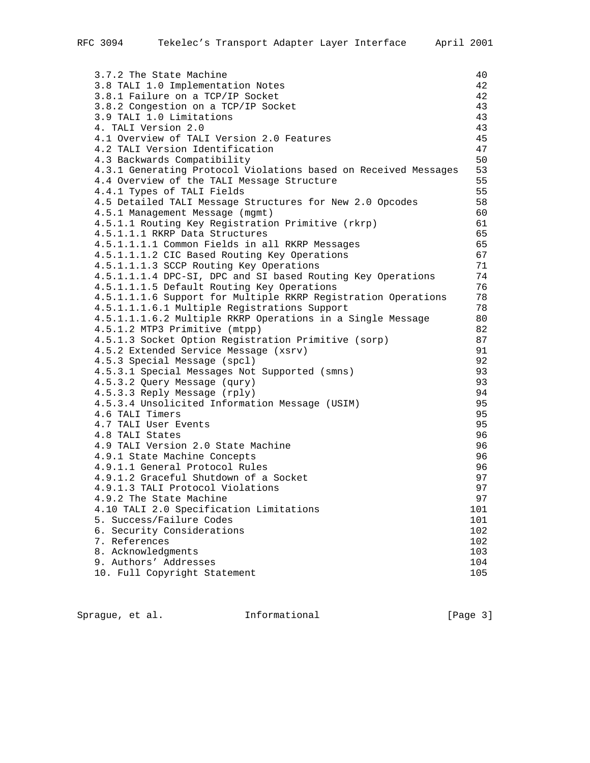| 3.7.2 The State Machine                                                                                       | 40       |
|---------------------------------------------------------------------------------------------------------------|----------|
| 3.8 TALI 1.0 Implementation Notes                                                                             | 42       |
| 3.8.1 Failure on a TCP/IP Socket                                                                              | 42       |
| 3.8.2 Congestion on a TCP/IP Socket                                                                           | 43       |
| 3.9 TALI 1.0 Limitations                                                                                      | 43       |
| 4. TALI Version 2.0                                                                                           | 43       |
| 4.1 Overview of TALI Version 2.0 Features                                                                     | 45       |
| 4.2 TALI Version Identification                                                                               | 47       |
| 4.3 Backwards Compatibility                                                                                   | 50       |
| 4.3.1 Generating Protocol Violations based on Received Messages                                               | 53       |
| 4.4 Overview of the TALI Message Structure                                                                    | 55       |
| 4.4.1 Types of TALI Fields                                                                                    | 55       |
| 4.5 Detailed TALI Message Structures for New 2.0 Opcodes                                                      | 58       |
| 4.5.1 Management Message (mgmt)                                                                               | 60       |
| 4.5.1.1 Routing Key Registration Primitive (rkrp)                                                             | 61       |
| 4.5.1.1.1 RKRP Data Structures                                                                                | 65       |
| 4.5.1.1.1.1 Common Fields in all RKRP Messages                                                                | 65       |
| 4.5.1.1.1.2 CIC Based Routing Key Operations                                                                  | 67       |
| 4.5.1.1.1.3 SCCP Routing Key Operations                                                                       | 71       |
| 4.5.1.1.1.4 DPC-SI, DPC and SI based Routing Key Operations                                                   | 74       |
| 4.5.1.1.1.5 Default Routing Key Operations                                                                    | 76       |
| 4.5.1.1.1.6 Support for Multiple RKRP Registration Operations<br>4.5.1.1.1.6.1 Multiple Registrations Support | 78<br>78 |
| 4.5.1.1.1.6.2 Multiple RKRP Operations in a Single Message                                                    | 80       |
| 4.5.1.2 MTP3 Primitive (mtpp)                                                                                 | 82       |
| 4.5.1.3 Socket Option Registration Primitive (sorp)                                                           | 87       |
| 4.5.2 Extended Service Message (xsrv)                                                                         | 91       |
| 4.5.3 Special Message (spcl)                                                                                  | 92       |
| 4.5.3.1 Special Messages Not Supported (smns)                                                                 | 93       |
| 4.5.3.2 Query Message (qury)                                                                                  | 93       |
| 4.5.3.3 Reply Message (rply)                                                                                  | 94       |
| 4.5.3.4 Unsolicited Information Message (USIM)                                                                | 95       |
| 4.6 TALI Timers                                                                                               | 95       |
| 4.7 TALI User Events                                                                                          | 95       |
| 4.8 TALI States                                                                                               | 96       |
| 4.9 TALI Version 2.0 State Machine                                                                            | 96       |
| 4.9.1 State Machine Concepts                                                                                  | 96       |
| 4.9.1.1 General Protocol Rules                                                                                | 96       |
| 4.9.1.2 Graceful Shutdown of a Socket                                                                         | 97       |
| 4.9.1.3 TALI Protocol Violations                                                                              | 97       |
| 4.9.2 The State Machine                                                                                       | 97       |
| 4.10 TALI 2.0 Specification Limitations                                                                       | 101      |
| 5. Success/Failure Codes                                                                                      | 101      |
| 6. Security Considerations                                                                                    | 102      |
| 7. References                                                                                                 | 102      |
| 8. Acknowledgments                                                                                            | 103      |
| 9. Authors' Addresses                                                                                         | 104      |
| 10. Full Copyright Statement                                                                                  | 105      |

Sprague, et al. 1nformational 1999 [Page 3]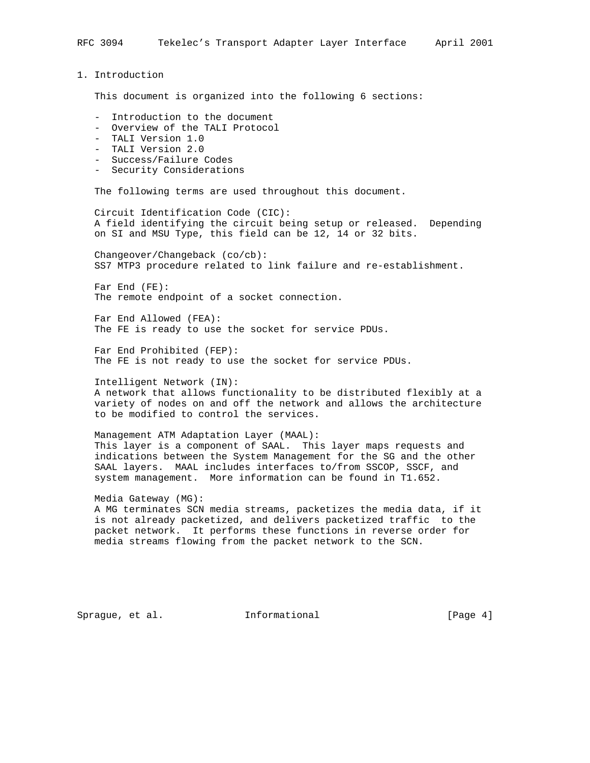RFC 3094 Tekelec's Transport Adapter Layer Interface April 2001 1. Introduction This document is organized into the following 6 sections: - Introduction to the document - Overview of the TALI Protocol - TALI Version 1.0 - TALI Version 2.0 - Success/Failure Codes - Security Considerations The following terms are used throughout this document. Circuit Identification Code (CIC): A field identifying the circuit being setup or released. Depending on SI and MSU Type, this field can be 12, 14 or 32 bits. Changeover/Changeback (co/cb): SS7 MTP3 procedure related to link failure and re-establishment. Far End (FE): The remote endpoint of a socket connection.

 Far End Allowed (FEA): The FE is ready to use the socket for service PDUs.

 Far End Prohibited (FEP): The FE is not ready to use the socket for service PDUs.

 Intelligent Network (IN): A network that allows functionality to be distributed flexibly at a variety of nodes on and off the network and allows the architecture to be modified to control the services.

 Management ATM Adaptation Layer (MAAL): This layer is a component of SAAL. This layer maps requests and indications between the System Management for the SG and the other SAAL layers. MAAL includes interfaces to/from SSCOP, SSCF, and system management. More information can be found in T1.652.

 Media Gateway (MG): A MG terminates SCN media streams, packetizes the media data, if it is not already packetized, and delivers packetized traffic to the packet network. It performs these functions in reverse order for media streams flowing from the packet network to the SCN.

Sprague, et al. **Informational** [Page 4]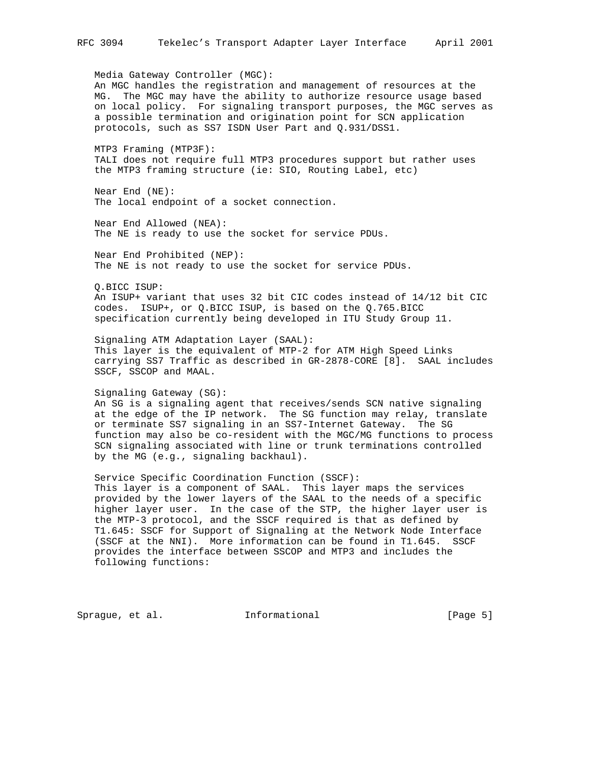Media Gateway Controller (MGC): An MGC handles the registration and management of resources at the MG. The MGC may have the ability to authorize resource usage based on local policy. For signaling transport purposes, the MGC serves as a possible termination and origination point for SCN application protocols, such as SS7 ISDN User Part and Q.931/DSS1.

 MTP3 Framing (MTP3F): TALI does not require full MTP3 procedures support but rather uses the MTP3 framing structure (ie: SIO, Routing Label, etc)

 Near End (NE): The local endpoint of a socket connection.

 Near End Allowed (NEA): The NE is ready to use the socket for service PDUs.

 Near End Prohibited (NEP): The NE is not ready to use the socket for service PDUs.

Q.BICC ISUP:

 An ISUP+ variant that uses 32 bit CIC codes instead of 14/12 bit CIC codes. ISUP+, or Q.BICC ISUP, is based on the Q.765.BICC specification currently being developed in ITU Study Group 11.

 Signaling ATM Adaptation Layer (SAAL): This layer is the equivalent of MTP-2 for ATM High Speed Links carrying SS7 Traffic as described in GR-2878-CORE [8]. SAAL includes SSCF, SSCOP and MAAL.

Signaling Gateway (SG):

 An SG is a signaling agent that receives/sends SCN native signaling at the edge of the IP network. The SG function may relay, translate or terminate SS7 signaling in an SS7-Internet Gateway. The SG function may also be co-resident with the MGC/MG functions to process SCN signaling associated with line or trunk terminations controlled by the MG (e.g., signaling backhaul).

 Service Specific Coordination Function (SSCF): This layer is a component of SAAL. This layer maps the services provided by the lower layers of the SAAL to the needs of a specific higher layer user. In the case of the STP, the higher layer user is the MTP-3 protocol, and the SSCF required is that as defined by T1.645: SSCF for Support of Signaling at the Network Node Interface (SSCF at the NNI). More information can be found in T1.645. SSCF provides the interface between SSCOP and MTP3 and includes the following functions:

Sprague, et al. **Informational** [Page 5]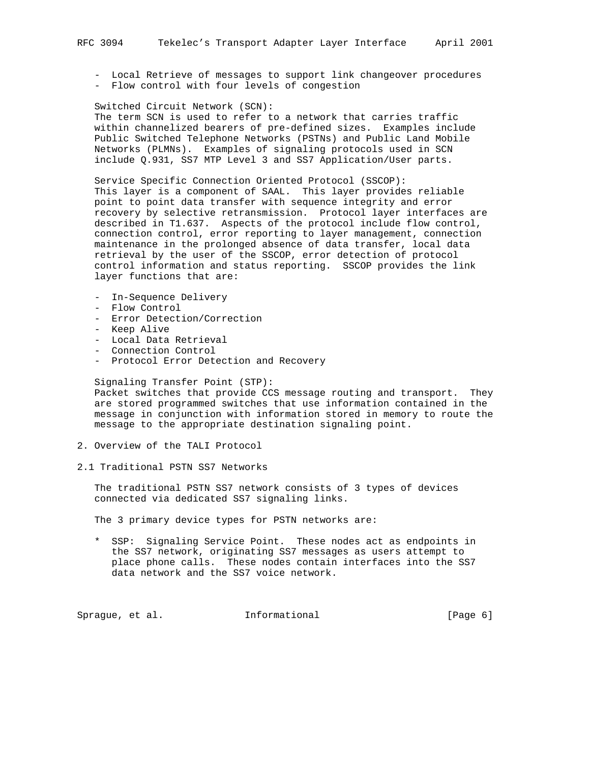- Local Retrieve of messages to support link changeover procedures - Flow control with four levels of congestion

 Switched Circuit Network (SCN): The term SCN is used to refer to a network that carries traffic within channelized bearers of pre-defined sizes. Examples include Public Switched Telephone Networks (PSTNs) and Public Land Mobile Networks (PLMNs). Examples of signaling protocols used in SCN include Q.931, SS7 MTP Level 3 and SS7 Application/User parts.

 Service Specific Connection Oriented Protocol (SSCOP): This layer is a component of SAAL. This layer provides reliable point to point data transfer with sequence integrity and error recovery by selective retransmission. Protocol layer interfaces are described in T1.637. Aspects of the protocol include flow control, connection control, error reporting to layer management, connection maintenance in the prolonged absence of data transfer, local data retrieval by the user of the SSCOP, error detection of protocol control information and status reporting. SSCOP provides the link layer functions that are:

- In-Sequence Delivery
- Flow Control
- Error Detection/Correction
- Keep Alive
- Local Data Retrieval
- Connection Control
- Protocol Error Detection and Recovery

## Signaling Transfer Point (STP):

 Packet switches that provide CCS message routing and transport. They are stored programmed switches that use information contained in the message in conjunction with information stored in memory to route the message to the appropriate destination signaling point.

- 2. Overview of the TALI Protocol
- 2.1 Traditional PSTN SS7 Networks

 The traditional PSTN SS7 network consists of 3 types of devices connected via dedicated SS7 signaling links.

The 3 primary device types for PSTN networks are:

 \* SSP: Signaling Service Point. These nodes act as endpoints in the SS7 network, originating SS7 messages as users attempt to place phone calls. These nodes contain interfaces into the SS7 data network and the SS7 voice network.

Sprague, et al. 1nformational 1999 [Page 6]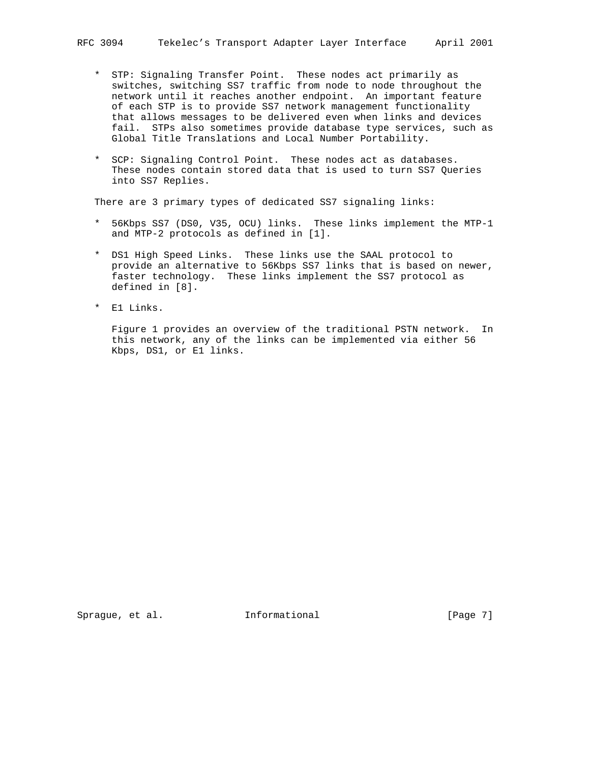- \* STP: Signaling Transfer Point. These nodes act primarily as switches, switching SS7 traffic from node to node throughout the network until it reaches another endpoint. An important feature of each STP is to provide SS7 network management functionality that allows messages to be delivered even when links and devices fail. STPs also sometimes provide database type services, such as Global Title Translations and Local Number Portability.
- \* SCP: Signaling Control Point. These nodes act as databases. These nodes contain stored data that is used to turn SS7 Queries into SS7 Replies.

There are 3 primary types of dedicated SS7 signaling links:

- \* 56Kbps SS7 (DS0, V35, OCU) links. These links implement the MTP-1 and MTP-2 protocols as defined in [1].
- \* DS1 High Speed Links. These links use the SAAL protocol to provide an alternative to 56Kbps SS7 links that is based on newer, faster technology. These links implement the SS7 protocol as defined in [8].
- \* E1 Links.

 Figure 1 provides an overview of the traditional PSTN network. In this network, any of the links can be implemented via either 56 Kbps, DS1, or E1 links.

Sprague, et al. **Informational** [Page 7]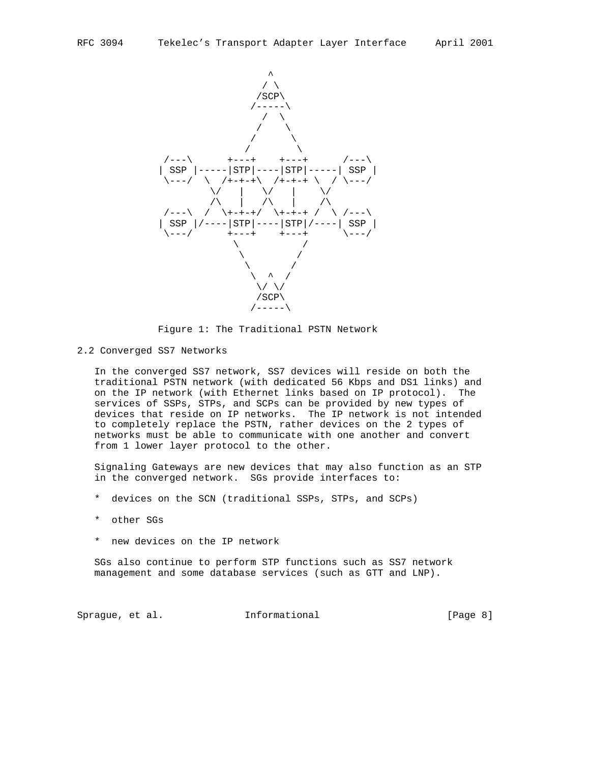

Figure 1: The Traditional PSTN Network

2.2 Converged SS7 Networks

 In the converged SS7 network, SS7 devices will reside on both the traditional PSTN network (with dedicated 56 Kbps and DS1 links) and on the IP network (with Ethernet links based on IP protocol). The services of SSPs, STPs, and SCPs can be provided by new types of devices that reside on IP networks. The IP network is not intended to completely replace the PSTN, rather devices on the 2 types of networks must be able to communicate with one another and convert from 1 lower layer protocol to the other.

 Signaling Gateways are new devices that may also function as an STP in the converged network. SGs provide interfaces to:

- \* devices on the SCN (traditional SSPs, STPs, and SCPs)
- \* other SGs
- \* new devices on the IP network

 SGs also continue to perform STP functions such as SS7 network management and some database services (such as GTT and LNP).

Sprague, et al. **Informational** [Page 8]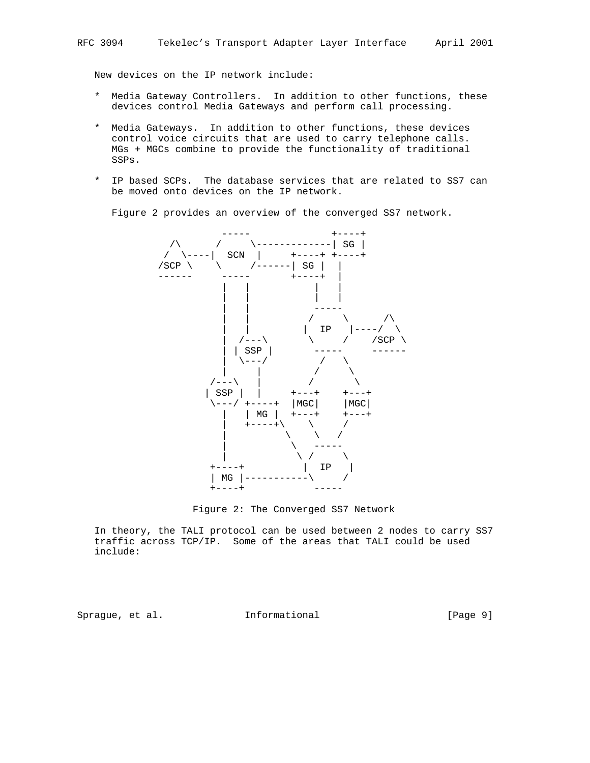New devices on the IP network include:

- \* Media Gateway Controllers. In addition to other functions, these devices control Media Gateways and perform call processing.
- \* Media Gateways. In addition to other functions, these devices control voice circuits that are used to carry telephone calls. MGs + MGCs combine to provide the functionality of traditional SSPs.
- \* IP based SCPs. The database services that are related to SS7 can be moved onto devices on the IP network.

Figure 2 provides an overview of the converged SS7 network.



Figure 2: The Converged SS7 Network

 In theory, the TALI protocol can be used between 2 nodes to carry SS7 traffic across TCP/IP. Some of the areas that TALI could be used include:

Sprague, et al. **Informational** [Page 9]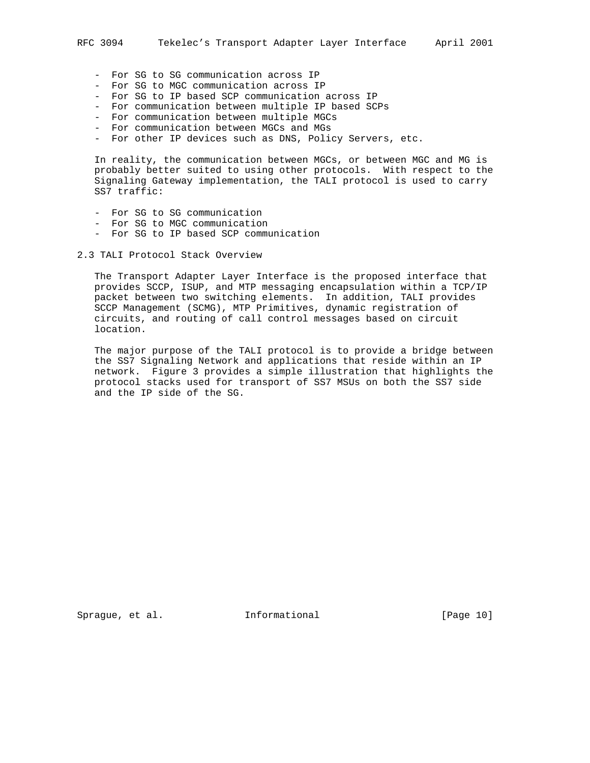- For SG to SG communication across IP
- For SG to MGC communication across IP
- For SG to IP based SCP communication across IP
- For communication between multiple IP based SCPs
- For communication between multiple MGCs
- For communication between MGCs and MGs
- For other IP devices such as DNS, Policy Servers, etc.

 In reality, the communication between MGCs, or between MGC and MG is probably better suited to using other protocols. With respect to the Signaling Gateway implementation, the TALI protocol is used to carry SS7 traffic:

- For SG to SG communication
- For SG to MGC communication
- For SG to IP based SCP communication

2.3 TALI Protocol Stack Overview

 The Transport Adapter Layer Interface is the proposed interface that provides SCCP, ISUP, and MTP messaging encapsulation within a TCP/IP packet between two switching elements. In addition, TALI provides SCCP Management (SCMG), MTP Primitives, dynamic registration of circuits, and routing of call control messages based on circuit location.

 The major purpose of the TALI protocol is to provide a bridge between the SS7 Signaling Network and applications that reside within an IP network. Figure 3 provides a simple illustration that highlights the protocol stacks used for transport of SS7 MSUs on both the SS7 side and the IP side of the SG.

Sprague, et al. **Informational** [Page 10]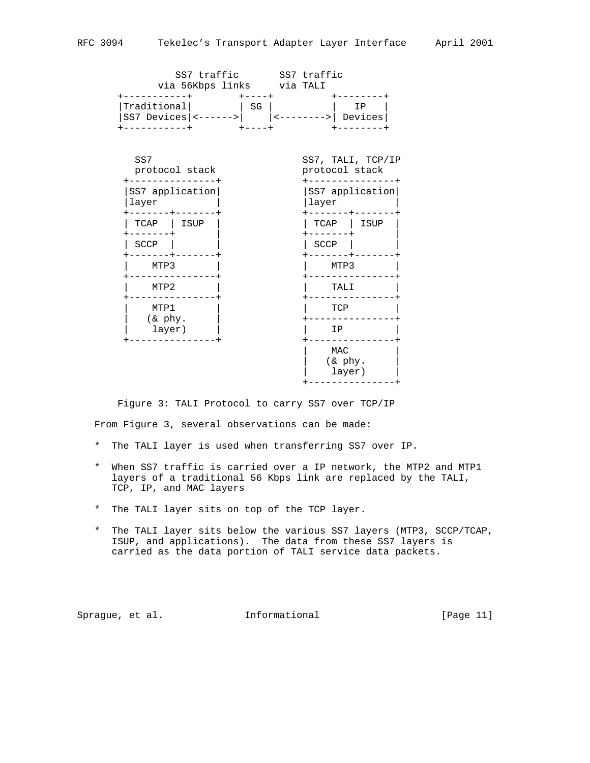|                                             |                 | SS7 traffic SS7 traffic<br>via 56Kbps links via TALI |       |                                     |
|---------------------------------------------|-----------------|------------------------------------------------------|-------|-------------------------------------|
| Traditional<br>SS7 Devices $ $ <------> $ $ |                 | SG<br>$+ - - - - +$                                  |       | IP<br>------>  Devices              |
| SS7                                         | protocol stack  |                                                      |       | SS7, TALI, TCP/IP<br>protocol stack |
| layer                                       | SS7 application |                                                      | layer | SS7 application                     |
| TCAP                                        | ISUP            |                                                      |       | TCAP   ISUP                         |
| SCCP                                        |                 |                                                      | SCCP  |                                     |
| MTP3                                        |                 |                                                      |       | MTP3                                |
| MTP2                                        |                 |                                                      |       | TALI                                |
| MTP1                                        |                 |                                                      |       | TCP                                 |
| (& phy.<br>layer)                           |                 |                                                      |       | IP                                  |
|                                             |                 |                                                      |       | MAC<br>(& phy.<br>layer)            |

Figure 3: TALI Protocol to carry SS7 over TCP/IP

From Figure 3, several observations can be made:

- \* The TALI layer is used when transferring SS7 over IP.
- \* When SS7 traffic is carried over a IP network, the MTP2 and MTP1 layers of a traditional 56 Kbps link are replaced by the TALI, TCP, IP, and MAC layers
- \* The TALI layer sits on top of the TCP layer.
- \* The TALI layer sits below the various SS7 layers (MTP3, SCCP/TCAP, ISUP, and applications). The data from these SS7 layers is carried as the data portion of TALI service data packets.

Sprague, et al. Informational [Page 11]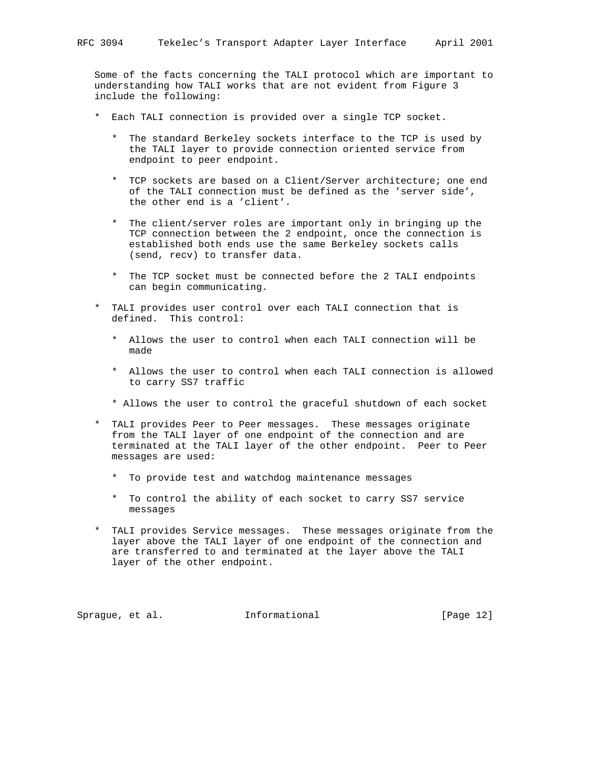Some of the facts concerning the TALI protocol which are important to understanding how TALI works that are not evident from Figure 3 include the following:

- \* Each TALI connection is provided over a single TCP socket.
	- \* The standard Berkeley sockets interface to the TCP is used by the TALI layer to provide connection oriented service from endpoint to peer endpoint.
	- \* TCP sockets are based on a Client/Server architecture; one end of the TALI connection must be defined as the 'server side', the other end is a 'client'.
	- \* The client/server roles are important only in bringing up the TCP connection between the 2 endpoint, once the connection is established both ends use the same Berkeley sockets calls (send, recv) to transfer data.
	- \* The TCP socket must be connected before the 2 TALI endpoints can begin communicating.
- \* TALI provides user control over each TALI connection that is defined. This control:
	- \* Allows the user to control when each TALI connection will be made
	- \* Allows the user to control when each TALI connection is allowed to carry SS7 traffic
	- \* Allows the user to control the graceful shutdown of each socket
- \* TALI provides Peer to Peer messages. These messages originate from the TALI layer of one endpoint of the connection and are terminated at the TALI layer of the other endpoint. Peer to Peer messages are used:
	- \* To provide test and watchdog maintenance messages
	- \* To control the ability of each socket to carry SS7 service messages
- \* TALI provides Service messages. These messages originate from the layer above the TALI layer of one endpoint of the connection and are transferred to and terminated at the layer above the TALI layer of the other endpoint.

Sprague, et al. **Informational** [Page 12]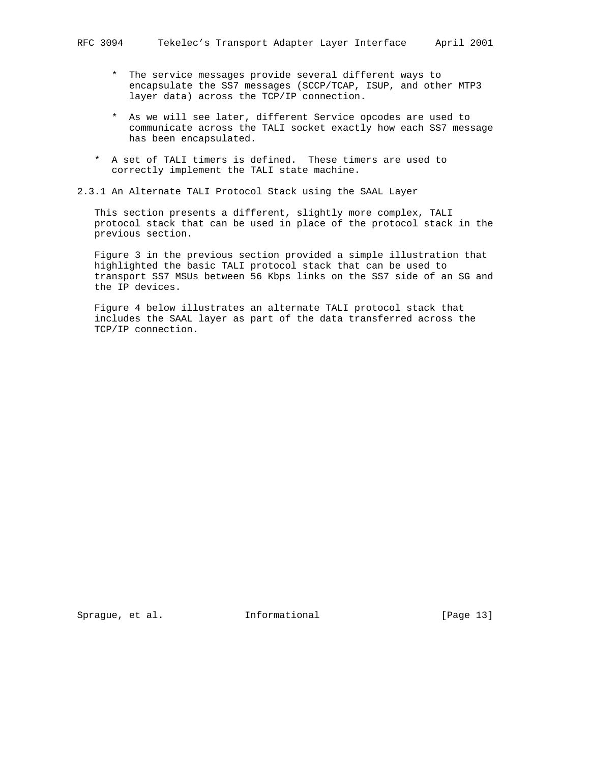- \* The service messages provide several different ways to encapsulate the SS7 messages (SCCP/TCAP, ISUP, and other MTP3 layer data) across the TCP/IP connection.
- \* As we will see later, different Service opcodes are used to communicate across the TALI socket exactly how each SS7 message has been encapsulated.
- \* A set of TALI timers is defined. These timers are used to correctly implement the TALI state machine.

# 2.3.1 An Alternate TALI Protocol Stack using the SAAL Layer

 This section presents a different, slightly more complex, TALI protocol stack that can be used in place of the protocol stack in the previous section.

 Figure 3 in the previous section provided a simple illustration that highlighted the basic TALI protocol stack that can be used to transport SS7 MSUs between 56 Kbps links on the SS7 side of an SG and the IP devices.

 Figure 4 below illustrates an alternate TALI protocol stack that includes the SAAL layer as part of the data transferred across the TCP/IP connection.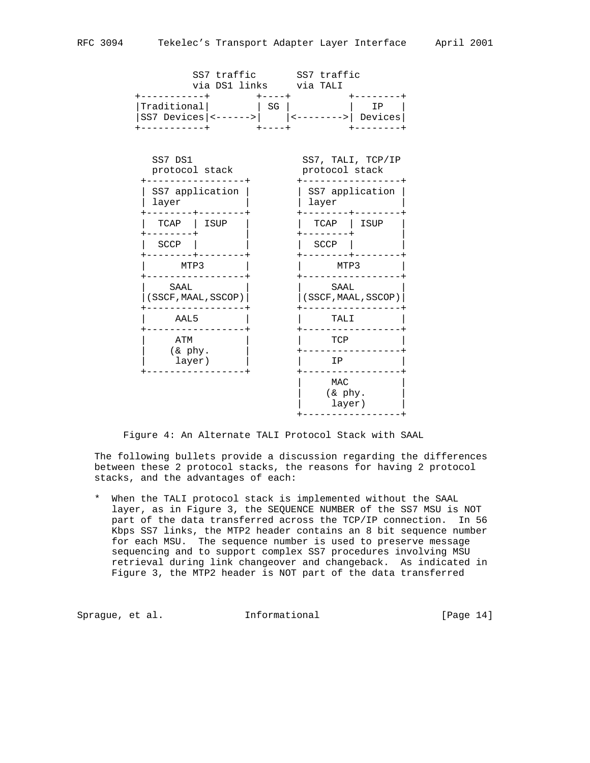|                                         | via DS1 links via TALI |                   | SS7 traffic SS7 traffic    |                        |
|-----------------------------------------|------------------------|-------------------|----------------------------|------------------------|
| Traditional<br>SS7 Devices $ $ <------> |                        | $+ - - - +$<br>SG |                            | IP<br>------>  Devices |
| SS7 DS1<br>protocol stack               |                        |                   | protocol stack             | SS7, TALI, TCP/IP      |
| layer                                   | SS7 application        |                   | layer                      | SS7 application        |
| TCAP                                    | ISUP                   |                   | TCAP                       | ISUP                   |
| SCCP                                    |                        |                   | SCCP                       |                        |
| MTP3                                    |                        |                   | MTP3                       |                        |
| SAAL                                    | (SSCF, MAAL, SSCOP)    |                   | SAAL                       | (SSCF, MAAL, SSCOP)    |
|                                         | AAL5                   |                   |                            | TALI                   |
| ATM                                     | $(x phy)$ .<br>layer)  |                   | TCP                        |                        |
|                                         |                        |                   | ΙP                         |                        |
|                                         |                        |                   | MAC<br>$(x$ phy.<br>layer) |                        |

+-----------------+

Figure 4: An Alternate TALI Protocol Stack with SAAL

 The following bullets provide a discussion regarding the differences between these 2 protocol stacks, the reasons for having 2 protocol stacks, and the advantages of each:

 \* When the TALI protocol stack is implemented without the SAAL layer, as in Figure 3, the SEQUENCE NUMBER of the SS7 MSU is NOT part of the data transferred across the TCP/IP connection. In 56 Kbps SS7 links, the MTP2 header contains an 8 bit sequence number for each MSU. The sequence number is used to preserve message sequencing and to support complex SS7 procedures involving MSU retrieval during link changeover and changeback. As indicated in Figure 3, the MTP2 header is NOT part of the data transferred

Sprague, et al. **Informational** [Page 14]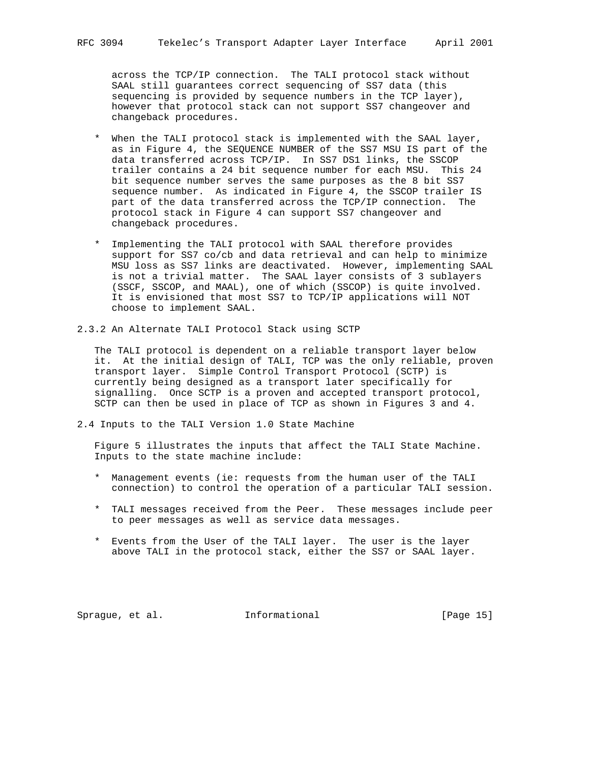across the TCP/IP connection. The TALI protocol stack without SAAL still guarantees correct sequencing of SS7 data (this sequencing is provided by sequence numbers in the TCP layer), however that protocol stack can not support SS7 changeover and changeback procedures.

- \* When the TALI protocol stack is implemented with the SAAL layer, as in Figure 4, the SEQUENCE NUMBER of the SS7 MSU IS part of the data transferred across TCP/IP. In SS7 DS1 links, the SSCOP trailer contains a 24 bit sequence number for each MSU. This 24 bit sequence number serves the same purposes as the 8 bit SS7 sequence number. As indicated in Figure 4, the SSCOP trailer IS part of the data transferred across the TCP/IP connection. The protocol stack in Figure 4 can support SS7 changeover and changeback procedures.
- \* Implementing the TALI protocol with SAAL therefore provides support for SS7 co/cb and data retrieval and can help to minimize MSU loss as SS7 links are deactivated. However, implementing SAAL is not a trivial matter. The SAAL layer consists of 3 sublayers (SSCF, SSCOP, and MAAL), one of which (SSCOP) is quite involved. It is envisioned that most SS7 to TCP/IP applications will NOT choose to implement SAAL.
- 2.3.2 An Alternate TALI Protocol Stack using SCTP

 The TALI protocol is dependent on a reliable transport layer below it. At the initial design of TALI, TCP was the only reliable, proven transport layer. Simple Control Transport Protocol (SCTP) is currently being designed as a transport later specifically for signalling. Once SCTP is a proven and accepted transport protocol, SCTP can then be used in place of TCP as shown in Figures 3 and 4.

2.4 Inputs to the TALI Version 1.0 State Machine

 Figure 5 illustrates the inputs that affect the TALI State Machine. Inputs to the state machine include:

- \* Management events (ie: requests from the human user of the TALI connection) to control the operation of a particular TALI session.
- \* TALI messages received from the Peer. These messages include peer to peer messages as well as service data messages.
- \* Events from the User of the TALI layer. The user is the layer above TALI in the protocol stack, either the SS7 or SAAL layer.

Sprague, et al. **Informational** [Page 15]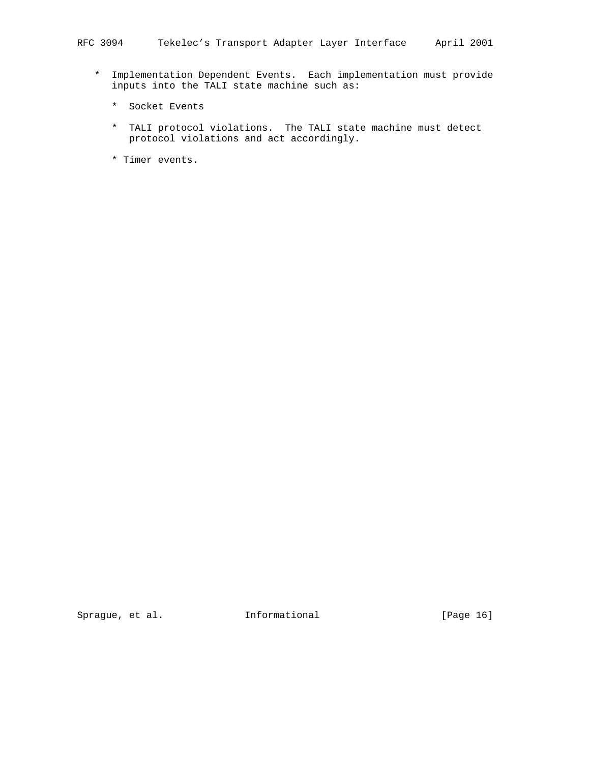- \* Implementation Dependent Events. Each implementation must provide inputs into the TALI state machine such as:
	- \* Socket Events
	- \* TALI protocol violations. The TALI state machine must detect protocol violations and act accordingly.
	- \* Timer events.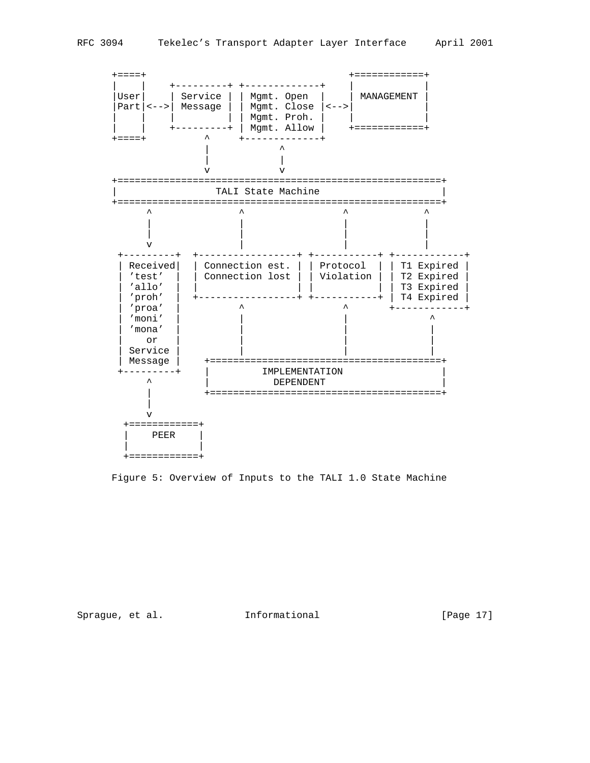

Figure 5: Overview of Inputs to the TALI 1.0 State Machine

Sprague, et al. 1nformational [Page 17]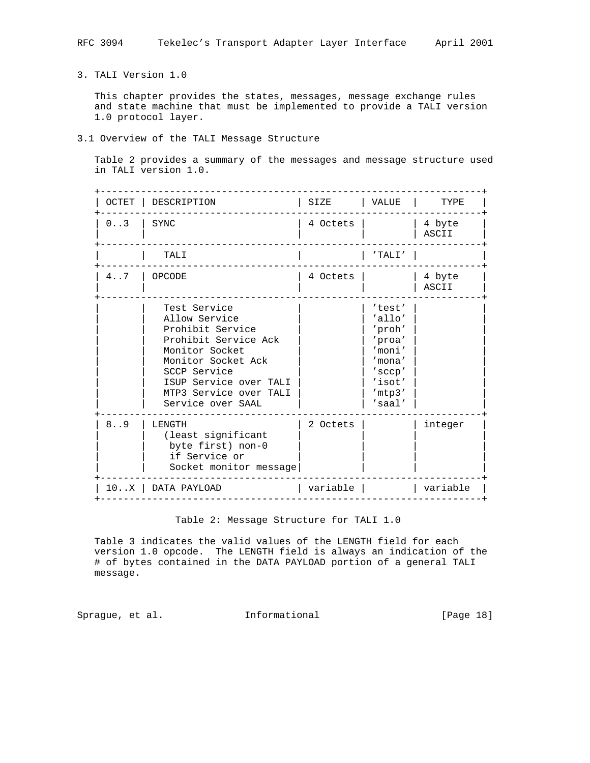3. TALI Version 1.0

 This chapter provides the states, messages, message exchange rules and state machine that must be implemented to provide a TALI version 1.0 protocol layer.

# 3.1 Overview of the TALI Message Structure

 Table 2 provides a summary of the messages and message structure used in TALI version 1.0.

| OCTET | DESCRIPTION                                                                                                                                                                                                | SIZE     | VALUE                                                                                                  | TYPE            |
|-------|------------------------------------------------------------------------------------------------------------------------------------------------------------------------------------------------------------|----------|--------------------------------------------------------------------------------------------------------|-----------------|
| 0.3   | <b>SYNC</b>                                                                                                                                                                                                | 4 Octets |                                                                                                        | 4 byte<br>ASCII |
|       | TALI                                                                                                                                                                                                       |          | 'TALI'                                                                                                 |                 |
| 4.7   | OPCODE                                                                                                                                                                                                     | 4 Octets |                                                                                                        | 4 byte<br>ASCII |
|       | Test Service<br>Allow Service<br>Prohibit Service<br>Prohibit Service Ack<br>Monitor Socket<br>Monitor Socket Ack<br>SCCP Service<br>ISUP Service over TALI<br>MTP3 Service over TALI<br>Service over SAAL |          | 'test'<br>'allo'<br>'proh'<br>'proa'<br>'moni'<br>'mona'<br>'sccp'<br>'isot'<br>'mtp3'<br>$'s$ aal $'$ |                 |
| 8.9   | LENGTH<br>(least significant<br>byte first) non-0<br>if Service or<br>Socket monitor message                                                                                                               | 2 Octets |                                                                                                        | integer         |
|       | 10X   DATA PAYLOAD                                                                                                                                                                                         | variable |                                                                                                        | variable        |

Table 2: Message Structure for TALI 1.0

 Table 3 indicates the valid values of the LENGTH field for each version 1.0 opcode. The LENGTH field is always an indication of the # of bytes contained in the DATA PAYLOAD portion of a general TALI message.

Sprague, et al. 1nformational [Page 18]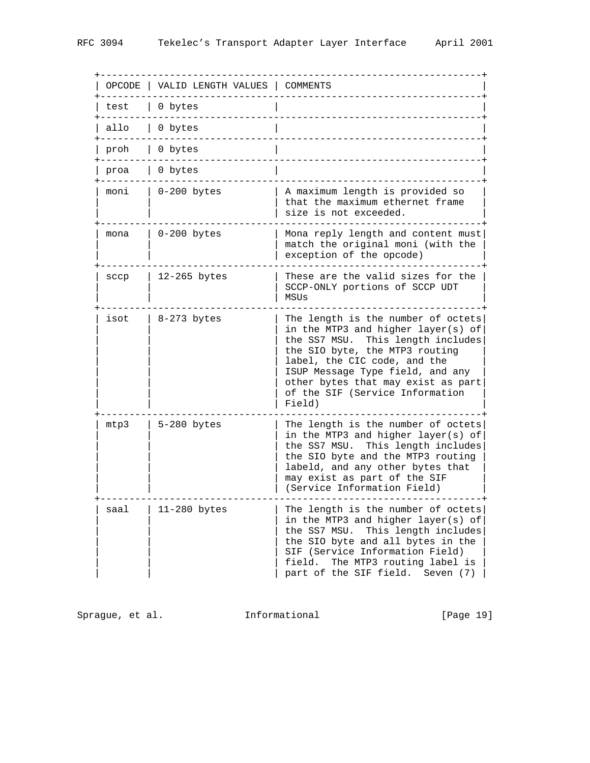| OPCODE | VALID LENGTH VALUES | COMMENTS                                                                                                                                                                                                                                                                                                  |
|--------|---------------------|-----------------------------------------------------------------------------------------------------------------------------------------------------------------------------------------------------------------------------------------------------------------------------------------------------------|
| test   | 0 bytes             |                                                                                                                                                                                                                                                                                                           |
| allo   | 0 bytes             |                                                                                                                                                                                                                                                                                                           |
| proh   | 0 bytes             |                                                                                                                                                                                                                                                                                                           |
| proa   | 0 bytes             |                                                                                                                                                                                                                                                                                                           |
| moni   | $0-200$ bytes       | A maximum length is provided so<br>that the maximum ethernet frame<br>size is not exceeded.                                                                                                                                                                                                               |
| mona   | 0-200 bytes         | Mona reply length and content must<br>match the original moni (with the<br>exception of the opcode)                                                                                                                                                                                                       |
| sccp   | $12 - 265$ bytes    | These are the valid sizes for the<br>SCCP-ONLY portions of SCCP UDT<br>MSUs                                                                                                                                                                                                                               |
| isot   | 8-273 bytes         | The length is the number of octets<br>in the MTP3 and higher layer(s) of<br>This length includes<br>the SS7 MSU.<br>the SIO byte, the MTP3 routing<br>label, the CIC code, and the<br>ISUP Message Type field, and any<br>other bytes that may exist as part<br>of the SIF (Service Information<br>Field) |
| mtp3   | 5-280 bytes         | The length is the number of octets<br>in the MTP3 and higher layer(s) of<br>the SS7 MSU. This length includes<br>the SIO byte and the MTP3 routing<br>labeld, and any other bytes that<br>may exist as part of the SIF<br>(Service Information Field)                                                     |
| saal   | 11-280 bytes        | The length is the number of octets<br>in the MTP3 and higher layer(s) of<br>the SS7 MSU.<br>This length includes<br>the SIO byte and all bytes in the<br>SIF (Service Information Field)<br>The MTP3 routing label is<br>field.<br>part of the SIF field.<br>Seven (7)                                    |

Sprague, et al. 1nformational 1917 [Page 19]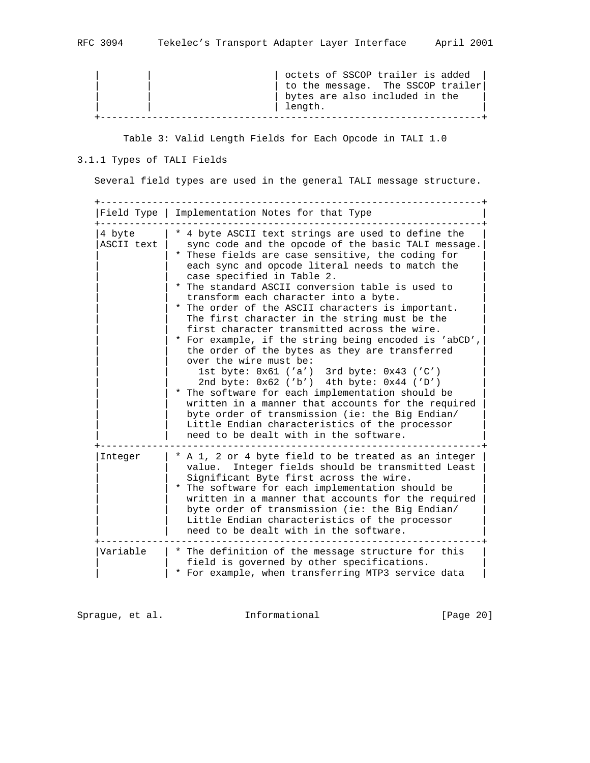| octets of SSCOP trailer is added  |  |
|-----------------------------------|--|
| to the message. The SSCOP trailer |  |
| bytes are also included in the    |  |
| length.                           |  |
|                                   |  |

Table 3: Valid Length Fields for Each Opcode in TALI 1.0

# 3.1.1 Types of TALI Fields

Several field types are used in the general TALI message structure.

|                      | Field Type   Implementation Notes for that Type                                                                                                                                                                                                                                                                                                                                                                                                                                                                                                                                                                                                                                                                                                                                                                                                                                                                                                                                                |
|----------------------|------------------------------------------------------------------------------------------------------------------------------------------------------------------------------------------------------------------------------------------------------------------------------------------------------------------------------------------------------------------------------------------------------------------------------------------------------------------------------------------------------------------------------------------------------------------------------------------------------------------------------------------------------------------------------------------------------------------------------------------------------------------------------------------------------------------------------------------------------------------------------------------------------------------------------------------------------------------------------------------------|
| 4 byte<br>ASCII text | * 4 byte ASCII text strings are used to define the<br>sync code and the opcode of the basic TALI message.<br>* These fields are case sensitive, the coding for<br>each sync and opcode literal needs to match the<br>case specified in Table 2.<br>* The standard ASCII conversion table is used to<br>transform each character into a byte.<br>* The order of the ASCII characters is important.<br>The first character in the string must be the<br>first character transmitted across the wire.<br>* For example, if the string being encoded is 'abCD',<br>the order of the bytes as they are transferred<br>over the wire must be:<br>1st byte: $0x61$ ('a') 3rd byte: $0x43$ ('C')<br>2nd byte: 0x62 ('b') 4th byte: 0x44 ('D')<br>* The software for each implementation should be<br>written in a manner that accounts for the required<br>byte order of transmission (ie: the Big Endian/<br>Little Endian characteristics of the processor<br>need to be dealt with in the software. |
| Integer              | * A 1, 2 or 4 byte field to be treated as an integer<br>value. Integer fields should be transmitted Least<br>Significant Byte first across the wire.<br>* The software for each implementation should be<br>written in a manner that accounts for the required<br>byte order of transmission (ie: the Big Endian/<br>Little Endian characteristics of the processor<br>need to be dealt with in the software.                                                                                                                                                                                                                                                                                                                                                                                                                                                                                                                                                                                  |
| Variable             | * The definition of the message structure for this<br>field is governed by other specifications.<br>* For example, when transferring MTP3 service data                                                                                                                                                                                                                                                                                                                                                                                                                                                                                                                                                                                                                                                                                                                                                                                                                                         |

Sprague, et al. 1nformational [Page 20]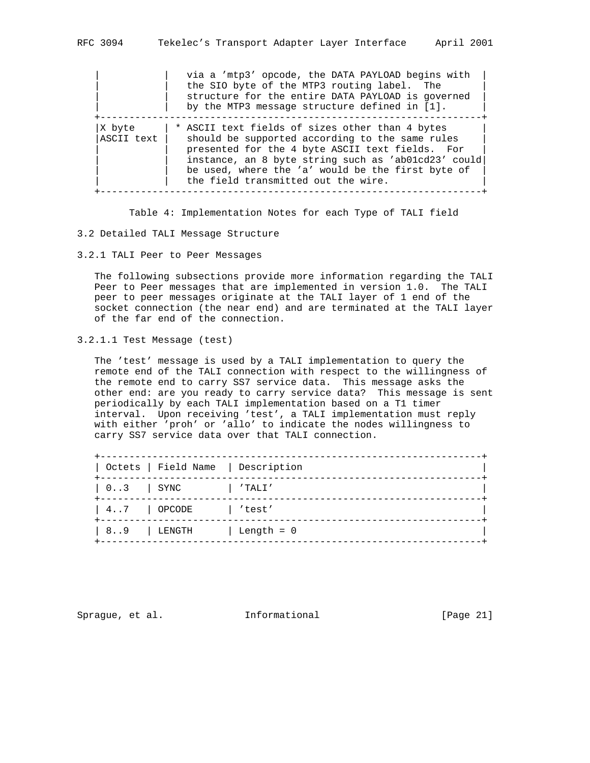|                      | via a 'mtp3' opcode, the DATA PAYLOAD begins with<br>the SIO byte of the MTP3 routing label. The<br>structure for the entire DATA PAYLOAD is governed<br>by the MTP3 message structure defined in [1].                                                                                                   |
|----------------------|----------------------------------------------------------------------------------------------------------------------------------------------------------------------------------------------------------------------------------------------------------------------------------------------------------|
| X byte<br>ASCII text | * ASCII text fields of sizes other than 4 bytes<br>should be supported according to the same rules<br>presented for the 4 byte ASCII text fields. For<br>instance, an 8 byte string such as 'ab01cd23' could<br>be used, where the 'a' would be the first byte of<br>the field transmitted out the wire. |

Table 4: Implementation Notes for each Type of TALI field

- 3.2 Detailed TALI Message Structure
- 3.2.1 TALI Peer to Peer Messages

 The following subsections provide more information regarding the TALI Peer to Peer messages that are implemented in version 1.0. The TALI peer to peer messages originate at the TALI layer of 1 end of the socket connection (the near end) and are terminated at the TALI layer of the far end of the connection.

```
3.2.1.1 Test Message (test)
```
 The 'test' message is used by a TALI implementation to query the remote end of the TALI connection with respect to the willingness of the remote end to carry SS7 service data. This message asks the other end: are you ready to carry service data? This message is sent periodically by each TALI implementation based on a T1 timer interval. Upon receiving 'test', a TALI implementation must reply with either 'proh' or 'allo' to indicate the nodes willingness to carry SS7 service data over that TALI connection.

|           |             | Octets   Field Name   Description |
|-----------|-------------|-----------------------------------|
| $03$ SYNC |             | 'TALI'                            |
|           | 47   OPCODE | 'test'                            |
| 89        | LENGTH      | Length = $0$                      |

Sprague, et al. **Informational** [Page 21]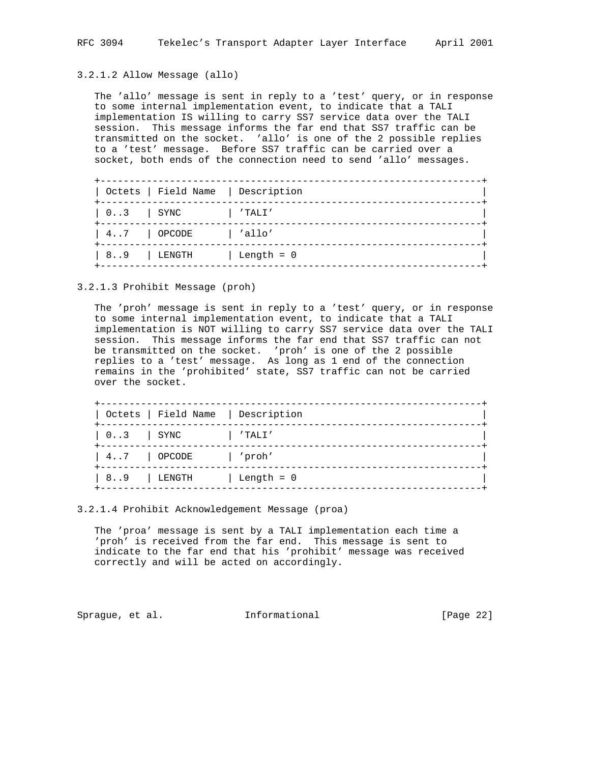3.2.1.2 Allow Message (allo)

 The 'allo' message is sent in reply to a 'test' query, or in response to some internal implementation event, to indicate that a TALI implementation IS willing to carry SS7 service data over the TALI session. This message informs the far end that SS7 traffic can be transmitted on the socket. 'allo' is one of the 2 possible replies to a 'test' message. Before SS7 traffic can be carried over a socket, both ends of the connection need to send 'allo' messages.

|                                                                                           |                | Octets   Field Name   Description |
|-------------------------------------------------------------------------------------------|----------------|-----------------------------------|
| $\begin{array}{ c c c c c c c c } \hline 0 \ldots 3 & & \text{SYNC} \ \hline \end{array}$ |                | 'TALI'                            |
|                                                                                           | $4.7$   OPCODE | $\vert$ 'allo'                    |
|                                                                                           | $8.3$ LENGTH   | Length = 0                        |

3.2.1.3 Prohibit Message (proh)

 The 'proh' message is sent in reply to a 'test' query, or in response to some internal implementation event, to indicate that a TALI implementation is NOT willing to carry SS7 service data over the TALI session. This message informs the far end that SS7 traffic can not be transmitted on the socket. 'proh' is one of the 2 possible replies to a 'test' message. As long as 1 end of the connection remains in the 'prohibited' state, SS7 traffic can not be carried over the socket.

|                                                                                           | Octets   Field Name   Description |
|-------------------------------------------------------------------------------------------|-----------------------------------|
| $\begin{array}{ c c c c c c c c } \hline 0 \ldots 3 & & \text{SYNC} \ \hline \end{array}$ | 'TALI'                            |
| 47   OPCODE                                                                               | /proh /                           |
| 89   LENGTH                                                                               | Length = $0$                      |

3.2.1.4 Prohibit Acknowledgement Message (proa)

 The 'proa' message is sent by a TALI implementation each time a 'proh' is received from the far end. This message is sent to indicate to the far end that his 'prohibit' message was received correctly and will be acted on accordingly.

Sprague, et al. **Informational** [Page 22]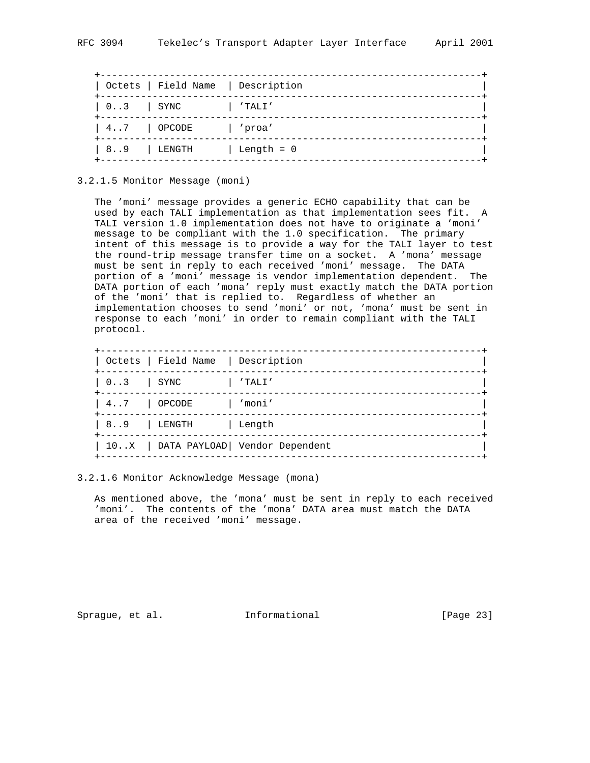|           |           | Octets   Field Name   Description |
|-----------|-----------|-----------------------------------|
| $03$ SYNC |           | 'TALI'                            |
|           | 47 OPCODE | 'proa'                            |
| 89        | LENGTH    | $Length = 0$                      |

3.2.1.5 Monitor Message (moni)

 The 'moni' message provides a generic ECHO capability that can be used by each TALI implementation as that implementation sees fit. A TALI version 1.0 implementation does not have to originate a 'moni' message to be compliant with the 1.0 specification. The primary intent of this message is to provide a way for the TALI layer to test the round-trip message transfer time on a socket. A 'mona' message must be sent in reply to each received 'moni' message. The DATA portion of a 'moni' message is vendor implementation dependent. The DATA portion of each 'mona' reply must exactly match the DATA portion of the 'moni' that is replied to. Regardless of whether an implementation chooses to send 'moni' or not, 'mona' must be sent in response to each 'moni' in order to remain compliant with the TALI protocol.

|           |             | Octets   Field Name   Description    |
|-----------|-------------|--------------------------------------|
| $03$ SYNC |             | 'TALI'                               |
| 47 OPCODE |             | 'moni'                               |
|           | 89   LENGTH | Length                               |
|           |             | 10X   DATA PAYLOAD  Vendor Dependent |

3.2.1.6 Monitor Acknowledge Message (mona)

 As mentioned above, the 'mona' must be sent in reply to each received 'moni'. The contents of the 'mona' DATA area must match the DATA area of the received 'moni' message.

Sprague, et al. **Informational** [Page 23]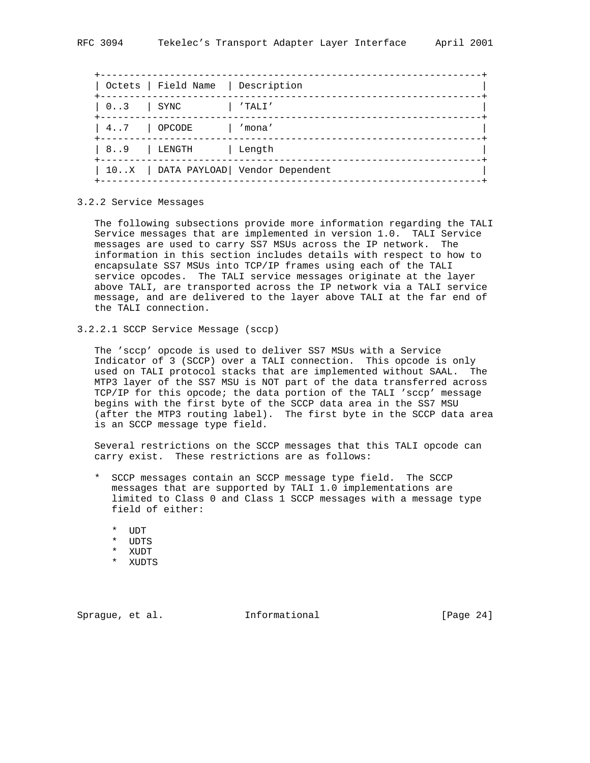|           | Octets   Field Name   Description |                                      |
|-----------|-----------------------------------|--------------------------------------|
| $03$ SYNC |                                   | 'TALI'                               |
|           | $4 \ldots 7$   OPCODE             | mona'                                |
|           | 89   LENGTH   Length              |                                      |
|           |                                   | 10X   DATA PAYLOAD  Vendor Dependent |

3.2.2 Service Messages

 The following subsections provide more information regarding the TALI Service messages that are implemented in version 1.0. TALI Service messages are used to carry SS7 MSUs across the IP network. The information in this section includes details with respect to how to encapsulate SS7 MSUs into TCP/IP frames using each of the TALI service opcodes. The TALI service messages originate at the layer above TALI, are transported across the IP network via a TALI service message, and are delivered to the layer above TALI at the far end of the TALI connection.

3.2.2.1 SCCP Service Message (sccp)

 The 'sccp' opcode is used to deliver SS7 MSUs with a Service Indicator of 3 (SCCP) over a TALI connection. This opcode is only used on TALI protocol stacks that are implemented without SAAL. The MTP3 layer of the SS7 MSU is NOT part of the data transferred across TCP/IP for this opcode; the data portion of the TALI 'sccp' message begins with the first byte of the SCCP data area in the SS7 MSU (after the MTP3 routing label). The first byte in the SCCP data area is an SCCP message type field.

 Several restrictions on the SCCP messages that this TALI opcode can carry exist. These restrictions are as follows:

- \* SCCP messages contain an SCCP message type field. The SCCP messages that are supported by TALI 1.0 implementations are limited to Class 0 and Class 1 SCCP messages with a message type field of either:
	- \* UDT
	- \* UDTS
	- \* XUDT
	- \* XUDTS

Sprague, et al. **Informational** [Page 24]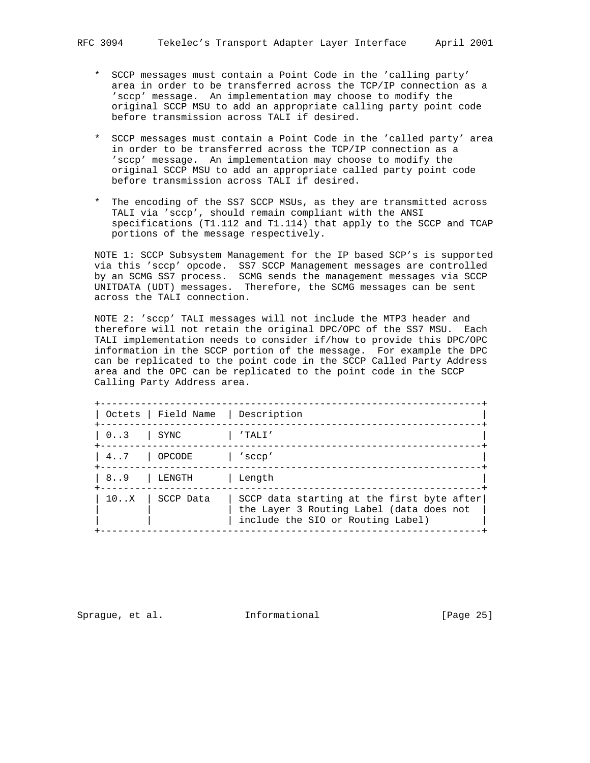- \* SCCP messages must contain a Point Code in the 'calling party' area in order to be transferred across the TCP/IP connection as a 'sccp' message. An implementation may choose to modify the original SCCP MSU to add an appropriate calling party point code before transmission across TALI if desired.
- \* SCCP messages must contain a Point Code in the 'called party' area in order to be transferred across the TCP/IP connection as a 'sccp' message. An implementation may choose to modify the original SCCP MSU to add an appropriate called party point code before transmission across TALI if desired.
- \* The encoding of the SS7 SCCP MSUs, as they are transmitted across TALI via 'sccp', should remain compliant with the ANSI specifications (T1.112 and T1.114) that apply to the SCCP and TCAP portions of the message respectively.

 NOTE 1: SCCP Subsystem Management for the IP based SCP's is supported via this 'sccp' opcode. SS7 SCCP Management messages are controlled by an SCMG SS7 process. SCMG sends the management messages via SCCP UNITDATA (UDT) messages. Therefore, the SCMG messages can be sent across the TALI connection.

 NOTE 2: 'sccp' TALI messages will not include the MTP3 header and therefore will not retain the original DPC/OPC of the SS7 MSU. Each TALI implementation needs to consider if/how to provide this DPC/OPC information in the SCCP portion of the message. For example the DPC can be replicated to the point code in the SCCP Called Party Address area and the OPC can be replicated to the point code in the SCCP Calling Party Address area.

|               | Octets   Field Name   Description |                                                                                                                             |
|---------------|-----------------------------------|-----------------------------------------------------------------------------------------------------------------------------|
| $0.3$ SYNC    |                                   | $'$ TALI $'$                                                                                                                |
| 4.7           | OPCODE                            | 'sccp'                                                                                                                      |
| 8.9           | LENGTH                            | Lenath                                                                                                                      |
| $10 \ldots X$ | SCCP Data                         | SCCP data starting at the first byte after<br>the Layer 3 Routing Label (data does not<br>include the SIO or Routing Label) |

Sprague, et al. **Informational** [Page 25]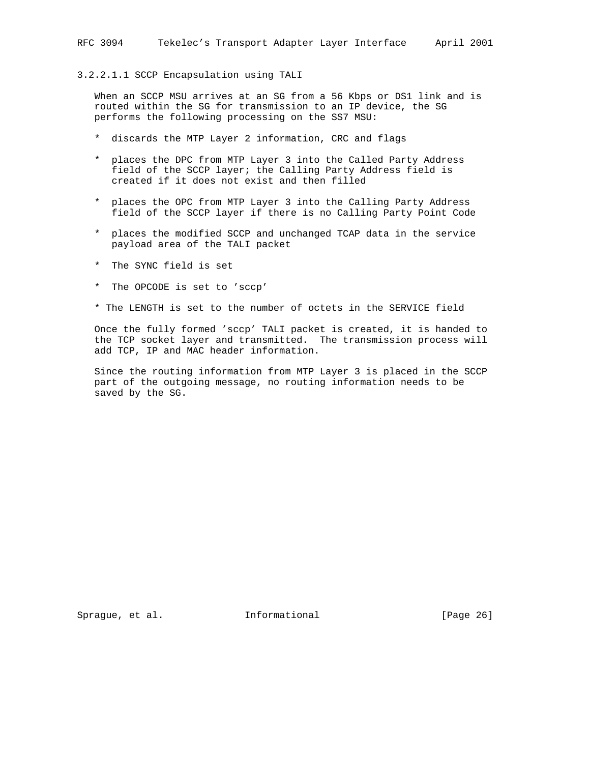# 3.2.2.1.1 SCCP Encapsulation using TALI

 When an SCCP MSU arrives at an SG from a 56 Kbps or DS1 link and is routed within the SG for transmission to an IP device, the SG performs the following processing on the SS7 MSU:

- \* discards the MTP Layer 2 information, CRC and flags
- \* places the DPC from MTP Layer 3 into the Called Party Address field of the SCCP layer; the Calling Party Address field is created if it does not exist and then filled
- \* places the OPC from MTP Layer 3 into the Calling Party Address field of the SCCP layer if there is no Calling Party Point Code
- \* places the modified SCCP and unchanged TCAP data in the service payload area of the TALI packet
- \* The SYNC field is set
- \* The OPCODE is set to 'sccp'
- \* The LENGTH is set to the number of octets in the SERVICE field

 Once the fully formed 'sccp' TALI packet is created, it is handed to the TCP socket layer and transmitted. The transmission process will add TCP, IP and MAC header information.

 Since the routing information from MTP Layer 3 is placed in the SCCP part of the outgoing message, no routing information needs to be saved by the SG.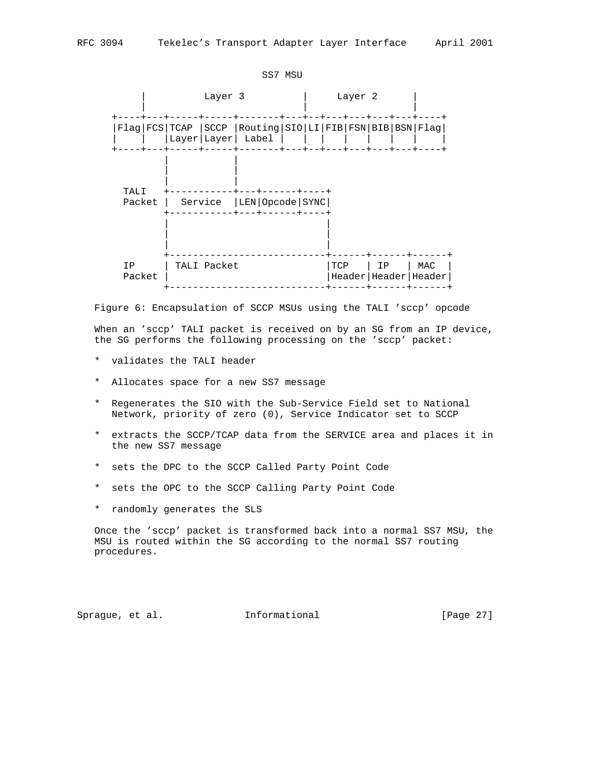|                |                                                                                 | SS7 MSU |         |                                |     |
|----------------|---------------------------------------------------------------------------------|---------|---------|--------------------------------|-----|
|                | Layer 3                                                                         |         | Layer 2 |                                |     |
|                | Flag FCS TCAP SCCP Routing SIO LI FIB FSN BIB BSN Flag<br>Layer   Layer   Label |         |         |                                |     |
| TALI<br>Packet | Service   LEN   Opcode   SYNC                                                   |         |         |                                |     |
| ΙP<br>Packet   | TALI Packet                                                                     |         | TCP     | ΙP<br>Header   Header   Header | MAC |

 Figure 6: Encapsulation of SCCP MSUs using the TALI 'sccp' opcode When an 'sccp' TALI packet is received on by an SG from an IP device, the SG performs the following processing on the 'sccp' packet:

- \* validates the TALI header
- \* Allocates space for a new SS7 message
- \* Regenerates the SIO with the Sub-Service Field set to National Network, priority of zero (0), Service Indicator set to SCCP
- \* extracts the SCCP/TCAP data from the SERVICE area and places it in the new SS7 message
- \* sets the DPC to the SCCP Called Party Point Code
- \* sets the OPC to the SCCP Calling Party Point Code
- \* randomly generates the SLS

 Once the 'sccp' packet is transformed back into a normal SS7 MSU, the MSU is routed within the SG according to the normal SS7 routing procedures.

Sprague, et al. **Informational** [Page 27]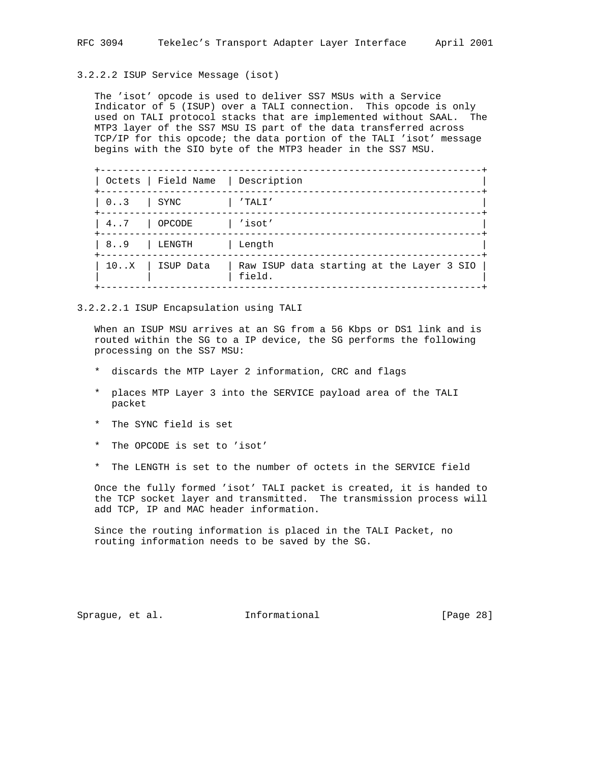# 3.2.2.2 ISUP Service Message (isot)

 The 'isot' opcode is used to deliver SS7 MSUs with a Service Indicator of 5 (ISUP) over a TALI connection. This opcode is only used on TALI protocol stacks that are implemented without SAAL. The MTP3 layer of the SS7 MSU IS part of the data transferred across TCP/IP for this opcode; the data portion of the TALI 'isot' message begins with the SIO byte of the MTP3 header in the SS7 MSU.

|               | Octets   Field Name   Description |                                                     |
|---------------|-----------------------------------|-----------------------------------------------------|
| $0 \ldots 3$  | SYNC                              | 'TALI'                                              |
| $4 \ldots 7$  | OPCODE                            | $\vert$ 'isot'                                      |
| 89            | LENGTH                            | Length                                              |
| $10 \ldots X$ | ISUP Data                         | Raw ISUP data starting at the Layer 3 SIO<br>field. |

3.2.2.2.1 ISUP Encapsulation using TALI

 When an ISUP MSU arrives at an SG from a 56 Kbps or DS1 link and is routed within the SG to a IP device, the SG performs the following processing on the SS7 MSU:

- \* discards the MTP Layer 2 information, CRC and flags
- \* places MTP Layer 3 into the SERVICE payload area of the TALI packet
- \* The SYNC field is set
- \* The OPCODE is set to 'isot'
- \* The LENGTH is set to the number of octets in the SERVICE field

 Once the fully formed 'isot' TALI packet is created, it is handed to the TCP socket layer and transmitted. The transmission process will add TCP, IP and MAC header information.

 Since the routing information is placed in the TALI Packet, no routing information needs to be saved by the SG.

Sprague, et al. **Informational** [Page 28]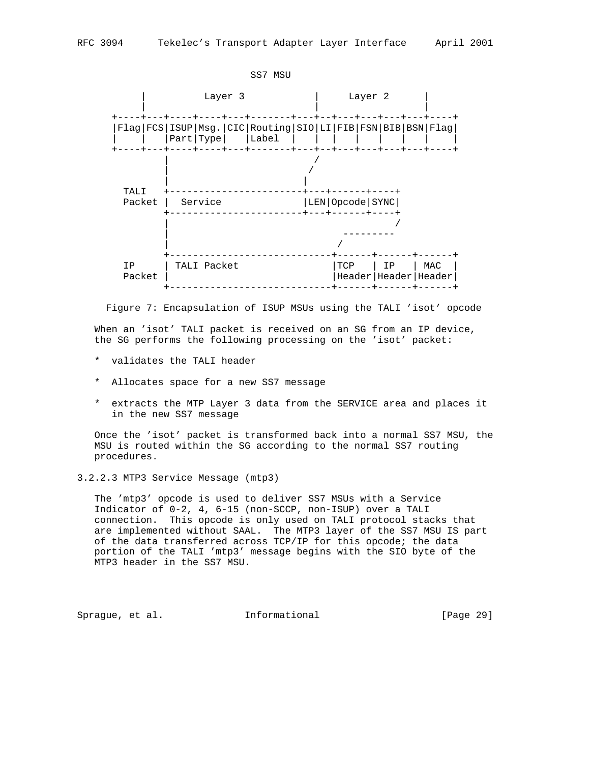

Figure 7: Encapsulation of ISUP MSUs using the TALI 'isot' opcode

 When an 'isot' TALI packet is received on an SG from an IP device, the SG performs the following processing on the 'isot' packet:

- \* validates the TALI header
- \* Allocates space for a new SS7 message
- \* extracts the MTP Layer 3 data from the SERVICE area and places it in the new SS7 message

 Once the 'isot' packet is transformed back into a normal SS7 MSU, the MSU is routed within the SG according to the normal SS7 routing procedures.

3.2.2.3 MTP3 Service Message (mtp3)

 The 'mtp3' opcode is used to deliver SS7 MSUs with a Service Indicator of 0-2, 4, 6-15 (non-SCCP, non-ISUP) over a TALI connection. This opcode is only used on TALI protocol stacks that are implemented without SAAL. The MTP3 layer of the SS7 MSU IS part of the data transferred across TCP/IP for this opcode; the data portion of the TALI 'mtp3' message begins with the SIO byte of the MTP3 header in the SS7 MSU.

Sprague, et al. **Informational** [Page 29]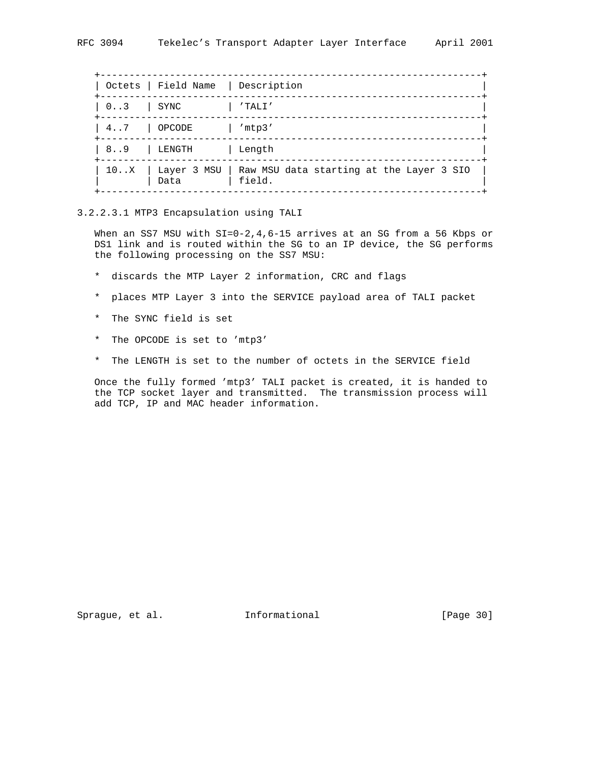|             | Octets   Field Name   Description |                                                                        |
|-------------|-----------------------------------|------------------------------------------------------------------------|
| $03$   SYNC |                                   | 'TALI'                                                                 |
| 47   OPCODE |                                   | /mtp3/                                                                 |
| 89          | LENGTH                            | Length                                                                 |
|             | Data                              | 10X   Layer 3 MSU   Raw MSU data starting at the Layer 3 SIO<br>field. |

3.2.2.3.1 MTP3 Encapsulation using TALI

When an SS7 MSU with SI=0-2, 4, 6-15 arrives at an SG from a 56 Kbps or DS1 link and is routed within the SG to an IP device, the SG performs the following processing on the SS7 MSU:

- \* discards the MTP Layer 2 information, CRC and flags
- \* places MTP Layer 3 into the SERVICE payload area of TALI packet
- \* The SYNC field is set
- \* The OPCODE is set to 'mtp3'
- \* The LENGTH is set to the number of octets in the SERVICE field

 Once the fully formed 'mtp3' TALI packet is created, it is handed to the TCP socket layer and transmitted. The transmission process will add TCP, IP and MAC header information.

Sprague, et al. 1nformational [Page 30]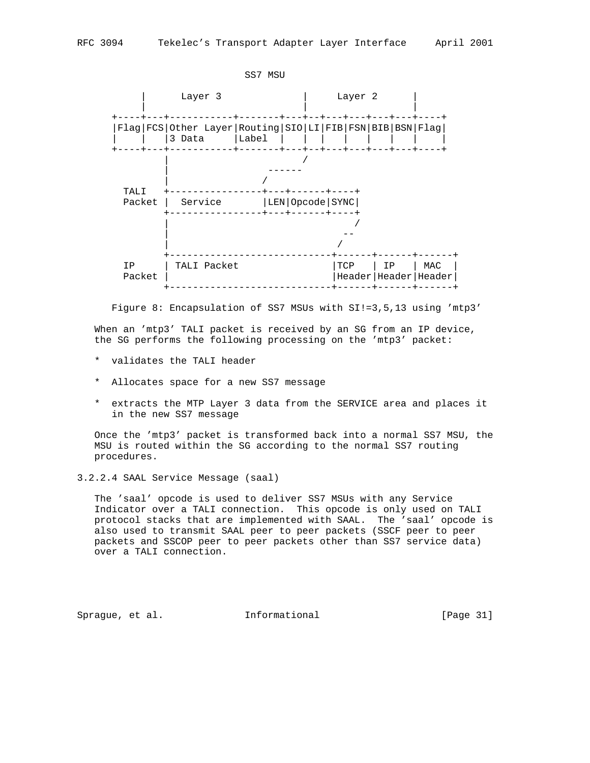

Figure 8: Encapsulation of SS7 MSUs with SI!=3,5,13 using 'mtp3'

 When an 'mtp3' TALI packet is received by an SG from an IP device, the SG performs the following processing on the 'mtp3' packet:

- \* validates the TALI header
- \* Allocates space for a new SS7 message
- \* extracts the MTP Layer 3 data from the SERVICE area and places it in the new SS7 message

 Once the 'mtp3' packet is transformed back into a normal SS7 MSU, the MSU is routed within the SG according to the normal SS7 routing procedures.

3.2.2.4 SAAL Service Message (saal)

 The 'saal' opcode is used to deliver SS7 MSUs with any Service Indicator over a TALI connection. This opcode is only used on TALI protocol stacks that are implemented with SAAL. The 'saal' opcode is also used to transmit SAAL peer to peer packets (SSCF peer to peer packets and SSCOP peer to peer packets other than SS7 service data) over a TALI connection.

Sprague, et al. **Informational** [Page 31]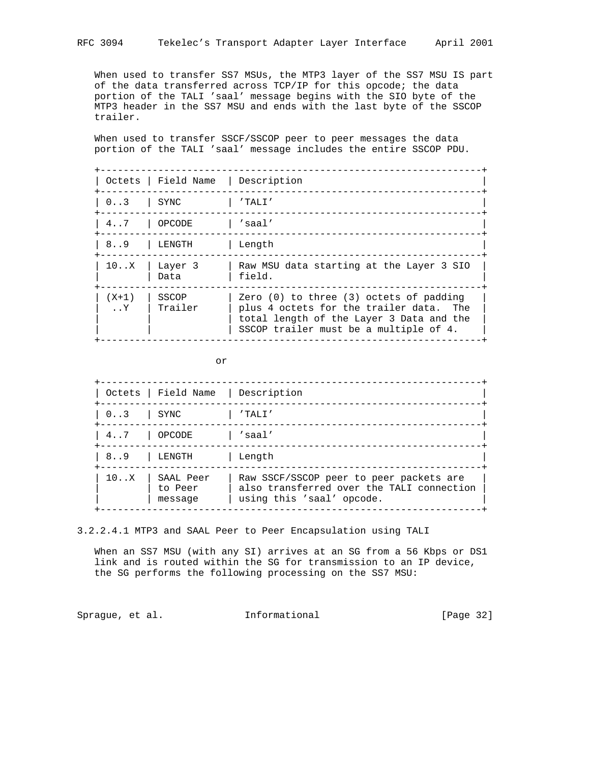When used to transfer SS7 MSUs, the MTP3 layer of the SS7 MSU IS part of the data transferred across TCP/IP for this opcode; the data portion of the TALI 'saal' message begins with the SIO byte of the MTP3 header in the SS7 MSU and ends with the last byte of the SSCOP trailer.

 When used to transfer SSCF/SSCOP peer to peer messages the data portion of the TALI 'saal' message includes the entire SSCOP PDU.

|                                | Octets   Field Name   Description |                                                                                                                                                                              |
|--------------------------------|-----------------------------------|------------------------------------------------------------------------------------------------------------------------------------------------------------------------------|
| $0 \ldots 3$                   | SYNC                              | $'$ TALI $'$                                                                                                                                                                 |
| $4 \ldots 7$                   | OPCODE                            | 'saal'                                                                                                                                                                       |
| 8.9                            | LENGTH                            | Length                                                                                                                                                                       |
| 10X                            | Layer 3<br>Data                   | Raw MSU data starting at the Layer 3 SIO<br>field.                                                                                                                           |
| $(X+1)$<br>$\cdot$ . $\cdot$ Y | SSCOP<br>Trailer                  | Zero $(0)$ to three $(3)$ octets of padding<br>plus 4 octets for the trailer data. The<br>total length of the Layer 3 Data and the<br>SSCOP trailer must be a multiple of 4. |

or

|      | Octets   Field Name             | Description                                                                                                       |
|------|---------------------------------|-------------------------------------------------------------------------------------------------------------------|
| 0.3  | SYNC                            | $'$ TALI $'$                                                                                                      |
| 47   | OPCODE                          | 'saa1'                                                                                                            |
| 8.9  | LENGTH                          | Length                                                                                                            |
| 10.X | SAAL Peer<br>to Peer<br>message | Raw SSCF/SSCOP peer to peer packets are<br>also transferred over the TALI connection<br>using this 'saal' opcode. |

3.2.2.4.1 MTP3 and SAAL Peer to Peer Encapsulation using TALI

When an SS7 MSU (with any SI) arrives at an SG from a 56 Kbps or DS1 link and is routed within the SG for transmission to an IP device, the SG performs the following processing on the SS7 MSU:

Sprague, et al. 1nformational [Page 32]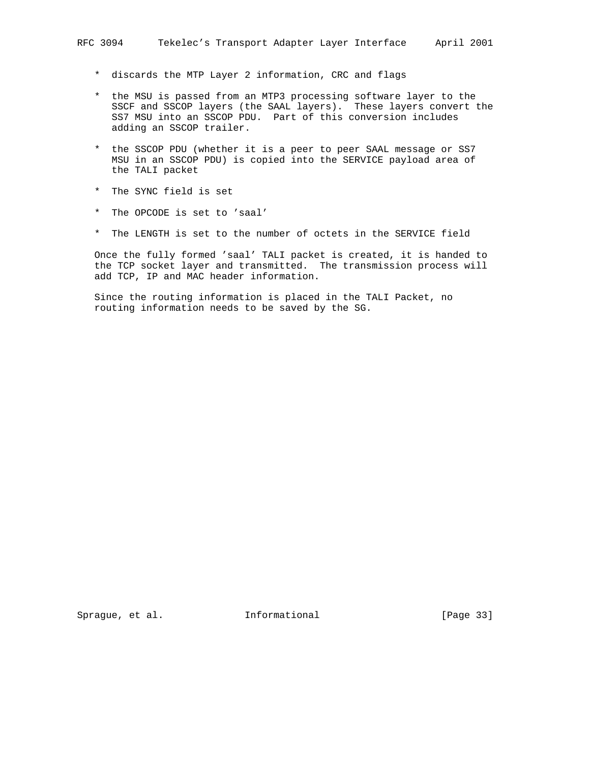- \* discards the MTP Layer 2 information, CRC and flags
- \* the MSU is passed from an MTP3 processing software layer to the SSCF and SSCOP layers (the SAAL layers). These layers convert the SS7 MSU into an SSCOP PDU. Part of this conversion includes adding an SSCOP trailer.
- \* the SSCOP PDU (whether it is a peer to peer SAAL message or SS7 MSU in an SSCOP PDU) is copied into the SERVICE payload area of the TALI packet
- \* The SYNC field is set
- \* The OPCODE is set to 'saal'
- \* The LENGTH is set to the number of octets in the SERVICE field

 Once the fully formed 'saal' TALI packet is created, it is handed to the TCP socket layer and transmitted. The transmission process will add TCP, IP and MAC header information.

 Since the routing information is placed in the TALI Packet, no routing information needs to be saved by the SG.

Sprague, et al. **Informational** [Page 33]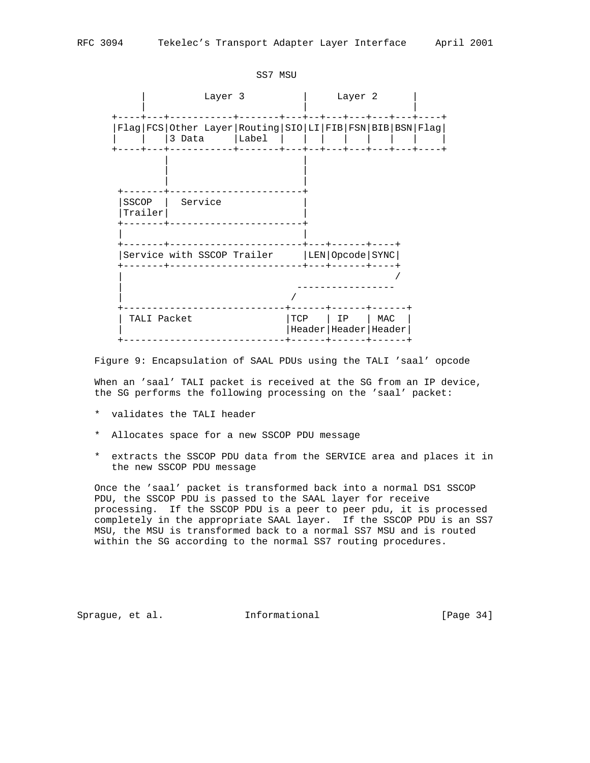| Layer 2<br>Layer 3<br>Flag FCS Other Layer Routing SIO LI FIB FSN BIB BSN Flag <br>3 Data   Label<br>SSCOP  <br>Service<br>Trailer<br>-----+----+<br>Service with SSCOP Trailer   LEN   Opcode   SYNC  <br>+---+------+----+ |             | SS7 MSU |     |  |    |     |  |
|------------------------------------------------------------------------------------------------------------------------------------------------------------------------------------------------------------------------------|-------------|---------|-----|--|----|-----|--|
|                                                                                                                                                                                                                              |             |         |     |  |    |     |  |
|                                                                                                                                                                                                                              |             |         |     |  |    |     |  |
|                                                                                                                                                                                                                              |             |         |     |  |    |     |  |
|                                                                                                                                                                                                                              |             |         |     |  |    |     |  |
|                                                                                                                                                                                                                              |             |         |     |  |    |     |  |
|                                                                                                                                                                                                                              | TALI Packet |         | TCP |  | IP | MAC |  |

Figure 9: Encapsulation of SAAL PDUs using the TALI 'saal' opcode

 When an 'saal' TALI packet is received at the SG from an IP device, the SG performs the following processing on the 'saal' packet:

- \* validates the TALI header
- \* Allocates space for a new SSCOP PDU message
- \* extracts the SSCOP PDU data from the SERVICE area and places it in the new SSCOP PDU message

 Once the 'saal' packet is transformed back into a normal DS1 SSCOP PDU, the SSCOP PDU is passed to the SAAL layer for receive processing. If the SSCOP PDU is a peer to peer pdu, it is processed completely in the appropriate SAAL layer. If the SSCOP PDU is an SS7 MSU, the MSU is transformed back to a normal SS7 MSU and is routed within the SG according to the normal SS7 routing procedures.

Sprague, et al. **Informational** [Page 34]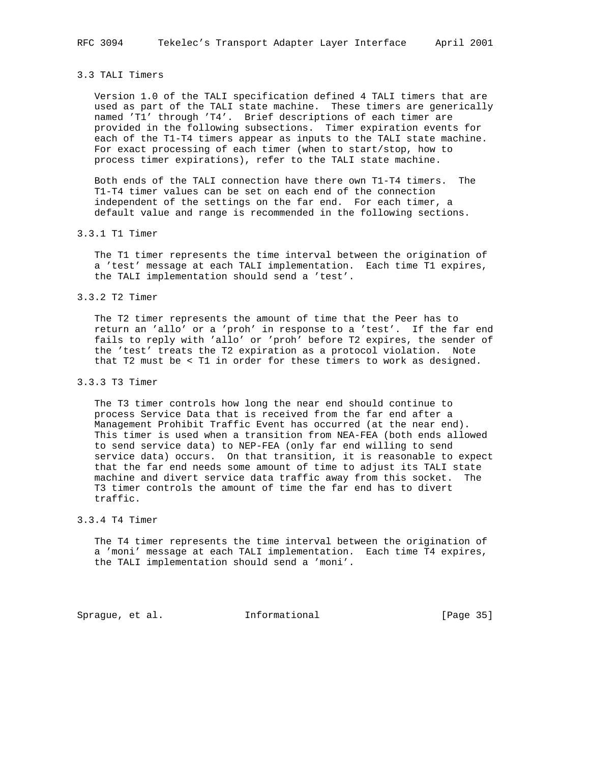# 3.3 TALI Timers

 Version 1.0 of the TALI specification defined 4 TALI timers that are used as part of the TALI state machine. These timers are generically named 'T1' through 'T4'. Brief descriptions of each timer are provided in the following subsections. Timer expiration events for each of the T1-T4 timers appear as inputs to the TALI state machine. For exact processing of each timer (when to start/stop, how to process timer expirations), refer to the TALI state machine.

 Both ends of the TALI connection have there own T1-T4 timers. The T1-T4 timer values can be set on each end of the connection independent of the settings on the far end. For each timer, a default value and range is recommended in the following sections.

#### 3.3.1 T1 Timer

 The T1 timer represents the time interval between the origination of a 'test' message at each TALI implementation. Each time T1 expires, the TALI implementation should send a 'test'.

#### 3.3.2 T2 Timer

 The T2 timer represents the amount of time that the Peer has to return an 'allo' or a 'proh' in response to a 'test'. If the far end fails to reply with 'allo' or 'proh' before T2 expires, the sender of the 'test' treats the T2 expiration as a protocol violation. Note that T2 must be < T1 in order for these timers to work as designed.

## 3.3.3 T3 Timer

 The T3 timer controls how long the near end should continue to process Service Data that is received from the far end after a Management Prohibit Traffic Event has occurred (at the near end). This timer is used when a transition from NEA-FEA (both ends allowed to send service data) to NEP-FEA (only far end willing to send service data) occurs. On that transition, it is reasonable to expect that the far end needs some amount of time to adjust its TALI state machine and divert service data traffic away from this socket. The T3 timer controls the amount of time the far end has to divert traffic.

# 3.3.4 T4 Timer

 The T4 timer represents the time interval between the origination of a 'moni' message at each TALI implementation. Each time T4 expires, the TALI implementation should send a 'moni'.

Sprague, et al. 1nformational [Page 35]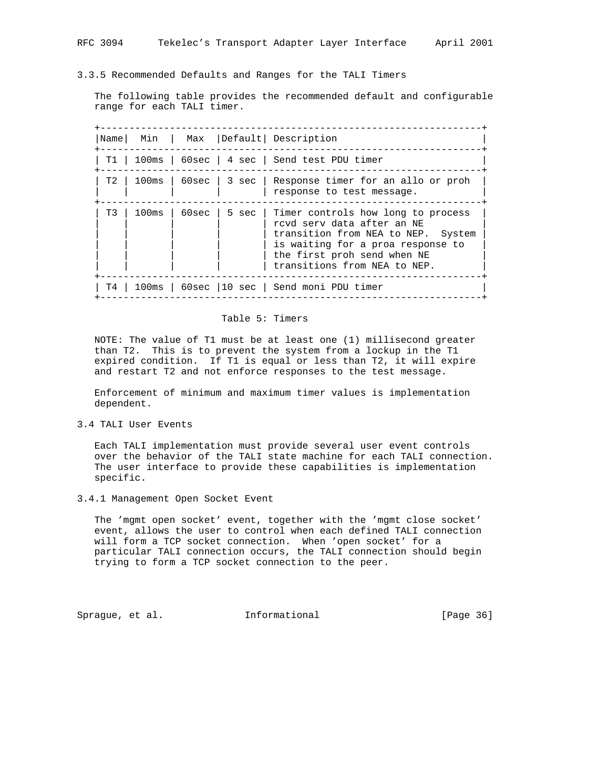| RFC 3094 |  |  |  |  |  | Tekelec's Transport Adapter Layer Interface | April 2001 |  |
|----------|--|--|--|--|--|---------------------------------------------|------------|--|
|----------|--|--|--|--|--|---------------------------------------------|------------|--|

3.3.5 Recommended Defaults and Ranges for the TALI Timers

 The following table provides the recommended default and configurable range for each TALI timer.

|      |                  |         |         | Name   Min   Max   Default   Description                                                                                                                                                                   |
|------|------------------|---------|---------|------------------------------------------------------------------------------------------------------------------------------------------------------------------------------------------------------------|
| T1 - |                  |         |         | 100ms   60sec   4 sec   Send test PDU timer                                                                                                                                                                |
| T 2  | 100ms            |         |         | 60sec   3 sec   Response timer for an allo or proh<br>response to test message.                                                                                                                            |
| T3   | $100\mathrm{ms}$ | 60sec l | 5 sec l | Timer controls how long to process<br>rcyd serv data after an NE<br>transition from NEA to NEP. System<br>is waiting for a proa response to<br>the first proh send when NE<br>transitions from NEA to NEP. |
| T4 I |                  |         |         | 100ms   60sec   10 sec   Send moni PDU timer                                                                                                                                                               |

# Table 5: Timers

 NOTE: The value of T1 must be at least one (1) millisecond greater than T2. This is to prevent the system from a lockup in the T1 expired condition. If T1 is equal or less than T2, it will expire and restart T2 and not enforce responses to the test message.

 Enforcement of minimum and maximum timer values is implementation dependent.

3.4 TALI User Events

 Each TALI implementation must provide several user event controls over the behavior of the TALI state machine for each TALI connection. The user interface to provide these capabilities is implementation specific.

3.4.1 Management Open Socket Event

 The 'mgmt open socket' event, together with the 'mgmt close socket' event, allows the user to control when each defined TALI connection will form a TCP socket connection. When 'open socket' for a particular TALI connection occurs, the TALI connection should begin trying to form a TCP socket connection to the peer.

Sprague, et al. **Informational** [Page 36]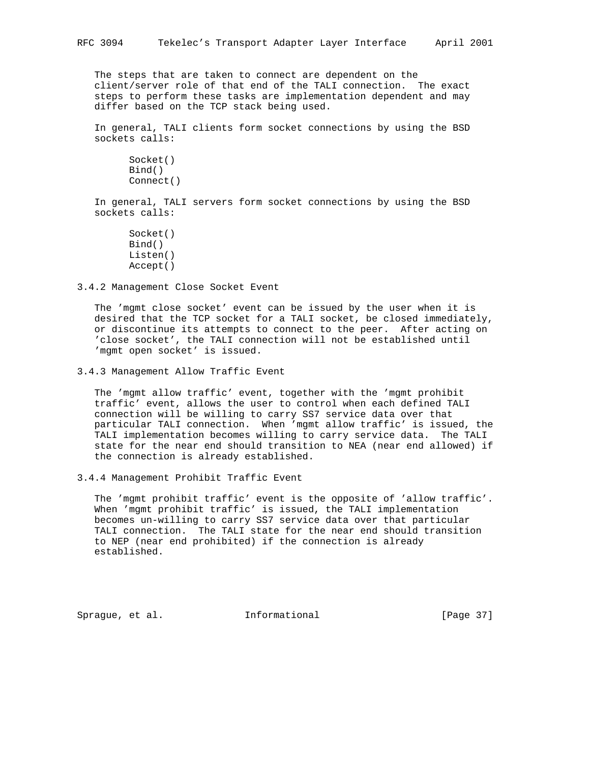The steps that are taken to connect are dependent on the client/server role of that end of the TALI connection. The exact steps to perform these tasks are implementation dependent and may differ based on the TCP stack being used.

 In general, TALI clients form socket connections by using the BSD sockets calls:

 Socket() Bind() Connect()

 In general, TALI servers form socket connections by using the BSD sockets calls:

 Socket() Bind() Listen() Accept()

3.4.2 Management Close Socket Event

 The 'mgmt close socket' event can be issued by the user when it is desired that the TCP socket for a TALI socket, be closed immediately, or discontinue its attempts to connect to the peer. After acting on 'close socket', the TALI connection will not be established until 'mgmt open socket' is issued.

3.4.3 Management Allow Traffic Event

 The 'mgmt allow traffic' event, together with the 'mgmt prohibit traffic' event, allows the user to control when each defined TALI connection will be willing to carry SS7 service data over that particular TALI connection. When 'mgmt allow traffic' is issued, the TALI implementation becomes willing to carry service data. The TALI state for the near end should transition to NEA (near end allowed) if the connection is already established.

3.4.4 Management Prohibit Traffic Event

 The 'mgmt prohibit traffic' event is the opposite of 'allow traffic'. When 'mgmt prohibit traffic' is issued, the TALI implementation becomes un-willing to carry SS7 service data over that particular TALI connection. The TALI state for the near end should transition to NEP (near end prohibited) if the connection is already established.

Sprague, et al. **Informational** [Page 37]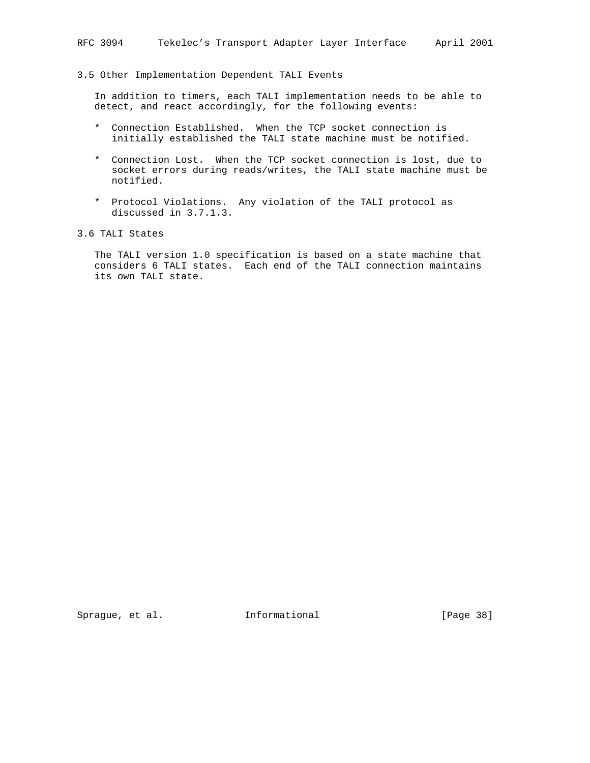### 3.5 Other Implementation Dependent TALI Events

 In addition to timers, each TALI implementation needs to be able to detect, and react accordingly, for the following events:

- \* Connection Established. When the TCP socket connection is initially established the TALI state machine must be notified.
- \* Connection Lost. When the TCP socket connection is lost, due to socket errors during reads/writes, the TALI state machine must be notified.
- \* Protocol Violations. Any violation of the TALI protocol as discussed in 3.7.1.3.
- 3.6 TALI States

 The TALI version 1.0 specification is based on a state machine that considers 6 TALI states. Each end of the TALI connection maintains its own TALI state.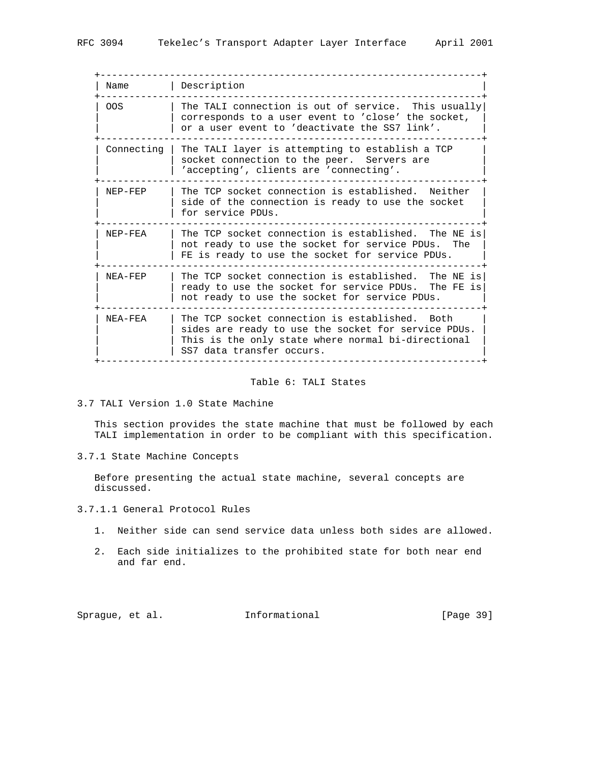+------------------------------------------------------------------+ | Name | Description +------------------------------------------------------------------+ | OOS | The TALI connection is out of service. This usually| | | corresponds to a user event to 'close' the socket, | | | or a user event to 'deactivate the SS7 link'. +------------------------------------------------------------------+ Connecting | The TALI layer is attempting to establish a TCP | socket connection to the peer. Servers are | | 'accepting', clients are 'connecting'. | +------------------------------------------------------------------+ NEP-FEP | The TCP socket connection is established. Neither | side of the connection is ready to use the socket | for service PDUs. +------------------------------------------------------------------+ | NEP-FEA | The TCP socket connection is established. The NE is| | not ready to use the socket for service PDUs. The  $|$  FE is ready to use the socket for service PDUs. +------------------------------------------------------------------+ | NEA-FEP | The TCP socket connection is established. The NE is| | | ready to use the socket for service PDUs. The FE is| | not ready to use the socket for service PDUs. +------------------------------------------------------------------+ | NEA-FEA | The TCP socket connection is established. Both | | sides are ready to use the socket for service PDUs. | | This is the only state where normal bi-directional | | | SS7 data transfer occurs. | +------------------------------------------------------------------+

#### Table 6: TALI States

3.7 TALI Version 1.0 State Machine

 This section provides the state machine that must be followed by each TALI implementation in order to be compliant with this specification.

3.7.1 State Machine Concepts

 Before presenting the actual state machine, several concepts are discussed.

3.7.1.1 General Protocol Rules

- 1. Neither side can send service data unless both sides are allowed.
- 2. Each side initializes to the prohibited state for both near end and far end.

Sprague, et al. 1nformational [Page 39]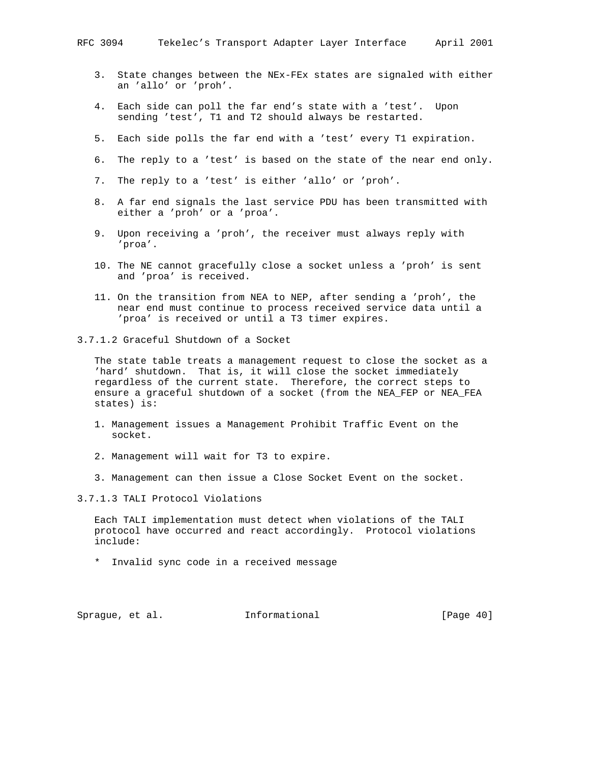- 3. State changes between the NEx-FEx states are signaled with either an 'allo' or 'proh'.
- 4. Each side can poll the far end's state with a 'test'. Upon sending 'test', T1 and T2 should always be restarted.
- 5. Each side polls the far end with a 'test' every T1 expiration.
- 6. The reply to a 'test' is based on the state of the near end only.
- 7. The reply to a 'test' is either 'allo' or 'proh'.
- 8. A far end signals the last service PDU has been transmitted with either a 'proh' or a 'proa'.
- 9. Upon receiving a 'proh', the receiver must always reply with 'proa'.
- 10. The NE cannot gracefully close a socket unless a 'proh' is sent and 'proa' is received.
- 11. On the transition from NEA to NEP, after sending a 'proh', the near end must continue to process received service data until a 'proa' is received or until a T3 timer expires.
- 3.7.1.2 Graceful Shutdown of a Socket

 The state table treats a management request to close the socket as a 'hard' shutdown. That is, it will close the socket immediately regardless of the current state. Therefore, the correct steps to ensure a graceful shutdown of a socket (from the NEA\_FEP or NEA\_FEA states) is:

- 1. Management issues a Management Prohibit Traffic Event on the socket.
- 2. Management will wait for T3 to expire.
- 3. Management can then issue a Close Socket Event on the socket.

3.7.1.3 TALI Protocol Violations

 Each TALI implementation must detect when violations of the TALI protocol have occurred and react accordingly. Protocol violations include:

\* Invalid sync code in a received message

Sprague, et al. **Informational** [Page 40]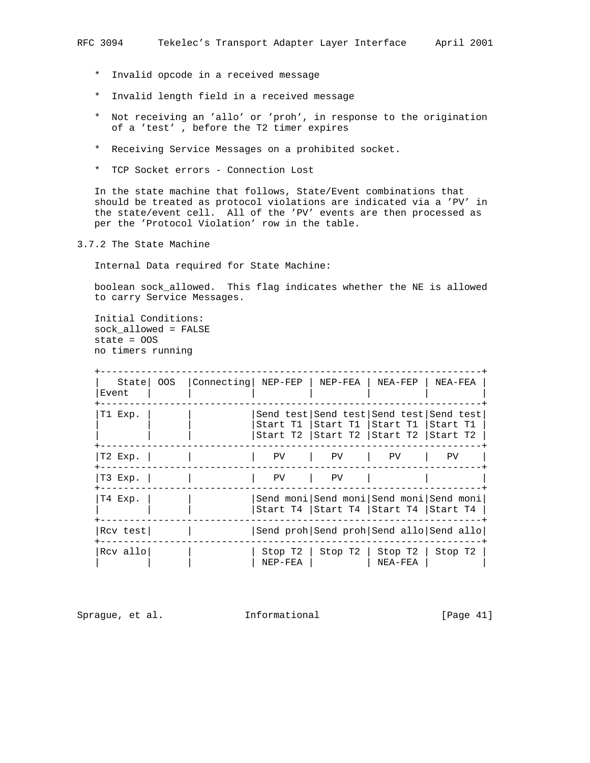- \* Invalid opcode in a received message
- \* Invalid length field in a received message
- \* Not receiving an 'allo' or 'proh', in response to the origination of a 'test' , before the T2 timer expires
- \* Receiving Service Messages on a prohibited socket.
- \* TCP Socket errors Connection Lost

 In the state machine that follows, State/Event combinations that should be treated as protocol violations are indicated via a 'PV' in the state/event cell. All of the 'PV' events are then processed as per the 'Protocol Violation' row in the table.

3.7.2 The State Machine

Internal Data required for State Machine:

 boolean sock\_allowed. This flag indicates whether the NE is allowed to carry Service Messages.

 Initial Conditions: sock\_allowed = FALSE state = OOS no timers running

| Statel<br>Event | OOS | Connecting   NEP-FEP |                      | NEP-FEA                                                                                                    | NEA-FEP            | NEA-FEA                                 |
|-----------------|-----|----------------------|----------------------|------------------------------------------------------------------------------------------------------------|--------------------|-----------------------------------------|
| T1 Exp.         |     |                      |                      | Send test Send test Send test Send test<br>Start T1  Start T1<br>Start T2   Start T2   Start T2   Start T2 | Start Tl           | Start T1                                |
| T2 Exp.         |     |                      | PV                   | PV                                                                                                         | PV                 | PV                                      |
| T3 Exp.         |     |                      | PV                   | PV.                                                                                                        |                    |                                         |
| T4 Exp.         |     |                      |                      | Send moni Send moni Send moni Send moni<br>Start T4   Start T4   Start T4   Start T4                       |                    |                                         |
| Rcv test        |     |                      |                      |                                                                                                            |                    | Send proh Send proh Send allo Send allo |
| Rcv allo        |     |                      | Stop T2<br>$NEP-FEA$ | StopT2                                                                                                     | Stop T2<br>NEA-FEA | Stop T2                                 |

Sprague, et al. 1nformational [Page 41]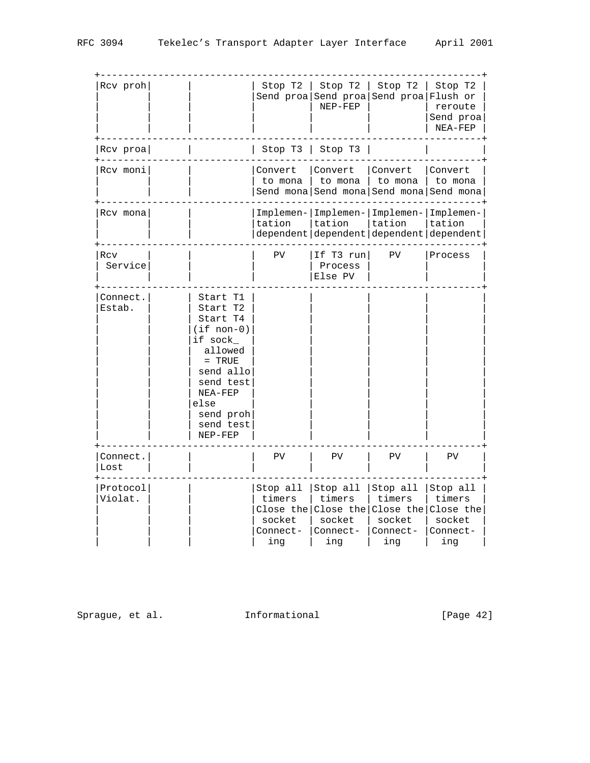| Rcv proh            |                                                                                                                                                                            | Stop $T2$                                       | Stop T2<br>NEP-FEP                              | Stop T2<br>Send proa Send proa Send proa Flush or                                            | Stop T2<br>reroute<br>Send proa<br>NEA-FEP      |
|---------------------|----------------------------------------------------------------------------------------------------------------------------------------------------------------------------|-------------------------------------------------|-------------------------------------------------|----------------------------------------------------------------------------------------------|-------------------------------------------------|
| $Rcv$ proa          |                                                                                                                                                                            | Stop T3   Stop T3                               |                                                 |                                                                                              |                                                 |
| Rcv moni            |                                                                                                                                                                            | Convert<br>to mona                              | Convert<br>to mona                              | Convert<br>to mona<br>Send mona Send mona Send mona Send mona                                | Convert<br>to mona                              |
| Rcv mona            |                                                                                                                                                                            | tation                                          | tation                                          | Implemen- Implemen- Implemen- Implemen-<br>tation<br>dependent dependent dependent dependent | Itation                                         |
| Rcv<br>Service      |                                                                                                                                                                            | PV                                              | If T3 run<br>Process<br>Else PV                 | PV                                                                                           | Process                                         |
| Connect.<br>Estab.  | Start T1<br>Start T2<br>Start T4<br>$(i$ f non-0)<br>if sock_<br>allowed<br>$=$ TRUE<br>send allo<br>send test<br>NEA-FEP<br>else<br>send proh<br>send test<br>$NEP - FEP$ |                                                 |                                                 |                                                                                              |                                                 |
| Connect.<br>Lost    |                                                                                                                                                                            | PV                                              | PV                                              | PV                                                                                           | PV                                              |
| Protocol<br>Violat. |                                                                                                                                                                            | Stop all<br>timers<br>socket<br>Connect-<br>ing | Stop all<br>timers<br>socket<br>Connect-<br>ing | Stop all<br>timers<br>Close the Close the Close the Close the<br>socket<br>Connect-<br>ing   | Stop all<br>timers<br>socket<br>Connect-<br>ing |

Sprague, et al. 1nformational 1999 [Page 42]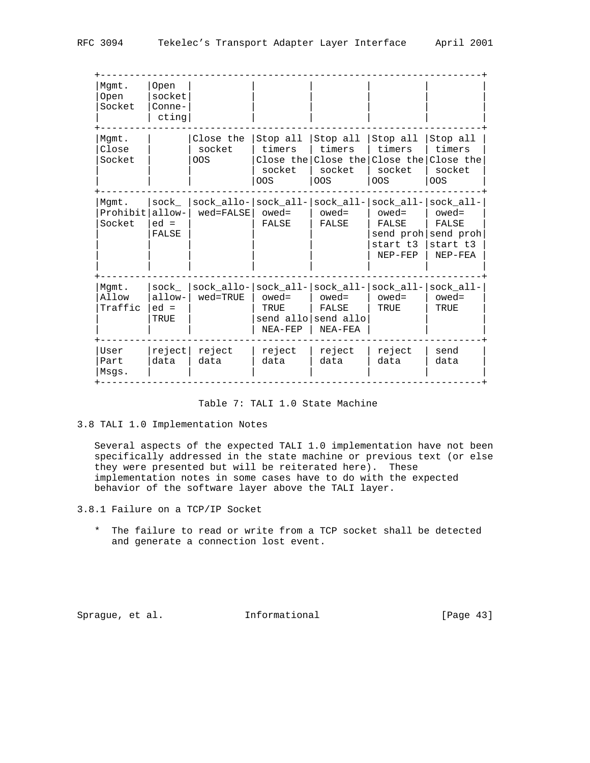| Mgmt.<br><b>Open</b><br>Socket | Open<br>socket<br>Conne-<br>cting |                                                                            |                                     |                                                                |                                                                 |                                            |
|--------------------------------|-----------------------------------|----------------------------------------------------------------------------|-------------------------------------|----------------------------------------------------------------|-----------------------------------------------------------------|--------------------------------------------|
| Mqmt.<br>Close<br>Socket       |                                   | Close the<br>socket<br><b>OOS</b>                                          | Stop all<br>timers<br>socket<br>OOS | Stop all $ $<br>timers<br>Close the Close the<br>socket<br>OOS | Stop all<br>timers<br>Close the Close the<br>socket<br>OOS      | Stop all<br>timers<br>socket<br><b>OOS</b> |
| Mgmt.<br>Prohibit<br>Socket    | sock<br>allow-<br>$ed =$<br>FALSE | $sock\_allo- sock\_all- sock\_all- sock\_all- sock\_all-$<br>$wed = FALSE$ | $owed =$<br>FALSE                   | $oved =$<br>FALSE                                              | $owed =$<br>FALSE<br>send proh send proh<br>start t3<br>NEP-FEP | $owed =$<br>FALSE<br>start t3<br>NEP-FEA   |
| Mqmt.<br>Allow<br>Traffic      | sock<br>allow-<br>$ed =$<br>TRUE  | $sock_allo$ - $sock_all$ - $sock_all$ -<br>$wed = TRU E$                   | $owed =$<br>TRUE<br>NEA-FEP         | owed=<br>FALSE<br>send allo send allo<br>NEA-FEA               | sock all- sock all-<br>$owed =$<br>TRUE                         | $owed =$<br>TRUE                           |
| User<br>Part<br>Msqs.          | reject<br>data                    | reject<br>data                                                             | reject<br>data                      | reject<br>data                                                 | reject<br>data                                                  | send<br>data                               |

## Table 7: TALI 1.0 State Machine

3.8 TALI 1.0 Implementation Notes

 Several aspects of the expected TALI 1.0 implementation have not been specifically addressed in the state machine or previous text (or else they were presented but will be reiterated here). These implementation notes in some cases have to do with the expected behavior of the software layer above the TALI layer.

3.8.1 Failure on a TCP/IP Socket

 \* The failure to read or write from a TCP socket shall be detected and generate a connection lost event.

Sprague, et al. 1nformational [Page 43]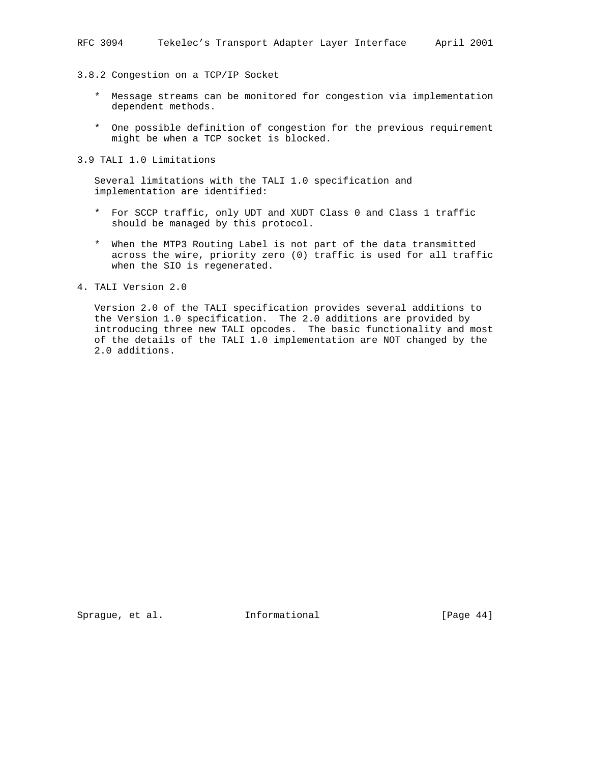3.8.2 Congestion on a TCP/IP Socket

- \* Message streams can be monitored for congestion via implementation dependent methods.
- \* One possible definition of congestion for the previous requirement might be when a TCP socket is blocked.

3.9 TALI 1.0 Limitations

 Several limitations with the TALI 1.0 specification and implementation are identified:

- \* For SCCP traffic, only UDT and XUDT Class 0 and Class 1 traffic should be managed by this protocol.
- \* When the MTP3 Routing Label is not part of the data transmitted across the wire, priority zero (0) traffic is used for all traffic when the SIO is regenerated.

4. TALI Version 2.0

 Version 2.0 of the TALI specification provides several additions to the Version 1.0 specification. The 2.0 additions are provided by introducing three new TALI opcodes. The basic functionality and most of the details of the TALI 1.0 implementation are NOT changed by the 2.0 additions.

Sprague, et al. **Informational** [Page 44]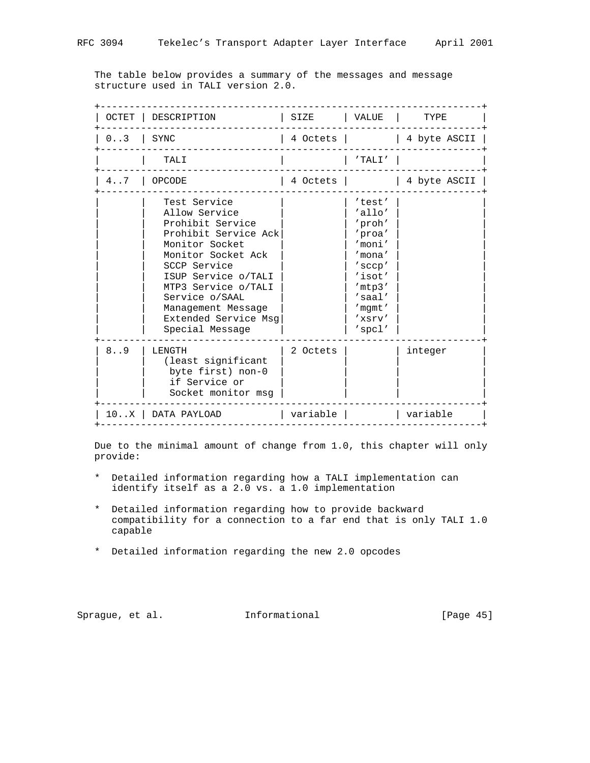The table below provides a summary of the messages and message structure used in TALI version 2.0.

| OCTET | DESCRIPTION                                                                                                                                                                                                                                                        | SIZE     | VALUE                                                                                                                                | TYPE         |
|-------|--------------------------------------------------------------------------------------------------------------------------------------------------------------------------------------------------------------------------------------------------------------------|----------|--------------------------------------------------------------------------------------------------------------------------------------|--------------|
| 0.3   | SYNC                                                                                                                                                                                                                                                               | 4 Octets |                                                                                                                                      | 4 byte ASCII |
|       | TALI                                                                                                                                                                                                                                                               |          | 'TALI'                                                                                                                               |              |
| 4.7   | <b>OPCODE</b>                                                                                                                                                                                                                                                      | 4 Octets |                                                                                                                                      | 4 byte ASCII |
|       | Test Service<br>Allow Service<br>Prohibit Service<br>Prohibit Service Ack<br>Monitor Socket<br>Monitor Socket Ack<br>SCCP Service<br>ISUP Service o/TALI<br>MTP3 Service o/TALI<br>Service o/SAAL<br>Management Message<br>Extended Service Msg<br>Special Message |          | 'test'<br>'allo'<br>'proh'<br>'proa'<br>'moni'<br>'mona'<br>'sccp'<br>'isot'<br>'mtp3'<br>$'s$ aal $'$<br>'mqmt'<br>'xsrv'<br>'spcl' |              |
| 8.9   | LENGTH<br>(least significant<br>byte first) non-0<br>if Service or<br>Socket monitor msq                                                                                                                                                                           | 2 Octets |                                                                                                                                      | integer      |
|       | 10X   DATA PAYLOAD                                                                                                                                                                                                                                                 | variable |                                                                                                                                      | variable     |

 Due to the minimal amount of change from 1.0, this chapter will only provide:

- \* Detailed information regarding how a TALI implementation can identify itself as a 2.0 vs. a 1.0 implementation
- \* Detailed information regarding how to provide backward compatibility for a connection to a far end that is only TALI 1.0 capable
- \* Detailed information regarding the new 2.0 opcodes

Sprague, et al. 1nformational [Page 45]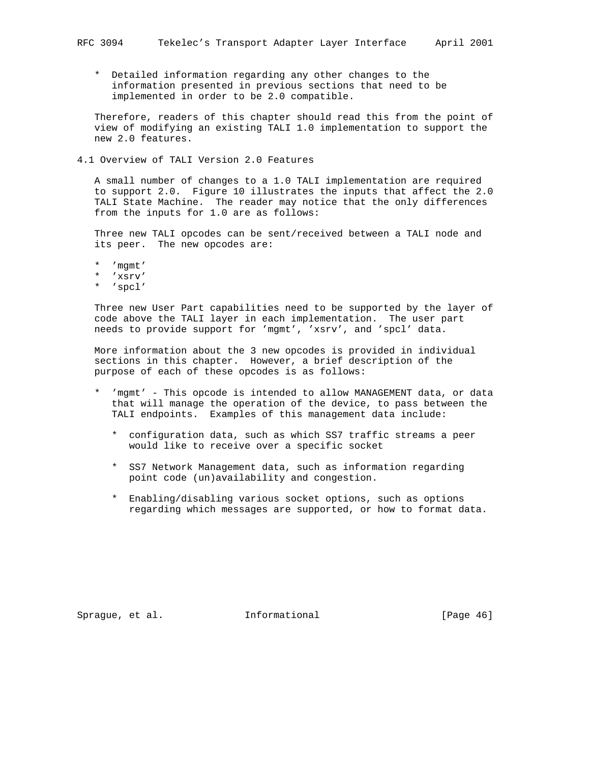\* Detailed information regarding any other changes to the information presented in previous sections that need to be implemented in order to be 2.0 compatible.

 Therefore, readers of this chapter should read this from the point of view of modifying an existing TALI 1.0 implementation to support the new 2.0 features.

4.1 Overview of TALI Version 2.0 Features

 A small number of changes to a 1.0 TALI implementation are required to support 2.0. Figure 10 illustrates the inputs that affect the 2.0 TALI State Machine. The reader may notice that the only differences from the inputs for 1.0 are as follows:

 Three new TALI opcodes can be sent/received between a TALI node and its peer. The new opcodes are:

- \* 'mgmt' \* 'xsrv'
- \* 'spcl'

 Three new User Part capabilities need to be supported by the layer of code above the TALI layer in each implementation. The user part needs to provide support for 'mgmt', 'xsrv', and 'spcl' data.

 More information about the 3 new opcodes is provided in individual sections in this chapter. However, a brief description of the purpose of each of these opcodes is as follows:

- \* 'mgmt' This opcode is intended to allow MANAGEMENT data, or data that will manage the operation of the device, to pass between the TALI endpoints. Examples of this management data include:
	- \* configuration data, such as which SS7 traffic streams a peer would like to receive over a specific socket
	- \* SS7 Network Management data, such as information regarding point code (un)availability and congestion.
	- \* Enabling/disabling various socket options, such as options regarding which messages are supported, or how to format data.

Sprague, et al. **Informational** [Page 46]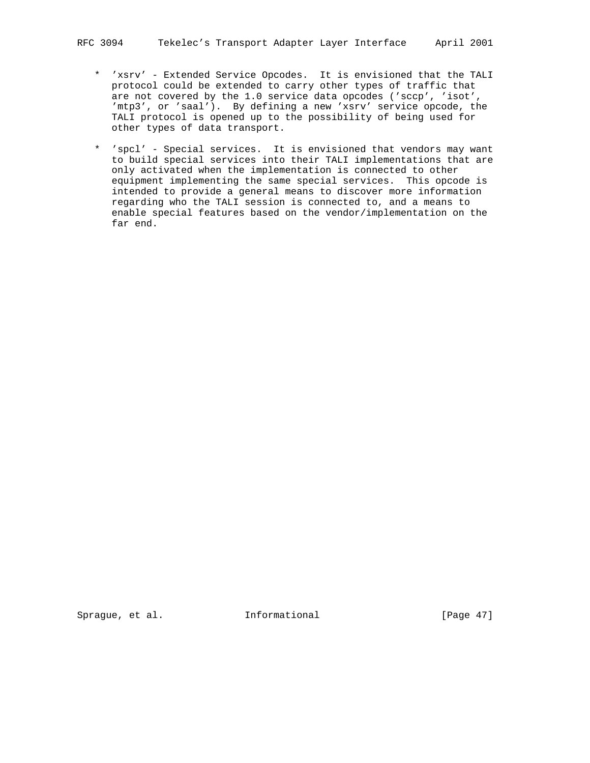- \* 'xsrv' Extended Service Opcodes. It is envisioned that the TALI protocol could be extended to carry other types of traffic that are not covered by the 1.0 service data opcodes ('sccp', 'isot', 'mtp3', or 'saal'). By defining a new 'xsrv' service opcode, the TALI protocol is opened up to the possibility of being used for other types of data transport.
- \* 'spcl' Special services. It is envisioned that vendors may want to build special services into their TALI implementations that are only activated when the implementation is connected to other equipment implementing the same special services. This opcode is intended to provide a general means to discover more information regarding who the TALI session is connected to, and a means to enable special features based on the vendor/implementation on the far end.

Sprague, et al. **Informational** [Page 47]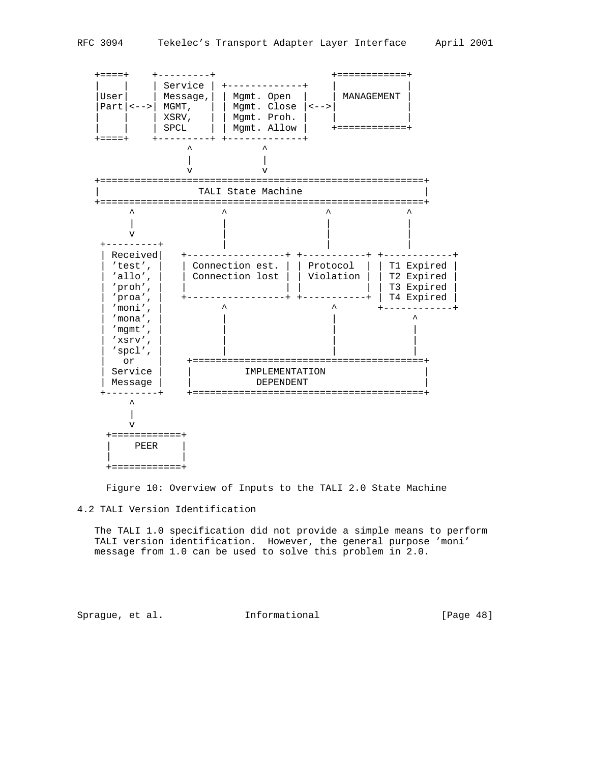

Figure 10: Overview of Inputs to the TALI 2.0 State Machine

### 4.2 TALI Version Identification

 The TALI 1.0 specification did not provide a simple means to perform TALI version identification. However, the general purpose 'moni' message from 1.0 can be used to solve this problem in 2.0.

Sprague, et al. 1nformational [Page 48]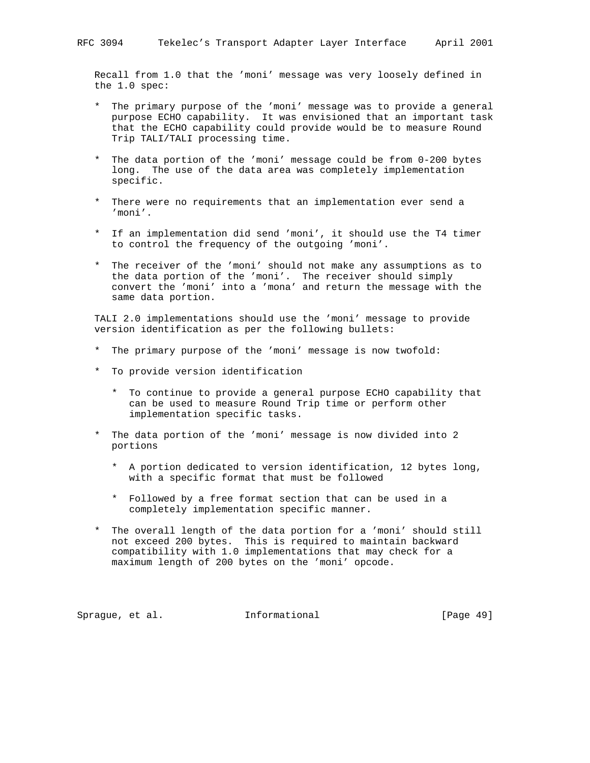Recall from 1.0 that the 'moni' message was very loosely defined in the 1.0 spec:

- \* The primary purpose of the 'moni' message was to provide a general purpose ECHO capability. It was envisioned that an important task that the ECHO capability could provide would be to measure Round Trip TALI/TALI processing time.
- \* The data portion of the 'moni' message could be from 0-200 bytes long. The use of the data area was completely implementation specific.
- \* There were no requirements that an implementation ever send a 'moni'.
- \* If an implementation did send 'moni', it should use the T4 timer to control the frequency of the outgoing 'moni'.
- \* The receiver of the 'moni' should not make any assumptions as to the data portion of the 'moni'. The receiver should simply convert the 'moni' into a 'mona' and return the message with the same data portion.

 TALI 2.0 implementations should use the 'moni' message to provide version identification as per the following bullets:

- \* The primary purpose of the 'moni' message is now twofold:
- \* To provide version identification
	- \* To continue to provide a general purpose ECHO capability that can be used to measure Round Trip time or perform other implementation specific tasks.
- The data portion of the 'moni' message is now divided into 2 portions
	- \* A portion dedicated to version identification, 12 bytes long, with a specific format that must be followed
	- \* Followed by a free format section that can be used in a completely implementation specific manner.
- \* The overall length of the data portion for a 'moni' should still not exceed 200 bytes. This is required to maintain backward compatibility with 1.0 implementations that may check for a maximum length of 200 bytes on the 'moni' opcode.

Sprague, et al. **Informational** [Page 49]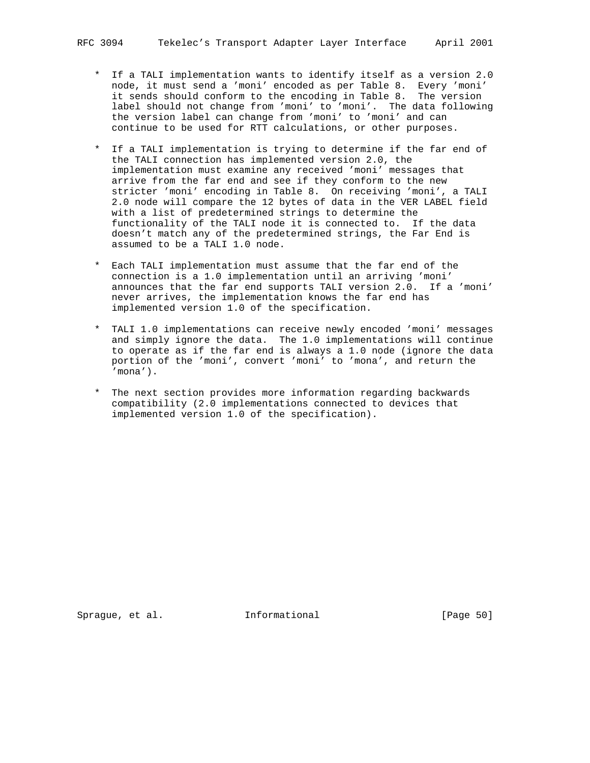- \* If a TALI implementation wants to identify itself as a version 2.0 node, it must send a 'moni' encoded as per Table 8. Every 'moni' it sends should conform to the encoding in Table 8. The version label should not change from 'moni' to 'moni'. The data following the version label can change from 'moni' to 'moni' and can continue to be used for RTT calculations, or other purposes.
- \* If a TALI implementation is trying to determine if the far end of the TALI connection has implemented version 2.0, the implementation must examine any received 'moni' messages that arrive from the far end and see if they conform to the new stricter 'moni' encoding in Table 8. On receiving 'moni', a TALI 2.0 node will compare the 12 bytes of data in the VER LABEL field with a list of predetermined strings to determine the functionality of the TALI node it is connected to. If the data doesn't match any of the predetermined strings, the Far End is assumed to be a TALI 1.0 node.
- \* Each TALI implementation must assume that the far end of the connection is a 1.0 implementation until an arriving 'moni' announces that the far end supports TALI version 2.0. If a 'moni' never arrives, the implementation knows the far end has implemented version 1.0 of the specification.
- \* TALI 1.0 implementations can receive newly encoded 'moni' messages and simply ignore the data. The 1.0 implementations will continue to operate as if the far end is always a 1.0 node (ignore the data portion of the 'moni', convert 'moni' to 'mona', and return the 'mona').
	- \* The next section provides more information regarding backwards compatibility (2.0 implementations connected to devices that implemented version 1.0 of the specification).

Sprague, et al. **Informational** [Page 50]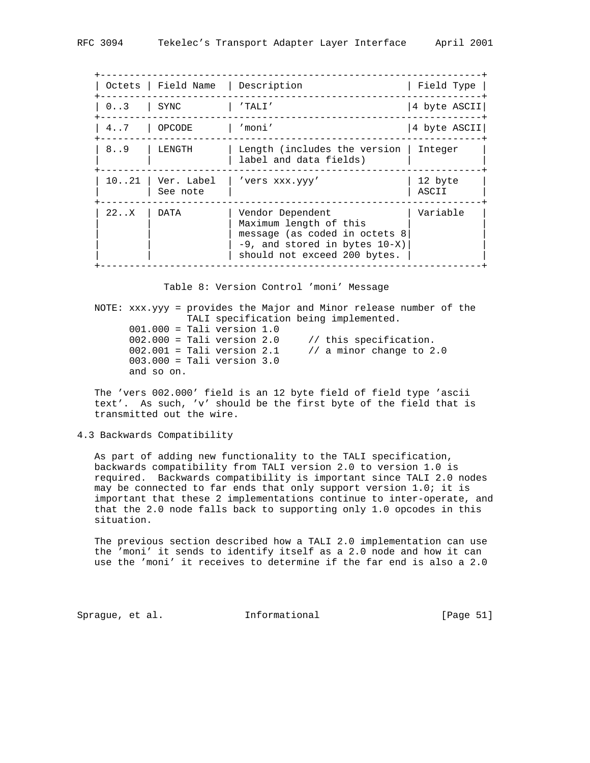|                | Octets   Field Name   Description |                                                                                                                                                    | Field Type       |
|----------------|-----------------------------------|----------------------------------------------------------------------------------------------------------------------------------------------------|------------------|
| 0.3            | SYNC                              | $'$ TALI $'$                                                                                                                                       | 4 byte ASCII     |
| $4 \ldots 7$   | OPCODE                            | 'moni'                                                                                                                                             | 4 byte ASCII     |
| 8.9            | LENGTH                            | Length (includes the version<br>label and data fields)                                                                                             | Integer          |
| $10 \ldots 21$ | Ver. Label<br>See note            | 'vers xxx.yyy'                                                                                                                                     | 12 byte<br>ASCII |
| 22. X          | DATA                              | Vendor Dependent<br>Maximum length of this<br>message (as coded in octets 8<br>$-9$ , and stored in bytes $10-X$ )<br>should not exceed 200 bytes. | Variable         |

Table 8: Version Control 'moni' Message

 NOTE: xxx.yyy = provides the Major and Minor release number of the TALI specification being implemented. 001.000 = Tali version 1.0  $002.000 =$  Tali version 2.0  $\frac{1}{100}$  this specification. 002.001 = Tali version 2.1 // a minor change to 2.0 003.000 = Tali version 3.0 and so on.

 The 'vers 002.000' field is an 12 byte field of field type 'ascii text'. As such, 'v' should be the first byte of the field that is transmitted out the wire.

### 4.3 Backwards Compatibility

 As part of adding new functionality to the TALI specification, backwards compatibility from TALI version 2.0 to version 1.0 is required. Backwards compatibility is important since TALI 2.0 nodes may be connected to far ends that only support version 1.0; it is important that these 2 implementations continue to inter-operate, and that the 2.0 node falls back to supporting only 1.0 opcodes in this situation.

 The previous section described how a TALI 2.0 implementation can use the 'moni' it sends to identify itself as a 2.0 node and how it can use the 'moni' it receives to determine if the far end is also a 2.0

Sprague, et al. **Informational** [Page 51]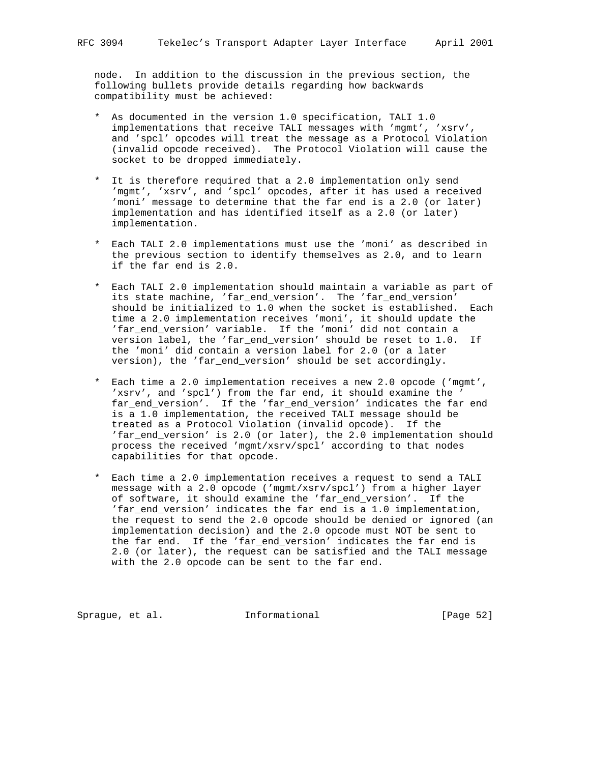node. In addition to the discussion in the previous section, the following bullets provide details regarding how backwards compatibility must be achieved:

- \* As documented in the version 1.0 specification, TALI 1.0 implementations that receive TALI messages with 'mgmt', 'xsrv', and 'spcl' opcodes will treat the message as a Protocol Violation (invalid opcode received). The Protocol Violation will cause the socket to be dropped immediately.
- \* It is therefore required that a 2.0 implementation only send 'mgmt', 'xsrv', and 'spcl' opcodes, after it has used a received 'moni' message to determine that the far end is a 2.0 (or later) implementation and has identified itself as a 2.0 (or later) implementation.
- \* Each TALI 2.0 implementations must use the 'moni' as described in the previous section to identify themselves as 2.0, and to learn if the far end is 2.0.
- \* Each TALI 2.0 implementation should maintain a variable as part of its state machine, 'far\_end\_version'. The 'far\_end\_version' should be initialized to 1.0 when the socket is established. Each time a 2.0 implementation receives 'moni', it should update the 'far\_end\_version' variable. If the 'moni' did not contain a version label, the 'far\_end\_version' should be reset to 1.0. If the 'moni' did contain a version label for 2.0 (or a later version), the 'far\_end\_version' should be set accordingly.
- \* Each time a 2.0 implementation receives a new 2.0 opcode ('mgmt', 'xsrv', and 'spcl') from the far end, it should examine the ' far\_end\_version'. If the 'far\_end\_version' indicates the far end is a 1.0 implementation, the received TALI message should be treated as a Protocol Violation (invalid opcode). If the 'far\_end\_version' is 2.0 (or later), the 2.0 implementation should process the received 'mgmt/xsrv/spcl' according to that nodes capabilities for that opcode.
- \* Each time a 2.0 implementation receives a request to send a TALI message with a 2.0 opcode ('mgmt/xsrv/spcl') from a higher layer of software, it should examine the 'far\_end\_version'. If the 'far\_end\_version' indicates the far end is a 1.0 implementation, the request to send the 2.0 opcode should be denied or ignored (an implementation decision) and the 2.0 opcode must NOT be sent to the far end. If the 'far\_end\_version' indicates the far end is 2.0 (or later), the request can be satisfied and the TALI message with the 2.0 opcode can be sent to the far end.

Sprague, et al. 1nformational 1999 [Page 52]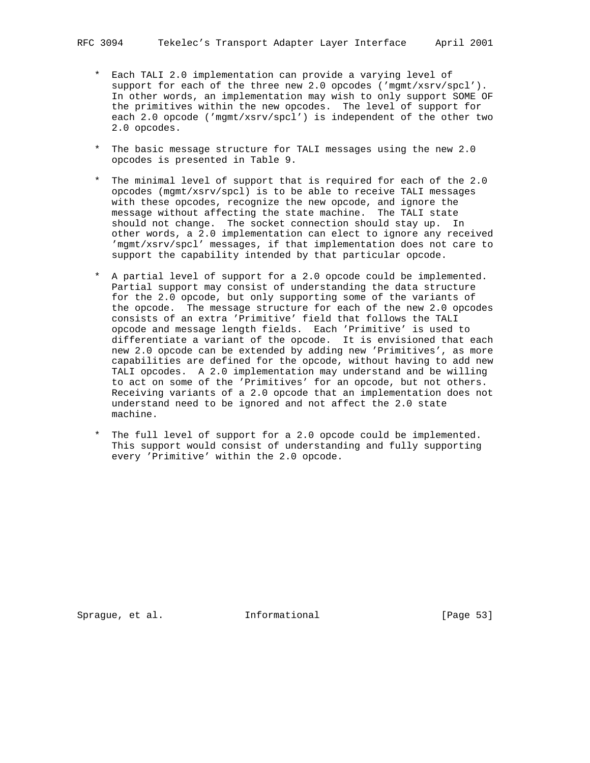- \* Each TALI 2.0 implementation can provide a varying level of support for each of the three new 2.0 opcodes ('mgmt/xsrv/spcl'). In other words, an implementation may wish to only support SOME OF the primitives within the new opcodes. The level of support for each 2.0 opcode ('mgmt/xsrv/spcl') is independent of the other two 2.0 opcodes.
- \* The basic message structure for TALI messages using the new 2.0 opcodes is presented in Table 9.
- \* The minimal level of support that is required for each of the 2.0 opcodes (mgmt/xsrv/spcl) is to be able to receive TALI messages with these opcodes, recognize the new opcode, and ignore the message without affecting the state machine. The TALI state should not change. The socket connection should stay up. In other words, a 2.0 implementation can elect to ignore any received 'mgmt/xsrv/spcl' messages, if that implementation does not care to support the capability intended by that particular opcode.
- \* A partial level of support for a 2.0 opcode could be implemented. Partial support may consist of understanding the data structure for the 2.0 opcode, but only supporting some of the variants of the opcode. The message structure for each of the new 2.0 opcodes consists of an extra 'Primitive' field that follows the TALI opcode and message length fields. Each 'Primitive' is used to differentiate a variant of the opcode. It is envisioned that each new 2.0 opcode can be extended by adding new 'Primitives', as more capabilities are defined for the opcode, without having to add new TALI opcodes. A 2.0 implementation may understand and be willing to act on some of the 'Primitives' for an opcode, but not others. Receiving variants of a 2.0 opcode that an implementation does not understand need to be ignored and not affect the 2.0 state machine.
- \* The full level of support for a 2.0 opcode could be implemented. This support would consist of understanding and fully supporting every 'Primitive' within the 2.0 opcode.

Sprague, et al. **Informational** [Page 53]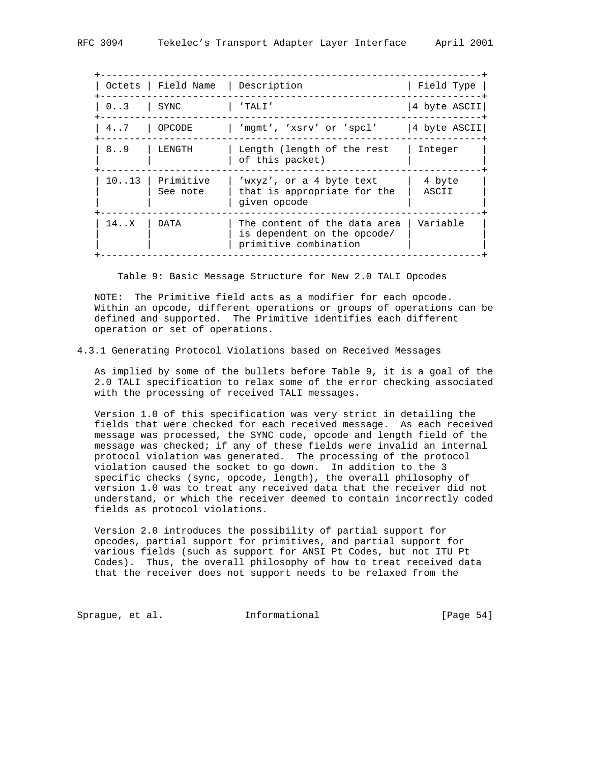|          |                                                                                      | Field Type                        |
|----------|--------------------------------------------------------------------------------------|-----------------------------------|
|          | $'$ TALI $'$                                                                         | 4 byte ASCII                      |
| OPCODE   | 'mqmt', 'xsrv' or 'spcl'                                                             | 4 byte ASCII                      |
| LENGTH   | Length (length of the rest<br>of this packet)                                        | Integer                           |
| See note | 'wxyz', or a 4 byte text<br>that is appropriate for the<br>given opcode              | 4 byte<br>ASCII                   |
| DATA     | The content of the data area<br>is dependent on the opcode/<br>primitive combination | Variable                          |
|          | SYNC<br>$1013$ Primitive                                                             | Octets   Field Name   Description |

Table 9: Basic Message Structure for New 2.0 TALI Opcodes

 NOTE: The Primitive field acts as a modifier for each opcode. Within an opcode, different operations or groups of operations can be defined and supported. The Primitive identifies each different operation or set of operations.

#### 4.3.1 Generating Protocol Violations based on Received Messages

 As implied by some of the bullets before Table 9, it is a goal of the 2.0 TALI specification to relax some of the error checking associated with the processing of received TALI messages.

 Version 1.0 of this specification was very strict in detailing the fields that were checked for each received message. As each received message was processed, the SYNC code, opcode and length field of the message was checked; if any of these fields were invalid an internal protocol violation was generated. The processing of the protocol violation caused the socket to go down. In addition to the 3 specific checks (sync, opcode, length), the overall philosophy of version 1.0 was to treat any received data that the receiver did not understand, or which the receiver deemed to contain incorrectly coded fields as protocol violations.

 Version 2.0 introduces the possibility of partial support for opcodes, partial support for primitives, and partial support for various fields (such as support for ANSI Pt Codes, but not ITU Pt Codes). Thus, the overall philosophy of how to treat received data that the receiver does not support needs to be relaxed from the

Sprague, et al. **Informational** [Page 54]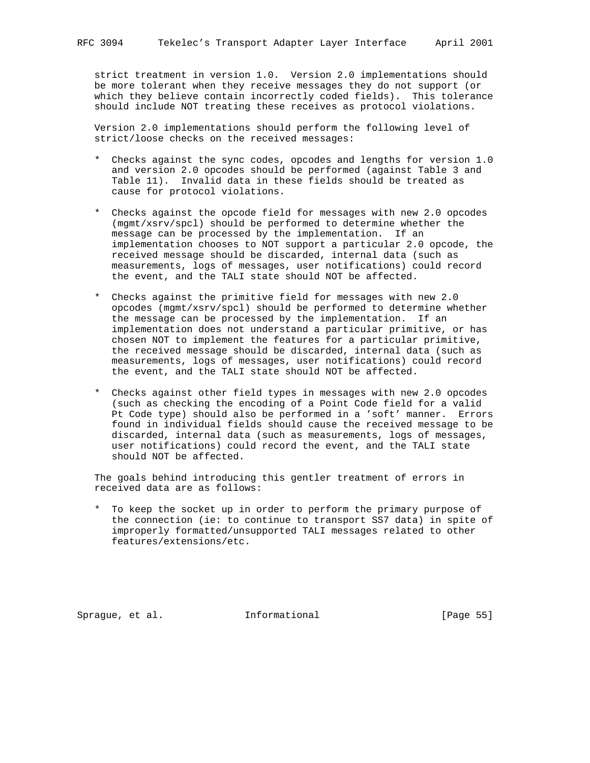strict treatment in version 1.0. Version 2.0 implementations should be more tolerant when they receive messages they do not support (or which they believe contain incorrectly coded fields). This tolerance should include NOT treating these receives as protocol violations.

 Version 2.0 implementations should perform the following level of strict/loose checks on the received messages:

- \* Checks against the sync codes, opcodes and lengths for version 1.0 and version 2.0 opcodes should be performed (against Table 3 and Table 11). Invalid data in these fields should be treated as cause for protocol violations.
- \* Checks against the opcode field for messages with new 2.0 opcodes (mgmt/xsrv/spcl) should be performed to determine whether the message can be processed by the implementation. If an implementation chooses to NOT support a particular 2.0 opcode, the received message should be discarded, internal data (such as measurements, logs of messages, user notifications) could record the event, and the TALI state should NOT be affected.
- \* Checks against the primitive field for messages with new 2.0 opcodes (mgmt/xsrv/spcl) should be performed to determine whether the message can be processed by the implementation. If an implementation does not understand a particular primitive, or has chosen NOT to implement the features for a particular primitive, the received message should be discarded, internal data (such as measurements, logs of messages, user notifications) could record the event, and the TALI state should NOT be affected.
- \* Checks against other field types in messages with new 2.0 opcodes (such as checking the encoding of a Point Code field for a valid Pt Code type) should also be performed in a 'soft' manner. Errors found in individual fields should cause the received message to be discarded, internal data (such as measurements, logs of messages, user notifications) could record the event, and the TALI state should NOT be affected.

 The goals behind introducing this gentler treatment of errors in received data are as follows:

 \* To keep the socket up in order to perform the primary purpose of the connection (ie: to continue to transport SS7 data) in spite of improperly formatted/unsupported TALI messages related to other features/extensions/etc.

Sprague, et al. **Informational** [Page 55]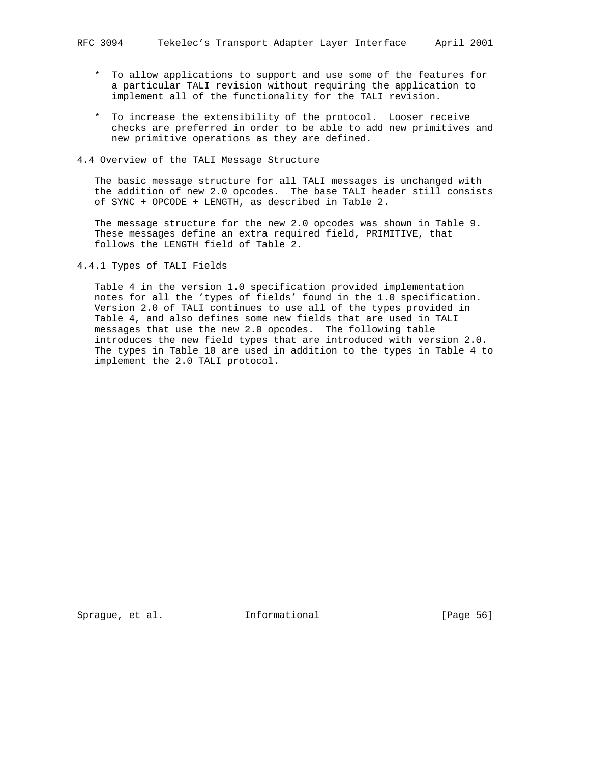- \* To allow applications to support and use some of the features for a particular TALI revision without requiring the application to implement all of the functionality for the TALI revision.
- \* To increase the extensibility of the protocol. Looser receive checks are preferred in order to be able to add new primitives and new primitive operations as they are defined.
- 4.4 Overview of the TALI Message Structure

 The basic message structure for all TALI messages is unchanged with the addition of new 2.0 opcodes. The base TALI header still consists of SYNC + OPCODE + LENGTH, as described in Table 2.

 The message structure for the new 2.0 opcodes was shown in Table 9. These messages define an extra required field, PRIMITIVE, that follows the LENGTH field of Table 2.

4.4.1 Types of TALI Fields

 Table 4 in the version 1.0 specification provided implementation notes for all the 'types of fields' found in the 1.0 specification. Version 2.0 of TALI continues to use all of the types provided in Table 4, and also defines some new fields that are used in TALI messages that use the new 2.0 opcodes. The following table introduces the new field types that are introduced with version 2.0. The types in Table 10 are used in addition to the types in Table 4 to implement the 2.0 TALI protocol.

Sprague, et al. **Informational** [Page 56]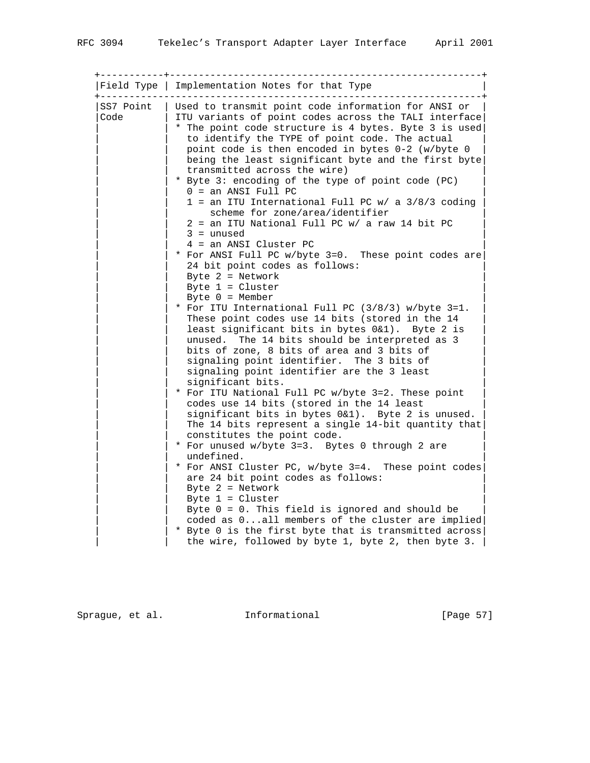| Field Type        | Implementation Notes for that Type                                                                                                                                                                                                                                                                                                                                                                                                                                                                                                                                                                                                                                                                                                                                                                           |
|-------------------|--------------------------------------------------------------------------------------------------------------------------------------------------------------------------------------------------------------------------------------------------------------------------------------------------------------------------------------------------------------------------------------------------------------------------------------------------------------------------------------------------------------------------------------------------------------------------------------------------------------------------------------------------------------------------------------------------------------------------------------------------------------------------------------------------------------|
| SS7 Point<br>Code | Used to transmit point code information for ANSI or<br>ITU variants of point codes across the TALI interface<br>* The point code structure is 4 bytes. Byte 3 is used<br>to identify the TYPE of point code. The actual<br>point code is then encoded in bytes 0-2 (w/byte 0<br>being the least significant byte and the first byte<br>transmitted across the wire)<br>* Byte 3: encoding of the type of point code (PC)<br>$0 = an ANSI Full PC$<br>$1$ = an ITU International Full PC w/ a $3/8/3$ coding<br>scheme for zone/area/identifier<br>2 = an ITU National Full PC w/ a raw 14 bit PC<br>$3 =$ unused<br>4 = an ANSI Cluster PC<br>* For ANSI Full PC w/byte 3=0. These point codes are<br>24 bit point codes as follows:<br>Byte $2 =$ Network<br>Byte $1 =$ Cluster<br>Byte $0 = \text{Member}$ |
|                   | * For ITU International Full PC (3/8/3) w/byte 3=1.<br>These point codes use 14 bits (stored in the 14<br>least significant bits in bytes 0&1). Byte 2 is<br>unused. The 14 bits should be interpreted as 3<br>bits of zone, 8 bits of area and 3 bits of<br>signaling point identifier. The 3 bits of                                                                                                                                                                                                                                                                                                                                                                                                                                                                                                       |
|                   | signaling point identifier are the 3 least<br>significant bits.<br>* For ITU National Full PC w/byte 3=2. These point<br>codes use 14 bits (stored in the 14 least<br>significant bits in bytes 0&1). Byte 2 is unused.<br>The 14 bits represent a single 14-bit quantity that<br>constitutes the point code.                                                                                                                                                                                                                                                                                                                                                                                                                                                                                                |
|                   | * For unused w/byte 3=3. Bytes 0 through 2 are<br>undefined.<br>* For ANSI Cluster PC, w/byte 3=4. These point codes<br>are 24 bit point codes as follows:<br>Byte $2 =$ Network<br>Byte $1 =$ Cluster<br>Byte $0 = 0$ . This field is ignored and should be                                                                                                                                                                                                                                                                                                                                                                                                                                                                                                                                                 |
|                   | coded as 0all members of the cluster are implied<br>* Byte 0 is the first byte that is transmitted across<br>the wire, followed by byte 1, byte 2, then byte 3. $ $                                                                                                                                                                                                                                                                                                                                                                                                                                                                                                                                                                                                                                          |

Sprague, et al. 1nformational 1999 [Page 57]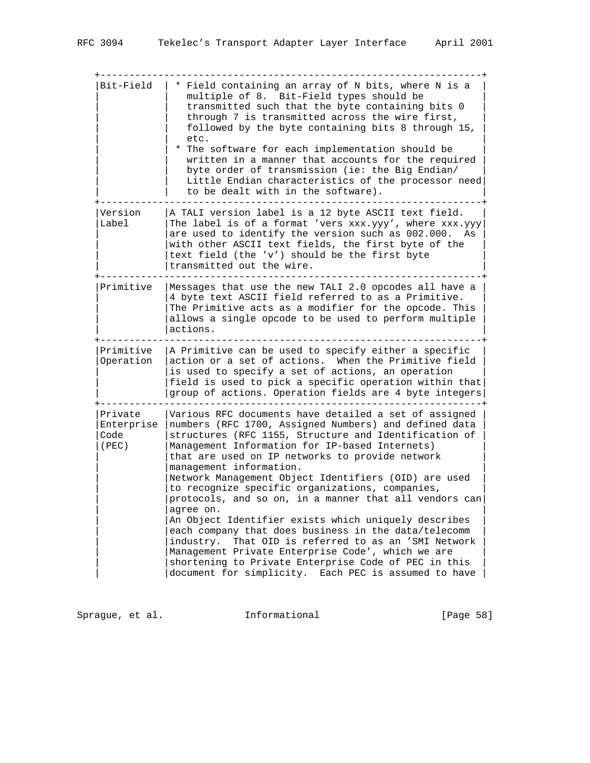+------------------------------------------------------------------+  $Bit-Field$  | \* Field containing an array of N bits, where N is a multiple of 8. Bit-Field types should be transmitted such that the byte containing bits 0 through 7 is transmitted across the wire first, followed by the byte containing bits 8 through 15, | | etc. | \* The software for each implementation should be written in a manner that accounts for the required byte order of transmission (ie: the Big Endian/ Little Endian characteristics of the processor need | to be dealt with in the software). +------------------------------------------------------------------+ Version  $|A|$  TALI version label is a 12 byte ASCII text field.<br>Label  $|The$  label is of a format 'vers yyy van' where yyy v Label  $|$ The label is of a format 'vers xxx.yyy', where xxx.yyy are used to identify the version such as 002.000. As | |with other ASCII text fields, the first byte of the | | text field (the 'v') should be the first byte | |transmitted out the wire. | +------------------------------------------------------------------+ |Primitive |Messages that use the new TALI 2.0 opcodes all have a | | |4 byte text ASCII field referred to as a Primitive. | | |The Primitive acts as a modifier for the opcode. This | | |allows a single opcode to be used to perform multiple | | actions. +------------------------------------------------------------------+ Primitive  $|A$  Primitive can be used to specify either a specific Operation  $|$  action or a set of actions. When the Primitive field | |is used to specify a set of actions, an operation | | |field is used to pick a specific operation within that| | |group of actions. Operation fields are 4 byte integers| +------------------------------------------------------------------+ |Private |Various RFC documents have detailed a set of assigned | |Enterprise |numbers (RFC 1700, Assigned Numbers) and defined data |  $\text{Code}$  |structures (RFC 1155, Structure and Identification of |(PEC) |Management Information for IP-based Internets) | | |that are used on IP networks to provide network | management information. | |Network Management Object Identifiers (OID) are used | | |to recognize specific organizations, companies, |  $|$  protocols, and so on, in a manner that all vendors can $|$ agree on. An Object Identifier exists which uniquely describes each company that does business in the data/telecomm | |industry. That OID is referred to as an 'SMI Network | | |Management Private Enterprise Code', which we are | | shortening to Private Enterprise Code of PEC in this | |document for simplicity. Each PEC is assumed to have |

Sprague, et al. **Informational** [Page 58]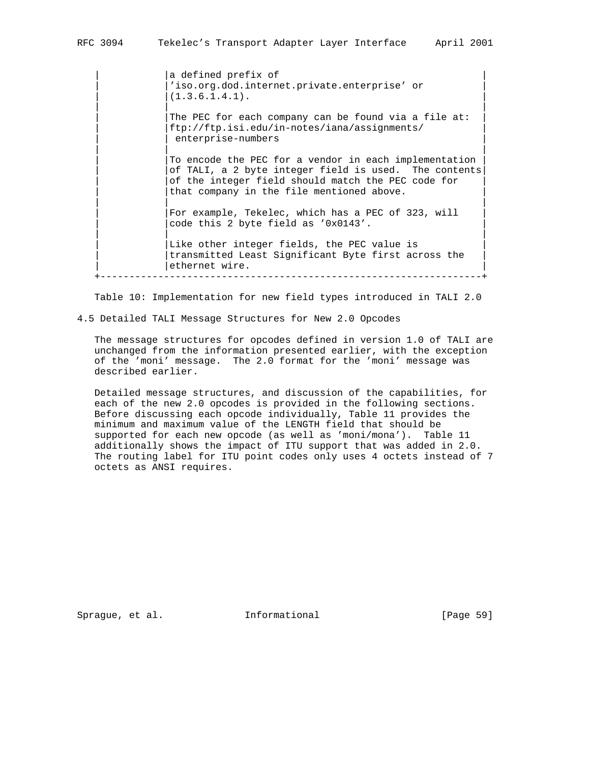|a defined prefix of 'iso.org.dod.internet.private.enterprise' or  $(1.3.6.1.4.1).$  | | | The PEC for each company can be found via a file at: | |ftp://ftp.isi.edu/in-notes/iana/assignments/ | enterprise-numbers | | | To encode the PEC for a vendor in each implementation of TALI, a 2 byte integer field is used. The contents of the integer field should match the PEC code for that company in the file mentioned above. | | | For example, Tekelec, which has a PEC of 323, will code this 2 byte field as '0x0143'. | | | Like other integer fields, the PEC value is transmitted Least Significant Byte first across the ethernet wire.

Table 10: Implementation for new field types introduced in TALI 2.0

+------------------------------------------------------------------+

4.5 Detailed TALI Message Structures for New 2.0 Opcodes

 The message structures for opcodes defined in version 1.0 of TALI are unchanged from the information presented earlier, with the exception of the 'moni' message. The 2.0 format for the 'moni' message was described earlier.

 Detailed message structures, and discussion of the capabilities, for each of the new 2.0 opcodes is provided in the following sections. Before discussing each opcode individually, Table 11 provides the minimum and maximum value of the LENGTH field that should be supported for each new opcode (as well as 'moni/mona'). Table 11 additionally shows the impact of ITU support that was added in 2.0. The routing label for ITU point codes only uses 4 octets instead of 7 octets as ANSI requires.

Sprague, et al. **Informational** [Page 59]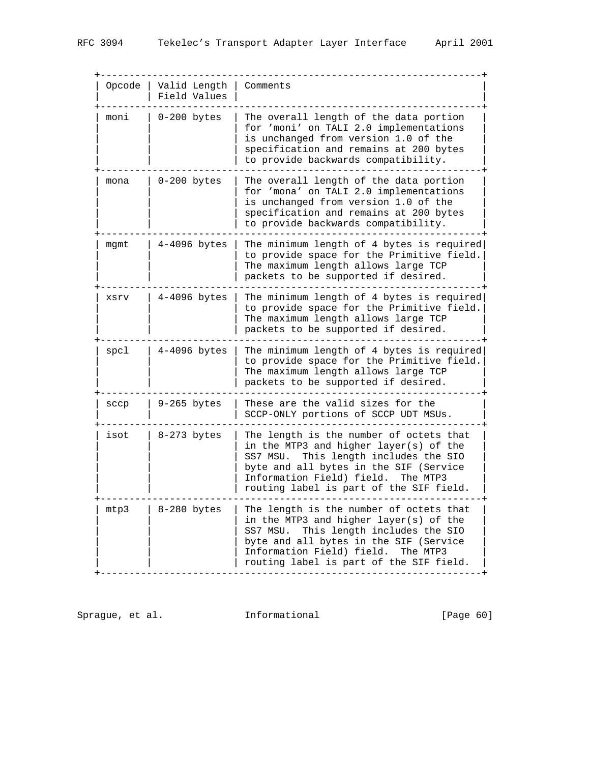| Opcode | Valid Length<br>Field Values | Comments                                                                                                                                                                                                                                                    |
|--------|------------------------------|-------------------------------------------------------------------------------------------------------------------------------------------------------------------------------------------------------------------------------------------------------------|
| moni   | $0-200$ bytes                | The overall length of the data portion<br>for 'moni' on TALI 2.0 implementations<br>is unchanged from version 1.0 of the<br>specification and remains at 200 bytes<br>to provide backwards compatibility.                                                   |
| mona   | $0-200$ bytes                | The overall length of the data portion<br>for 'mona' on TALI 2.0 implementations<br>is unchanged from version 1.0 of the<br>specification and remains at 200 bytes<br>to provide backwards compatibility.                                                   |
| mgmt   | $4-4096$ bytes               | The minimum length of 4 bytes is required<br>to provide space for the Primitive field.<br>The maximum length allows large TCP<br>packets to be supported if desired.                                                                                        |
| XSYV   | $4-4096$ bytes               | The minimum length of 4 bytes is required<br>to provide space for the Primitive field.<br>The maximum length allows large TCP<br>packets to be supported if desired.                                                                                        |
| spcl   | $4-4096$ bytes               | The minimum length of 4 bytes is required<br>to provide space for the Primitive field.<br>The maximum length allows large TCP<br>packets to be supported if desired.                                                                                        |
| sccp   | $9-265$ bytes                | These are the valid sizes for the<br>SCCP-ONLY portions of SCCP UDT MSUs.                                                                                                                                                                                   |
| isot   | 8-273 bytes                  | The length is the number of octets that<br>in the MTP3 and higher layer(s) of the<br>This length includes the SIO<br>SS7 MSU.<br>byte and all bytes in the SIF (Service<br>Information Field) field.<br>The MTP3<br>routing label is part of the SIF field. |
| mtp3   | 8-280 bytes                  | The length is the number of octets that<br>in the MTP3 and higher layer(s) of the<br>This length includes the SIO<br>SS7 MSU.<br>byte and all bytes in the SIF (Service<br>Information Field) field.<br>The MTP3<br>routing label is part of the SIF field. |

Sprague, et al. 1nformational 1999 [Page 60]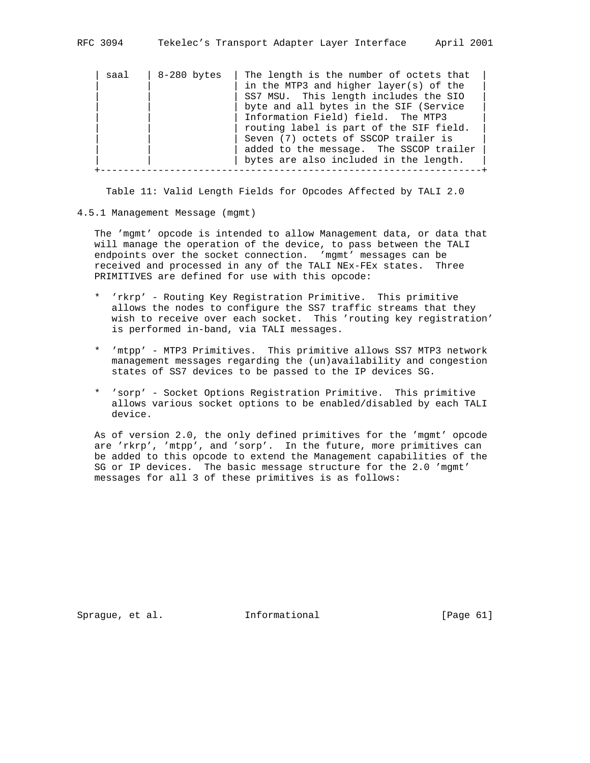|  | RFC 3094 |  |  |  |  | Tekelec's Transport Adapter Layer Interface | April 2001 |
|--|----------|--|--|--|--|---------------------------------------------|------------|
|--|----------|--|--|--|--|---------------------------------------------|------------|

| saal | 8-280 bytes | The length is the number of octets that |
|------|-------------|-----------------------------------------|
|      |             | in the MTP3 and higher layer(s) of the  |
|      |             | SS7 MSU. This length includes the SIO   |
|      |             | byte and all bytes in the SIF (Service  |
|      |             | Information Field) field. The MTP3      |
|      |             | routing label is part of the SIF field. |
|      |             | Seven (7) octets of SSCOP trailer is    |
|      |             | added to the message. The SSCOP trailer |
|      |             | bytes are also included in the length.  |
|      |             |                                         |

Table 11: Valid Length Fields for Opcodes Affected by TALI 2.0

#### 4.5.1 Management Message (mgmt)

 The 'mgmt' opcode is intended to allow Management data, or data that will manage the operation of the device, to pass between the TALI endpoints over the socket connection. 'mgmt' messages can be received and processed in any of the TALI NEx-FEx states. Three PRIMITIVES are defined for use with this opcode:

- \* 'rkrp' Routing Key Registration Primitive. This primitive allows the nodes to configure the SS7 traffic streams that they wish to receive over each socket. This 'routing key registration' is performed in-band, via TALI messages.
- \* 'mtpp' MTP3 Primitives. This primitive allows SS7 MTP3 network management messages regarding the (un)availability and congestion states of SS7 devices to be passed to the IP devices SG.
- \* 'sorp' Socket Options Registration Primitive. This primitive allows various socket options to be enabled/disabled by each TALI device.

 As of version 2.0, the only defined primitives for the 'mgmt' opcode are 'rkrp', 'mtpp', and 'sorp'. In the future, more primitives can be added to this opcode to extend the Management capabilities of the SG or IP devices. The basic message structure for the 2.0 'mgmt' messages for all 3 of these primitives is as follows:

Sprague, et al. **Informational** [Page 61]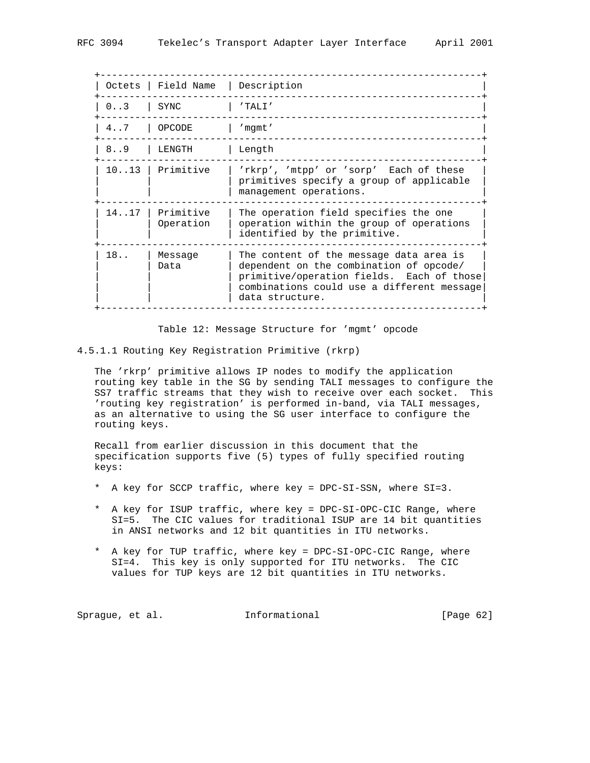|              | Octets   Field Name   Description |                                                                                                                                                                                                  |
|--------------|-----------------------------------|--------------------------------------------------------------------------------------------------------------------------------------------------------------------------------------------------|
| $0 \ldots 3$ | SYNC                              | 'TALI'                                                                                                                                                                                           |
| $4 \ldots 7$ | OPCODE                            | 'mqmt'                                                                                                                                                                                           |
| 8.09         | LENGTH                            | Length                                                                                                                                                                                           |
| 10.13        | Primitive                         | 'rkrp', 'mtpp' or 'sorp' Each of these<br>primitives specify a group of applicable<br>management operations.                                                                                     |
| 1417         | Primitive<br>Operation            | The operation field specifies the one<br>operation within the group of operations<br>identified by the primitive.                                                                                |
| $18.$ .      | Message<br>Data                   | The content of the message data area is<br>dependent on the combination of opcode/<br>primitive/operation fields. Each of those<br>combinations could use a different message<br>data structure. |

Table 12: Message Structure for 'mgmt' opcode

4.5.1.1 Routing Key Registration Primitive (rkrp)

 The 'rkrp' primitive allows IP nodes to modify the application routing key table in the SG by sending TALI messages to configure the SS7 traffic streams that they wish to receive over each socket. This 'routing key registration' is performed in-band, via TALI messages, as an alternative to using the SG user interface to configure the routing keys.

 Recall from earlier discussion in this document that the specification supports five (5) types of fully specified routing keys:

- \* A key for SCCP traffic, where key = DPC-SI-SSN, where SI=3.
- \* A key for ISUP traffic, where key = DPC-SI-OPC-CIC Range, where SI=5. The CIC values for traditional ISUP are 14 bit quantities in ANSI networks and 12 bit quantities in ITU networks.
- \* A key for TUP traffic, where key = DPC-SI-OPC-CIC Range, where SI=4. This key is only supported for ITU networks. The CIC values for TUP keys are 12 bit quantities in ITU networks.

Sprague, et al. **Informational** [Page 62]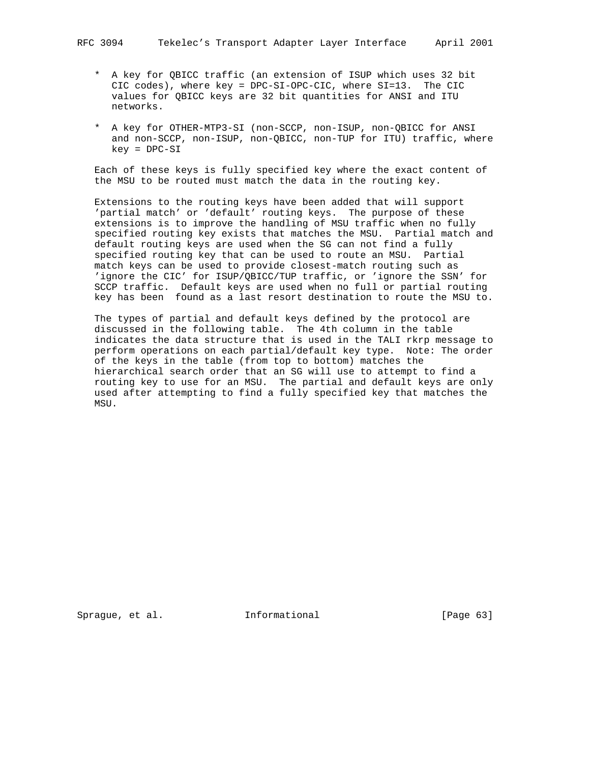- \* A key for QBICC traffic (an extension of ISUP which uses 32 bit CIC codes), where key = DPC-SI-OPC-CIC, where SI=13. The CIC values for QBICC keys are 32 bit quantities for ANSI and ITU networks.
- \* A key for OTHER-MTP3-SI (non-SCCP, non-ISUP, non-QBICC for ANSI and non-SCCP, non-ISUP, non-QBICC, non-TUP for ITU) traffic, where key = DPC-SI

 Each of these keys is fully specified key where the exact content of the MSU to be routed must match the data in the routing key.

 Extensions to the routing keys have been added that will support 'partial match' or 'default' routing keys. The purpose of these extensions is to improve the handling of MSU traffic when no fully specified routing key exists that matches the MSU. Partial match and default routing keys are used when the SG can not find a fully specified routing key that can be used to route an MSU. Partial match keys can be used to provide closest-match routing such as 'ignore the CIC' for ISUP/QBICC/TUP traffic, or 'ignore the SSN' for SCCP traffic. Default keys are used when no full or partial routing key has been found as a last resort destination to route the MSU to.

 The types of partial and default keys defined by the protocol are discussed in the following table. The 4th column in the table indicates the data structure that is used in the TALI rkrp message to perform operations on each partial/default key type. Note: The order of the keys in the table (from top to bottom) matches the hierarchical search order that an SG will use to attempt to find a routing key to use for an MSU. The partial and default keys are only used after attempting to find a fully specified key that matches the MSU.

Sprague, et al. **Informational** [Page 63]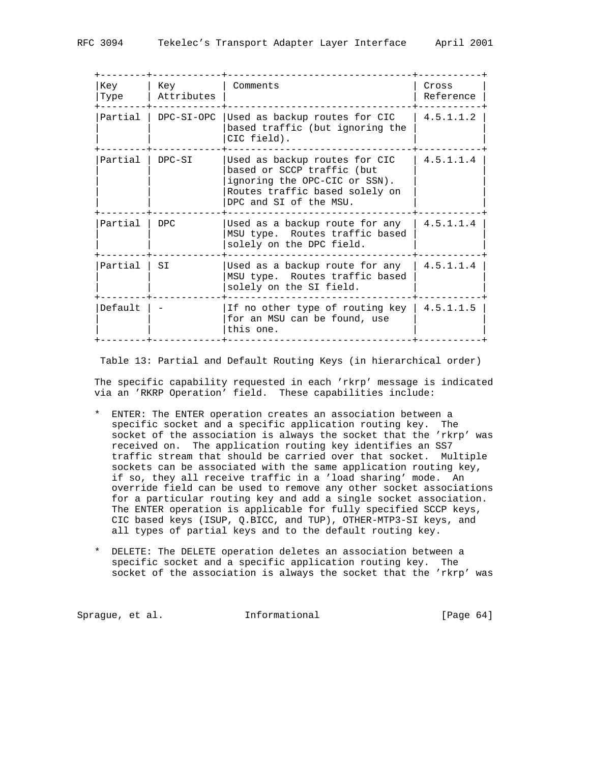| Key<br>Attributes | Comments                                                                                                                                                 | Cross<br>Reference                            |
|-------------------|----------------------------------------------------------------------------------------------------------------------------------------------------------|-----------------------------------------------|
| DPC-SI-OPC        | Used as backup routes for CIC<br>based traffic (but ignoring the<br>CIC field).                                                                          | 4.5.1.1.2                                     |
| DPC-SI            | Used as backup routes for CIC<br>based or SCCP traffic (but<br>ignoring the OPC-CIC or SSN).<br>Routes traffic based solely on<br>DPC and SI of the MSU. | 4.5.1.1.4                                     |
| DPC               | Used as a backup route for any<br>MSU type. Routes traffic based<br>solely on the DPC field.                                                             | 4.5.1.1.4                                     |
| SI                | Used as a backup route for any<br>MSU type. Routes traffic based<br>solely on the SI field.                                                              | 4.5.1.1.4                                     |
|                   | for an MSU can be found, use<br>this one.                                                                                                                |                                               |
|                   |                                                                                                                                                          | If no other type of routing key   $4.5.1.1.5$ |

Table 13: Partial and Default Routing Keys (in hierarchical order)

 The specific capability requested in each 'rkrp' message is indicated via an 'RKRP Operation' field. These capabilities include:

- \* ENTER: The ENTER operation creates an association between a specific socket and a specific application routing key. The socket of the association is always the socket that the 'rkrp' was received on. The application routing key identifies an SS7 traffic stream that should be carried over that socket. Multiple sockets can be associated with the same application routing key, if so, they all receive traffic in a 'load sharing' mode. An override field can be used to remove any other socket associations for a particular routing key and add a single socket association. The ENTER operation is applicable for fully specified SCCP keys, CIC based keys (ISUP, Q.BICC, and TUP), OTHER-MTP3-SI keys, and all types of partial keys and to the default routing key.
- \* DELETE: The DELETE operation deletes an association between a specific socket and a specific application routing key. The socket of the association is always the socket that the 'rkrp' was

Sprague, et al. **Informational** [Page 64]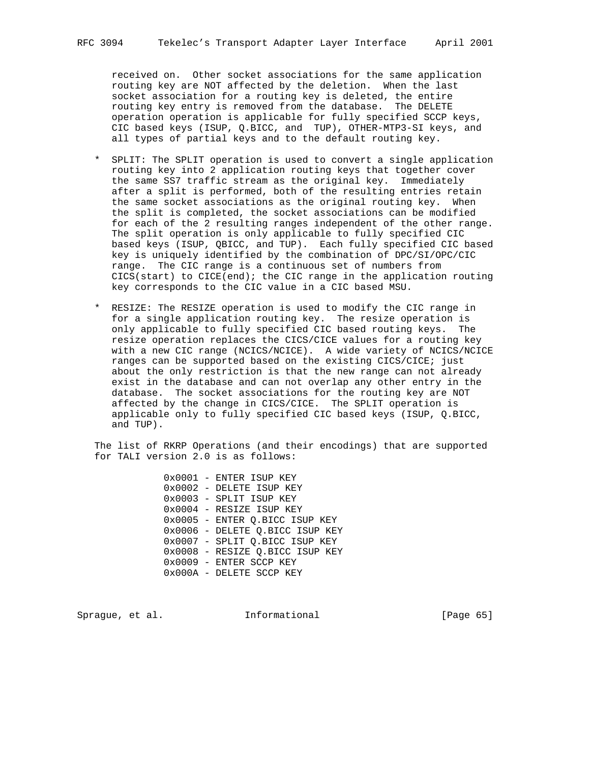received on. Other socket associations for the same application routing key are NOT affected by the deletion. When the last socket association for a routing key is deleted, the entire routing key entry is removed from the database. The DELETE operation operation is applicable for fully specified SCCP keys, CIC based keys (ISUP, Q.BICC, and TUP), OTHER-MTP3-SI keys, and all types of partial keys and to the default routing key.

- \* SPLIT: The SPLIT operation is used to convert a single application routing key into 2 application routing keys that together cover the same SS7 traffic stream as the original key. Immediately after a split is performed, both of the resulting entries retain the same socket associations as the original routing key. When the split is completed, the socket associations can be modified for each of the 2 resulting ranges independent of the other range. The split operation is only applicable to fully specified CIC based keys (ISUP, QBICC, and TUP). Each fully specified CIC based key is uniquely identified by the combination of DPC/SI/OPC/CIC range. The CIC range is a continuous set of numbers from  $CICS(start)$  to  $CICE(end)$ ; the CIC range in the application routing key corresponds to the CIC value in a CIC based MSU.
- \* RESIZE: The RESIZE operation is used to modify the CIC range in for a single application routing key. The resize operation is only applicable to fully specified CIC based routing keys. The resize operation replaces the CICS/CICE values for a routing key with a new CIC range (NCICS/NCICE). A wide variety of NCICS/NCICE ranges can be supported based on the existing CICS/CICE; just about the only restriction is that the new range can not already exist in the database and can not overlap any other entry in the database. The socket associations for the routing key are NOT affected by the change in CICS/CICE. The SPLIT operation is applicable only to fully specified CIC based keys (ISUP, Q.BICC, and TUP).

 The list of RKRP Operations (and their encodings) that are supported for TALI version 2.0 is as follows:

> 0x0001 - ENTER ISUP KEY 0x0002 - DELETE ISUP KEY 0x0003 - SPLIT ISUP KEY 0x0004 - RESIZE ISUP KEY 0x0005 - ENTER Q.BICC ISUP KEY 0x0006 - DELETE Q.BICC ISUP KEY 0x0007 - SPLIT Q.BICC ISUP KEY 0x0008 - RESIZE Q.BICC ISUP KEY 0x0009 - ENTER SCCP KEY 0x000A - DELETE SCCP KEY

Sprague, et al. **Informational** [Page 65]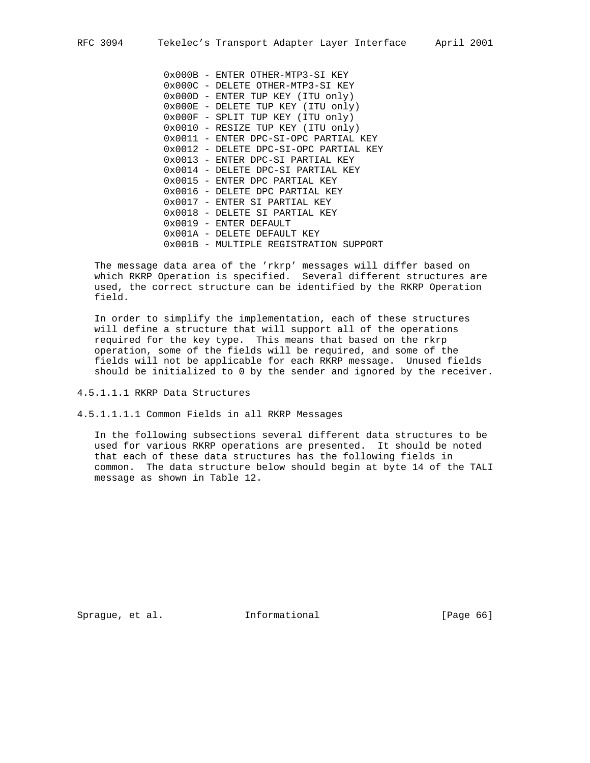0x000B - ENTER OTHER-MTP3-SI KEY 0x000C - DELETE OTHER-MTP3-SI KEY 0x000D - ENTER TUP KEY (ITU only) 0x000E - DELETE TUP KEY (ITU only) 0x000F - SPLIT TUP KEY (ITU only) 0x0010 - RESIZE TUP KEY (ITU only) 0x0011 - ENTER DPC-SI-OPC PARTIAL KEY 0x0012 - DELETE DPC-SI-OPC PARTIAL KEY 0x0013 - ENTER DPC-SI PARTIAL KEY 0x0014 - DELETE DPC-SI PARTIAL KEY 0x0015 - ENTER DPC PARTIAL KEY 0x0016 - DELETE DPC PARTIAL KEY 0x0017 - ENTER SI PARTIAL KEY 0x0018 - DELETE SI PARTIAL KEY 0x0019 - ENTER DEFAULT 0x001A - DELETE DEFAULT KEY 0x001B - MULTIPLE REGISTRATION SUPPORT

 The message data area of the 'rkrp' messages will differ based on which RKRP Operation is specified. Several different structures are used, the correct structure can be identified by the RKRP Operation field.

 In order to simplify the implementation, each of these structures will define a structure that will support all of the operations required for the key type. This means that based on the rkrp operation, some of the fields will be required, and some of the fields will not be applicable for each RKRP message. Unused fields should be initialized to 0 by the sender and ignored by the receiver.

4.5.1.1.1 RKRP Data Structures

4.5.1.1.1.1 Common Fields in all RKRP Messages

 In the following subsections several different data structures to be used for various RKRP operations are presented. It should be noted that each of these data structures has the following fields in common. The data structure below should begin at byte 14 of the TALI message as shown in Table 12.

Sprague, et al. **Informational** [Page 66]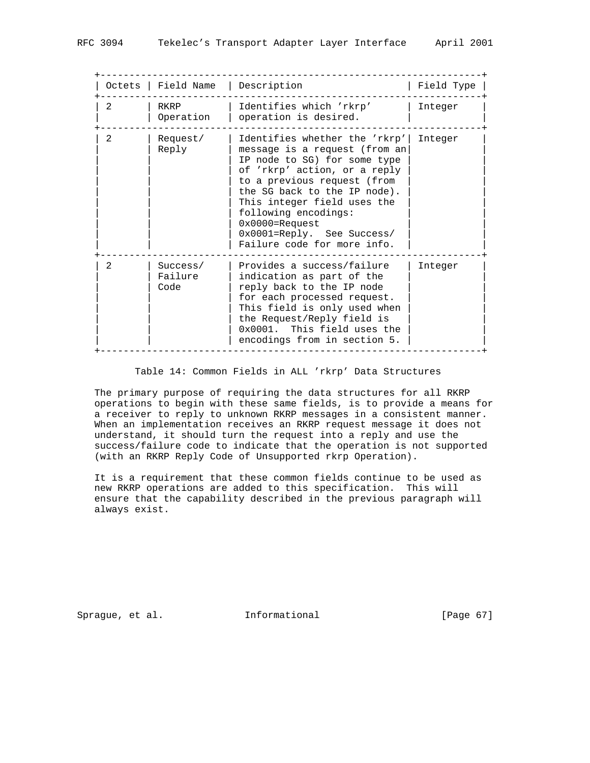|                | Octets   Field Name         | Description                                                                                                                                                                                                                                                                                                                             | Field Type |
|----------------|-----------------------------|-----------------------------------------------------------------------------------------------------------------------------------------------------------------------------------------------------------------------------------------------------------------------------------------------------------------------------------------|------------|
| $\mathcal{L}$  | RKRP<br>Operation           | Identifies which 'rkrp'<br>operation is desired.                                                                                                                                                                                                                                                                                        | Integer    |
| $\mathfrak{D}$ | Request/<br>Reply           | Identifies whether the 'rkrp'<br>message is a request (from an<br>IP node to SG) for some type<br>of 'rkrp' action, or a reply<br>to a previous request (from<br>the SG back to the IP node).<br>This integer field uses the<br>following encodings:<br>$0x0000 =$ Request<br>0x0001=Reply. See Success/<br>Failure code for more info. | Integer    |
| $\mathfrak{D}$ | Success/<br>Failure<br>Code | Provides a success/failure<br>indication as part of the<br>reply back to the IP node<br>for each processed request.<br>This field is only used when<br>the Request/Reply field is<br>0x0001. This field uses the<br>encodings from in section 5.                                                                                        | Integer    |

# Table 14: Common Fields in ALL 'rkrp' Data Structures

 The primary purpose of requiring the data structures for all RKRP operations to begin with these same fields, is to provide a means for a receiver to reply to unknown RKRP messages in a consistent manner. When an implementation receives an RKRP request message it does not understand, it should turn the request into a reply and use the success/failure code to indicate that the operation is not supported (with an RKRP Reply Code of Unsupported rkrp Operation).

 It is a requirement that these common fields continue to be used as new RKRP operations are added to this specification. This will ensure that the capability described in the previous paragraph will always exist.

Sprague, et al. **Informational** [Page 67]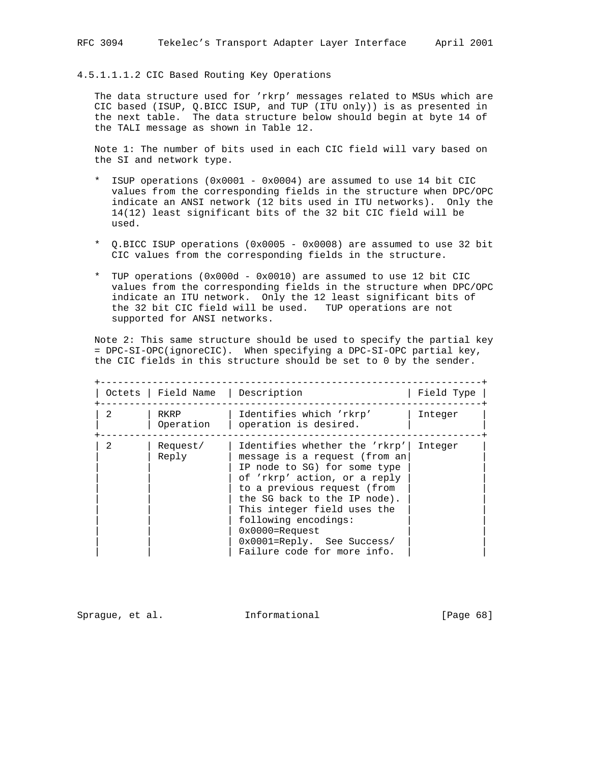## 4.5.1.1.1.2 CIC Based Routing Key Operations

 The data structure used for 'rkrp' messages related to MSUs which are CIC based (ISUP, Q.BICC ISUP, and TUP (ITU only)) is as presented in the next table. The data structure below should begin at byte 14 of the TALI message as shown in Table 12.

 Note 1: The number of bits used in each CIC field will vary based on the SI and network type.

- \* ISUP operations (0x0001 0x0004) are assumed to use 14 bit CIC values from the corresponding fields in the structure when DPC/OPC indicate an ANSI network (12 bits used in ITU networks). Only the 14(12) least significant bits of the 32 bit CIC field will be used.
- \* Q.BICC ISUP operations (0x0005 0x0008) are assumed to use 32 bit CIC values from the corresponding fields in the structure.
- \* TUP operations (0x000d 0x0010) are assumed to use 12 bit CIC values from the corresponding fields in the structure when DPC/OPC indicate an ITU network. Only the 12 least significant bits of the 32 bit CIC field will be used. TUP operations are not supported for ANSI networks.

 Note 2: This same structure should be used to specify the partial key = DPC-SI-OPC(ignoreCIC). When specifying a DPC-SI-OPC partial key, the CIC fields in this structure should be set to 0 by the sender.

|                | Octets   Field Name   Description |                                                                                                                                                                                                                                                                                                                                         | Field Type |
|----------------|-----------------------------------|-----------------------------------------------------------------------------------------------------------------------------------------------------------------------------------------------------------------------------------------------------------------------------------------------------------------------------------------|------------|
| $\mathfrak{D}$ | RKRP<br>Operation                 | Identifies which 'rkrp'<br>operation is desired.                                                                                                                                                                                                                                                                                        | Integer    |
| $\mathfrak{D}$ | Request/<br>Reply                 | Identifies whether the 'rkrp'<br>message is a request (from an<br>IP node to SG) for some type<br>of 'rkrp' action, or a reply<br>to a previous request (from<br>the SG back to the IP node).<br>This integer field uses the<br>following encodings:<br>$0x0000 =$ Request<br>0x0001=Reply. See Success/<br>Failure code for more info. | Integer    |

Sprague, et al. **Informational** [Page 68]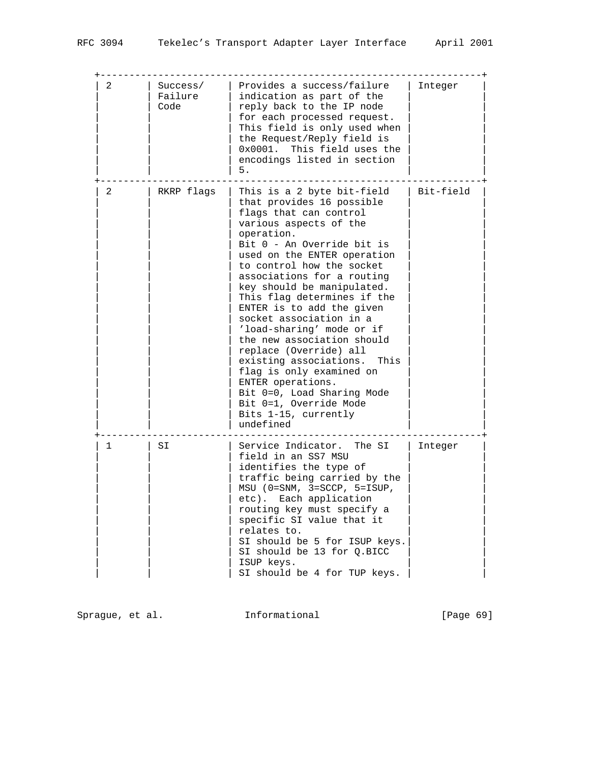| 2 | Success/<br>Failure<br>Code | Provides a success/failure<br>indication as part of the<br>reply back to the IP node<br>for each processed request.<br>This field is only used when<br>the Request/Reply field is<br>$0x0001$ .<br>This field uses the<br>encodings listed in section<br>5.                                                                                                                                                                                                                                                                                                                                                                                 | Integer   |
|---|-----------------------------|---------------------------------------------------------------------------------------------------------------------------------------------------------------------------------------------------------------------------------------------------------------------------------------------------------------------------------------------------------------------------------------------------------------------------------------------------------------------------------------------------------------------------------------------------------------------------------------------------------------------------------------------|-----------|
| 2 | RKRP flags                  | This is a 2 byte bit-field<br>that provides 16 possible<br>flags that can control<br>various aspects of the<br>operation.<br>Bit 0 - An Override bit is<br>used on the ENTER operation<br>to control how the socket<br>associations for a routing<br>key should be manipulated.<br>This flag determines if the<br>ENTER is to add the given<br>socket association in a<br>'load-sharing' mode or if<br>the new association should<br>replace (Override) all<br>existing associations.<br>This<br>flag is only examined on<br>ENTER operations.<br>Bit 0=0, Load Sharing Mode<br>Bit 0=1, Override Mode<br>Bits 1-15, currently<br>undefined | Bit-field |
| 1 | SI                          | Service Indicator. The SI<br>field in an SS7 MSU<br>identifies the type of<br>traffic being carried by the<br>$MSU$ (0=SNM, 3=SCCP, 5=ISUP,<br>etc). Each application<br>routing key must specify a<br>specific SI value that it<br>relates to.<br>SI should be 5 for ISUP keys.<br>SI should be 13 for Q.BICC<br>ISUP keys.<br>SI should be 4 for TUP keys.                                                                                                                                                                                                                                                                                | Integer   |

Sprague, et al. 1nformational 1999 [Page 69]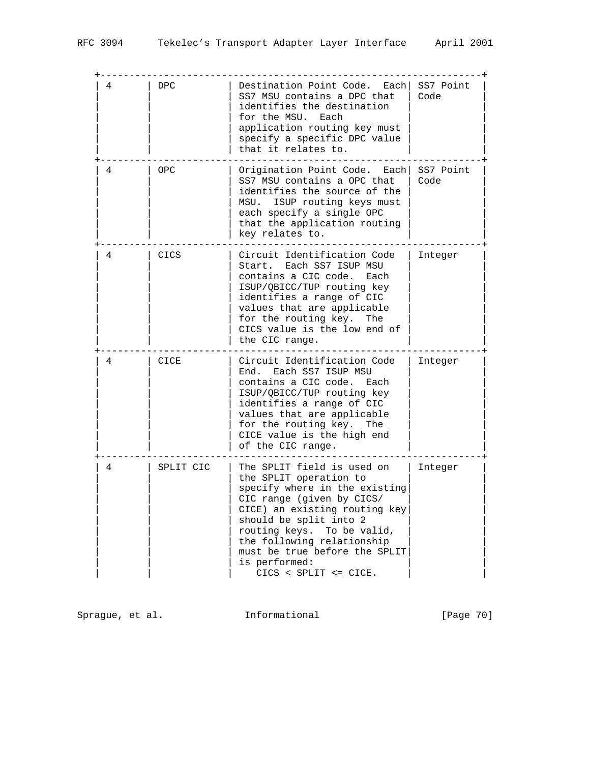| 4 | <b>DPC</b> | Destination Point Code. Each<br>SS7 MSU contains a DPC that<br>identifies the destination<br>for the MSU. Each<br>application routing key must<br>specify a specific DPC value<br>that it relates to.                                                                                                                | SS7 Point<br>Code |
|---|------------|----------------------------------------------------------------------------------------------------------------------------------------------------------------------------------------------------------------------------------------------------------------------------------------------------------------------|-------------------|
| 4 | OPC        | Origination Point Code. Each<br>SS7 MSU contains a OPC that<br>identifies the source of the<br>MSU. ISUP routing keys must<br>each specify a single OPC<br>that the application routing<br>key relates to.                                                                                                           | SS7 Point<br>Code |
| 4 | CICS       | Circuit Identification Code<br>Start. Each SS7 ISUP MSU<br>contains a CIC code.<br>Each<br>ISUP/QBICC/TUP routing key<br>identifies a range of CIC<br>values that are applicable<br>for the routing key.<br>The<br>CICS value is the low end of<br>the CIC range.                                                    | Integer           |
| 4 | CICE       | Circuit Identification Code<br>Each SS7 ISUP MSU<br>End.<br>contains a CIC code.<br>Each<br>ISUP/QBICC/TUP routing key<br>identifies a range of CIC<br>values that are applicable<br>for the routing key.<br>The<br>CICE value is the high end<br>of the CIC range.                                                  | Integer           |
| 4 | SPLIT CIC  | The SPLIT field is used on<br>the SPLIT operation to<br>specify where in the existing<br>CIC range (given by CICS/<br>CICE) an existing routing key<br>should be split into 2<br>routing keys. To be valid,<br>the following relationship<br>must be true before the SPLIT<br>is performed:<br>CICS < SPLIT <= CICE. | Integer           |

Sprague, et al. 1nformational 1999 [Page 70]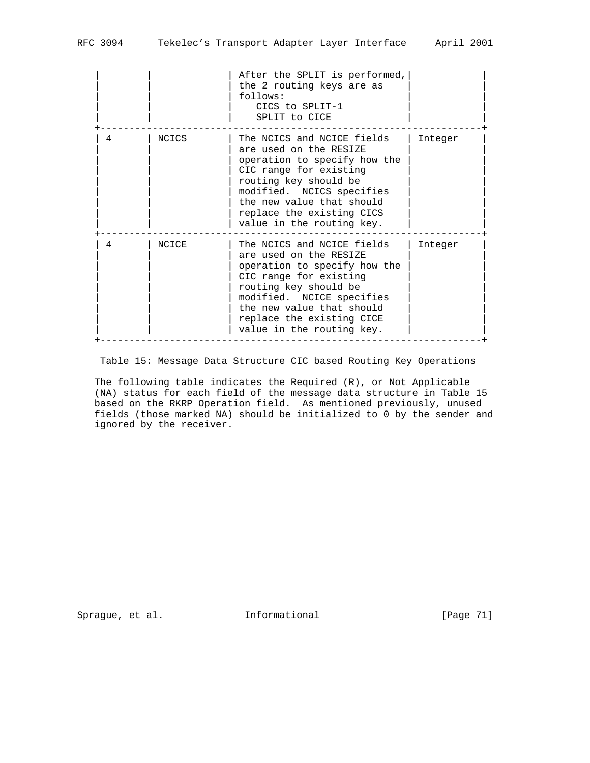|   |       | After the SPLIT is performed,<br>the 2 routing keys are as<br>follows:<br>CICS to SPLIT-1<br>SPLIT to CICE                                                                                                                                                  |         |
|---|-------|-------------------------------------------------------------------------------------------------------------------------------------------------------------------------------------------------------------------------------------------------------------|---------|
| 4 | NCICS | The NCICS and NCICE fields<br>are used on the RESIZE<br>operation to specify how the<br>CIC range for existing<br>routing key should be<br>modified. NCICS specifies<br>the new value that should<br>replace the existing CICS<br>value in the routing key. | Integer |
| 4 | NCICE | The NCICS and NCICE fields<br>are used on the RESIZE<br>operation to specify how the<br>CIC range for existing<br>routing key should be<br>modified. NCICE specifies<br>the new value that should<br>replace the existing CICE<br>value in the routing key. | Integer |

Table 15: Message Data Structure CIC based Routing Key Operations

 The following table indicates the Required (R), or Not Applicable (NA) status for each field of the message data structure in Table 15 based on the RKRP Operation field. As mentioned previously, unused fields (those marked NA) should be initialized to 0 by the sender and ignored by the receiver.

Sprague, et al. 1nformational [Page 71]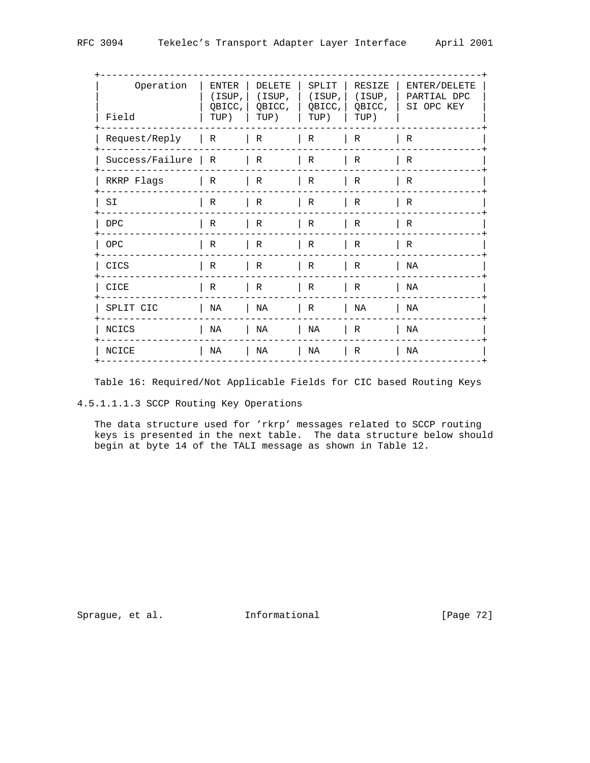| Operation<br>Field  | ENTER<br>(ISUP,  <br>OBICC,<br>TUP) | DELETE<br>OBICC,<br>TUP) | SPLIT<br>TUP) | RESIZE<br>(ISUP,   (ISUP,  (ISUP,  <br>OBICC, OBICC,<br>TUP) | ENTER/DELETE<br>PARTIAL DPC<br>SI OPC KEY |
|---------------------|-------------------------------------|--------------------------|---------------|--------------------------------------------------------------|-------------------------------------------|
| Request/Reply       | R                                   | R                        | R             | $\mathsf{R}$                                                 | $\mathsf{R}$                              |
| Success/Failure   R |                                     | $\vert R$                | R             | $\mathsf{R}$                                                 | R                                         |
| RKRP Flags          | $\vert R$                           | $\mid R$                 | $\vert R$     | $\mathsf{R}$                                                 | $\mathsf{R}$                              |
| SI                  | R                                   | R                        | R             | $\mathsf{R}$                                                 | R                                         |
| <b>DPC</b>          | R                                   | R                        | R             | $\mathsf{R}$                                                 | R                                         |
| OPC                 | R                                   | $\vert R$                | $\vert R$     | $\vert R$                                                    | $\mathsf{R}$                              |
| CICS                | R                                   | R                        | R             | $\mathsf{R}$                                                 | NA                                        |
| CICE                | R                                   | R                        | R             | $\mid R$                                                     | NA                                        |
| SPLIT CIC           | NA                                  | ΝA                       | R             | NA                                                           | NA                                        |
| NCICS               | NA                                  | ΝA                       | NA            | $\mathsf{R}$                                                 | ΝA                                        |
| NCICE               | NA                                  | ΝA                       | NA            | $\mathsf{R}$                                                 | ΝA                                        |
|                     |                                     |                          |               |                                                              |                                           |

Table 16: Required/Not Applicable Fields for CIC based Routing Keys

4.5.1.1.1.3 SCCP Routing Key Operations

 The data structure used for 'rkrp' messages related to SCCP routing keys is presented in the next table. The data structure below should begin at byte 14 of the TALI message as shown in Table 12.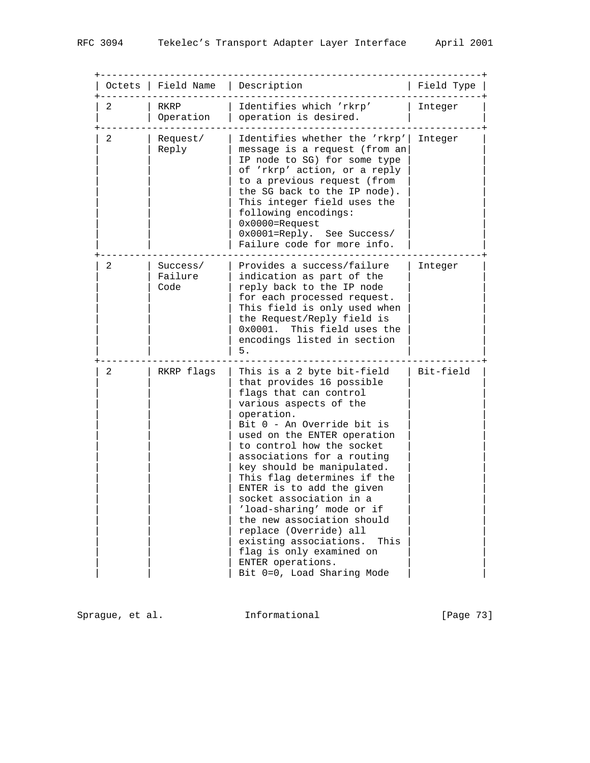| Octets | Field Name                  | Description                                                                                                                                                                                                                                                                                                                                                                                                                                                                                                                                                                  | Field Type |
|--------|-----------------------------|------------------------------------------------------------------------------------------------------------------------------------------------------------------------------------------------------------------------------------------------------------------------------------------------------------------------------------------------------------------------------------------------------------------------------------------------------------------------------------------------------------------------------------------------------------------------------|------------|
| 2      | RKRP<br>Operation           | Identifies which 'rkrp'<br>operation is desired.                                                                                                                                                                                                                                                                                                                                                                                                                                                                                                                             | Integer    |
| 2      | Request/<br>Reply           | Identifies whether the 'rkrp'<br>message is a request (from an<br>IP node to SG) for some type<br>of 'rkrp' action, or a reply<br>to a previous request (from<br>the SG back to the IP node).<br>This integer field uses the<br>following encodings:<br>$0x0000 =$ Request<br>0x0001=Reply. See Success/<br>Failure code for more info.                                                                                                                                                                                                                                      | Integer    |
| 2      | Success/<br>Failure<br>Code | Provides a success/failure<br>indication as part of the<br>reply back to the IP node<br>for each processed request.<br>This field is only used when<br>the Request/Reply field is<br>0x0001.<br>This field uses the<br>encodings listed in section<br>5.                                                                                                                                                                                                                                                                                                                     | Integer    |
| 2      | RKRP flags                  | This is a 2 byte bit-field<br>that provides 16 possible<br>flags that can control<br>various aspects of the<br>operation.<br>Bit 0 - An Override bit is<br>used on the ENTER operation<br>to control how the socket<br>associations for a routing<br>key should be manipulated.<br>This flag determines if the<br>ENTER is to add the given<br>socket association in a<br>'load-sharing' mode or if<br>the new association should<br>replace (Override) all<br>existing associations.<br>This<br>flag is only examined on<br>ENTER operations.<br>Bit 0=0, Load Sharing Mode | Bit-field  |

Sprague, et al. 1nformational 1999 [Page 73]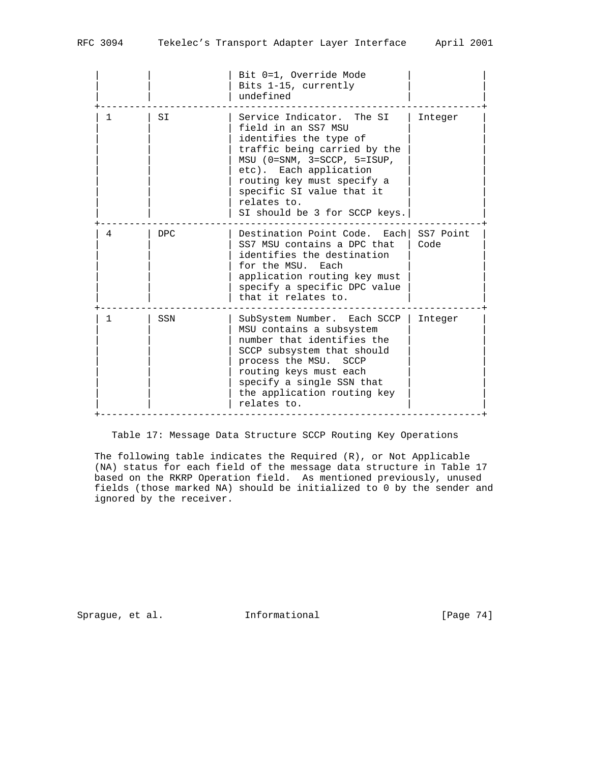|   |            | Bit 0=1, Override Mode<br>Bits 1-15, currently<br>undefined                                                                                                                                                                                                                      |                   |
|---|------------|----------------------------------------------------------------------------------------------------------------------------------------------------------------------------------------------------------------------------------------------------------------------------------|-------------------|
| 1 | SI         | Service Indicator. The SI<br>field in an SS7 MSU<br>identifies the type of<br>traffic being carried by the<br>$MSU$ (0=SNM, 3=SCCP, 5=ISUP,<br>etc). Each application<br>routing key must specify a<br>specific SI value that it<br>relates to.<br>SI should be 3 for SCCP keys. | Integer           |
| 4 | <b>DPC</b> | Destination Point Code. Each<br>SS7 MSU contains a DPC that<br>identifies the destination<br>for the MSU. Each<br>application routing key must<br>specify a specific DPC value<br>that it relates to.                                                                            | SS7 Point<br>Code |
| 1 | SSN        | SubSystem Number. Each SCCP<br>MSU contains a subsystem<br>number that identifies the<br>SCCP subsystem that should<br>process the MSU. SCCP<br>routing keys must each<br>specify a single SSN that<br>the application routing key<br>relates to.                                | Integer           |

Table 17: Message Data Structure SCCP Routing Key Operations

 The following table indicates the Required (R), or Not Applicable (NA) status for each field of the message data structure in Table 17 based on the RKRP Operation field. As mentioned previously, unused fields (those marked NA) should be initialized to 0 by the sender and ignored by the receiver.

Sprague, et al. 1nformational [Page 74]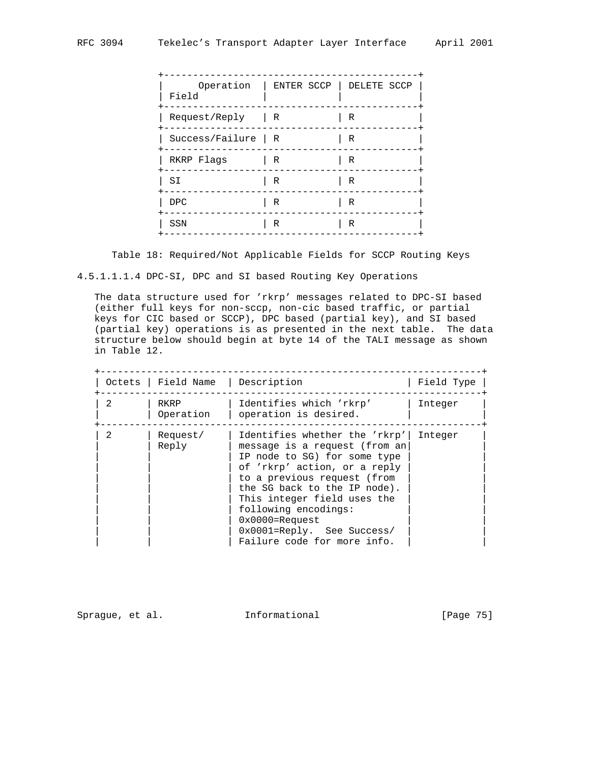| Operation<br>Field              |   | ENTER SCCP   DELETE SCCP |
|---------------------------------|---|--------------------------|
| Request/Reply<br>$\overline{R}$ |   | R                        |
| Success/Failure   R             |   | R                        |
| RKRP Flags                      | R | R                        |
| SI                              | R | R                        |
| <b>DPC</b>                      | R | R                        |
| SSN                             | R | R                        |
|                                 |   |                          |

Table 18: Required/Not Applicable Fields for SCCP Routing Keys

4.5.1.1.1.4 DPC-SI, DPC and SI based Routing Key Operations

 The data structure used for 'rkrp' messages related to DPC-SI based (either full keys for non-sccp, non-cic based traffic, or partial keys for CIC based or SCCP), DPC based (partial key), and SI based (partial key) operations is as presented in the next table. The data structure below should begin at byte 14 of the TALI message as shown in Table 12.

|   | Octets   Field Name   Description |                                                                                                                                                                                                                                                                                                                                             | Field Type |
|---|-----------------------------------|---------------------------------------------------------------------------------------------------------------------------------------------------------------------------------------------------------------------------------------------------------------------------------------------------------------------------------------------|------------|
| 2 | RKRP<br>Operation                 | Identifies which 'rkrp'<br>operation is desired.                                                                                                                                                                                                                                                                                            | Integer    |
| 2 | Request/<br>Reply                 | Identifies whether the 'rkrp'<br>message is a request (from an<br>IP node to SG) for some type<br>of 'rkrp' action, or a reply<br>to a previous request (from<br>the SG back to the IP node).<br>This integer field uses the<br>following encodings:<br>$0x0000 =$ Request<br>$0x0001 = Reply.$ See Success/<br>Failure code for more info. | Integer    |

Sprague, et al. 1nformational [Page 75]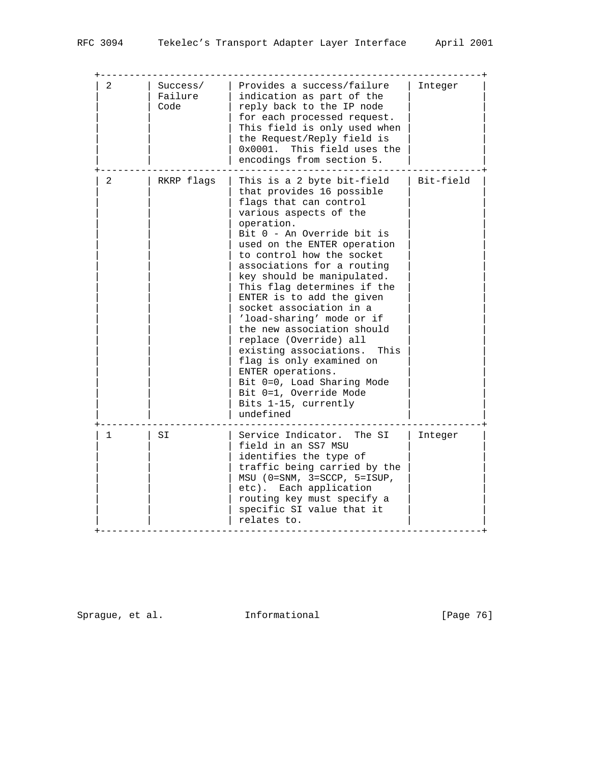| 2 | Success/<br>Failure<br>Code | Provides a success/failure<br>indication as part of the<br>reply back to the IP node<br>for each processed request.<br>This field is only used when<br>the Request/Reply field is<br>0x0001. This field uses the<br>encodings from section 5.                                                                                                                                                                                                                                                                                                                                                                                               | Integer   |
|---|-----------------------------|---------------------------------------------------------------------------------------------------------------------------------------------------------------------------------------------------------------------------------------------------------------------------------------------------------------------------------------------------------------------------------------------------------------------------------------------------------------------------------------------------------------------------------------------------------------------------------------------------------------------------------------------|-----------|
| 2 | RKRP flags                  | This is a 2 byte bit-field<br>that provides 16 possible<br>flags that can control<br>various aspects of the<br>operation.<br>Bit 0 - An Override bit is<br>used on the ENTER operation<br>to control how the socket<br>associations for a routing<br>key should be manipulated.<br>This flag determines if the<br>ENTER is to add the given<br>socket association in a<br>'load-sharing' mode or if<br>the new association should<br>replace (Override) all<br>existing associations.<br>This<br>flag is only examined on<br>ENTER operations.<br>Bit 0=0, Load Sharing Mode<br>Bit 0=1, Override Mode<br>Bits 1-15, currently<br>undefined | Bit-field |
| 1 | SI                          | Service Indicator.<br>The SI<br>field in an SS7 MSU<br>identifies the type of<br>traffic being carried by the<br>$MSU$ (0=SNM, 3=SCCP, 5=ISUP,<br>etc). Each application<br>routing key must specify a<br>specific SI value that it<br>relates to.                                                                                                                                                                                                                                                                                                                                                                                          | Integer   |

Sprague, et al. 1nformational 1999 [Page 76]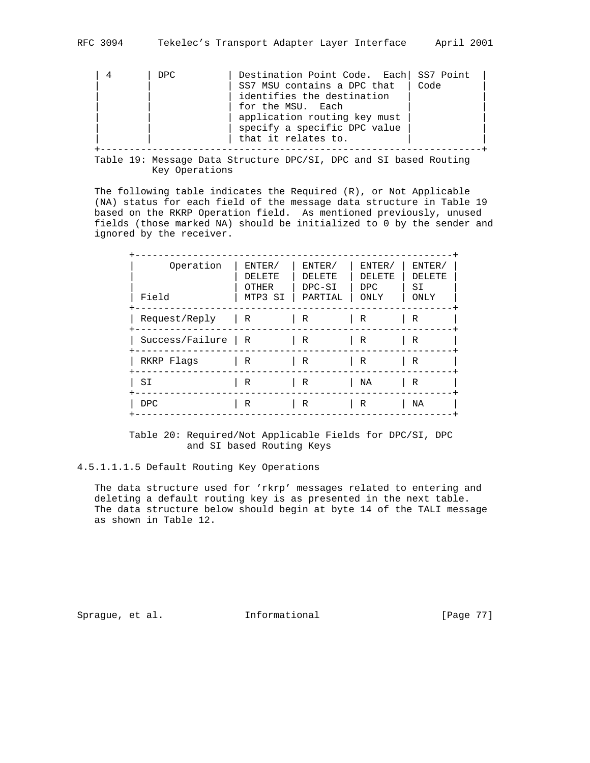| DPC. | Destination Point Code. Each SS7 Point |
|------|----------------------------------------|
|      | SS7 MSU contains a DPC that<br>Code    |
|      | identifies the destination             |
|      | for the MSU. Each                      |
|      | application routing key must           |
|      | specify a specific DPC value           |
|      | that it relates to.                    |
|      |                                        |

 Table 19: Message Data Structure DPC/SI, DPC and SI based Routing Key Operations

 The following table indicates the Required (R), or Not Applicable (NA) status for each field of the message data structure in Table 19 based on the RKRP Operation field. As mentioned previously, unused fields (those marked NA) should be initialized to 0 by the sender and ignored by the receiver.

| Operation<br>Field | ENTER/<br>DELETE<br>OTHER<br>MTP3 SI | ENTER/<br>DELETE<br>DPC-SI<br>PARTIAL | ENTER/<br>DELETE<br>DPC.<br>ONLY | ENTER/<br>DELETE<br>SI<br>ONLY |
|--------------------|--------------------------------------|---------------------------------------|----------------------------------|--------------------------------|
| Request/Reply      | $\mathsf{R}$                         | R                                     | R                                | R                              |
| Success/Failure    | $\mathsf{R}$                         | R                                     | R                                | R                              |
| RKRP Flags         | R                                    | R                                     | R                                | R                              |
| S <sub>I</sub>     | R                                    | R                                     | NA                               | R                              |
| <b>DPC</b>         | R                                    | R                                     | R                                | ΝA                             |

 Table 20: Required/Not Applicable Fields for DPC/SI, DPC and SI based Routing Keys

#### 4.5.1.1.1.5 Default Routing Key Operations

 The data structure used for 'rkrp' messages related to entering and deleting a default routing key is as presented in the next table. The data structure below should begin at byte 14 of the TALI message as shown in Table 12.

Sprague, et al. **Informational** [Page 77]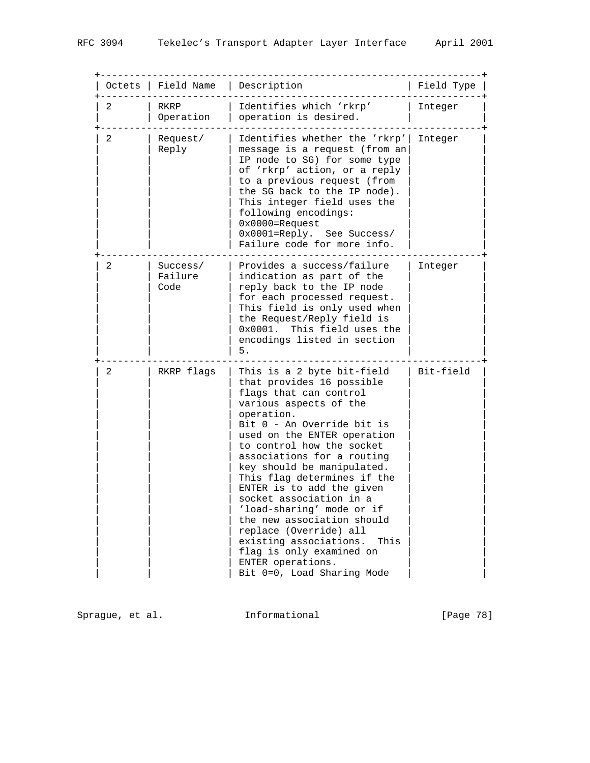| Octets | Field Name                  | Description                                                                                                                                                                                                                                                                                                                                                                                                                                                                                                                                                                  | Field Type |
|--------|-----------------------------|------------------------------------------------------------------------------------------------------------------------------------------------------------------------------------------------------------------------------------------------------------------------------------------------------------------------------------------------------------------------------------------------------------------------------------------------------------------------------------------------------------------------------------------------------------------------------|------------|
| 2      | RKRP<br>Operation           | Identifies which 'rkrp'<br>operation is desired.                                                                                                                                                                                                                                                                                                                                                                                                                                                                                                                             | Integer    |
| 2      | Request/<br>Reply           | Identifies whether the 'rkrp'<br>message is a request (from an<br>IP node to SG) for some type<br>of 'rkrp' action, or a reply<br>to a previous request (from<br>the SG back to the IP node).<br>This integer field uses the<br>following encodings:<br>$0x0000 =$ Request<br>0x0001=Reply. See Success/<br>Failure code for more info.                                                                                                                                                                                                                                      | Integer    |
| 2      | Success/<br>Failure<br>Code | Provides a success/failure<br>indication as part of the<br>reply back to the IP node<br>for each processed request.<br>This field is only used when<br>the Request/Reply field is<br>0x0001.<br>This field uses the<br>encodings listed in section<br>5.                                                                                                                                                                                                                                                                                                                     | Integer    |
| 2      | RKRP flags                  | This is a 2 byte bit-field<br>that provides 16 possible<br>flags that can control<br>various aspects of the<br>operation.<br>Bit 0 - An Override bit is<br>used on the ENTER operation<br>to control how the socket<br>associations for a routing<br>key should be manipulated.<br>This flag determines if the<br>ENTER is to add the given<br>socket association in a<br>'load-sharing' mode or if<br>the new association should<br>replace (Override) all<br>existing associations.<br>This<br>flag is only examined on<br>ENTER operations.<br>Bit 0=0, Load Sharing Mode | Bit-field  |

Sprague, et al. 1nformational 1999 [Page 78]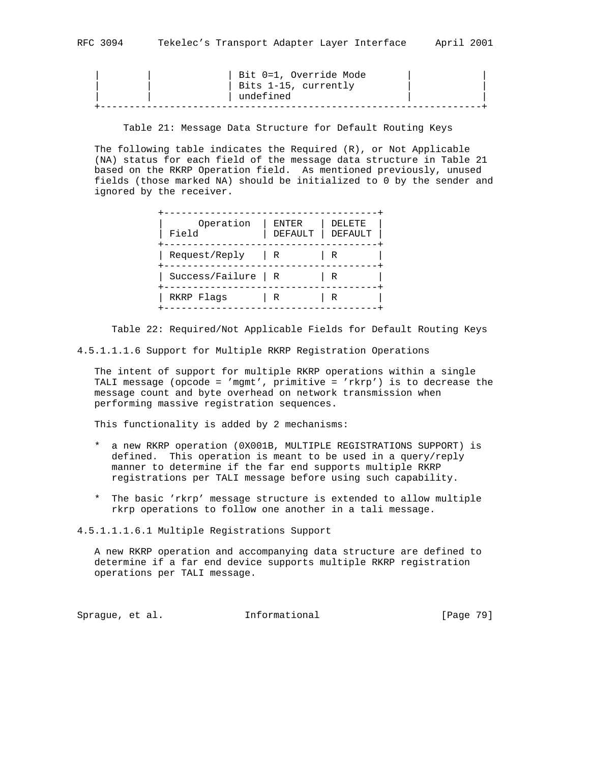| $\blacksquare$ |  |  |  |  |
|----------------|--|--|--|--|
|                |  |  |  |  |
|                |  |  |  |  |

|  | Bit 0=1, Override Mode |  |
|--|------------------------|--|
|  | Bits 1-15, currently   |  |
|  | undefined              |  |
|  |                        |  |

Table 21: Message Data Structure for Default Routing Keys

 The following table indicates the Required (R), or Not Applicable (NA) status for each field of the message data structure in Table 21 based on the RKRP Operation field. As mentioned previously, unused fields (those marked NA) should be initialized to 0 by the sender and ignored by the receiver.

| Operation<br>Field    | <b>ENTER</b><br>DEFAULT | <b>DELETE</b><br>DEFAULT |
|-----------------------|-------------------------|--------------------------|
| Request/Reply         | R                       | R                        |
| $Success/Failure$   R |                         | R                        |
| RKRP Flags            | R                       | R                        |

Table 22: Required/Not Applicable Fields for Default Routing Keys

4.5.1.1.1.6 Support for Multiple RKRP Registration Operations

 The intent of support for multiple RKRP operations within a single TALI message (opcode = 'mgmt', primitive = 'rkrp') is to decrease the message count and byte overhead on network transmission when performing massive registration sequences.

This functionality is added by 2 mechanisms:

- \* a new RKRP operation (0X001B, MULTIPLE REGISTRATIONS SUPPORT) is defined. This operation is meant to be used in a query/reply manner to determine if the far end supports multiple RKRP registrations per TALI message before using such capability.
- \* The basic 'rkrp' message structure is extended to allow multiple rkrp operations to follow one another in a tali message.

4.5.1.1.1.6.1 Multiple Registrations Support

 A new RKRP operation and accompanying data structure are defined to determine if a far end device supports multiple RKRP registration operations per TALI message.

Sprague, et al. **Informational** [Page 79]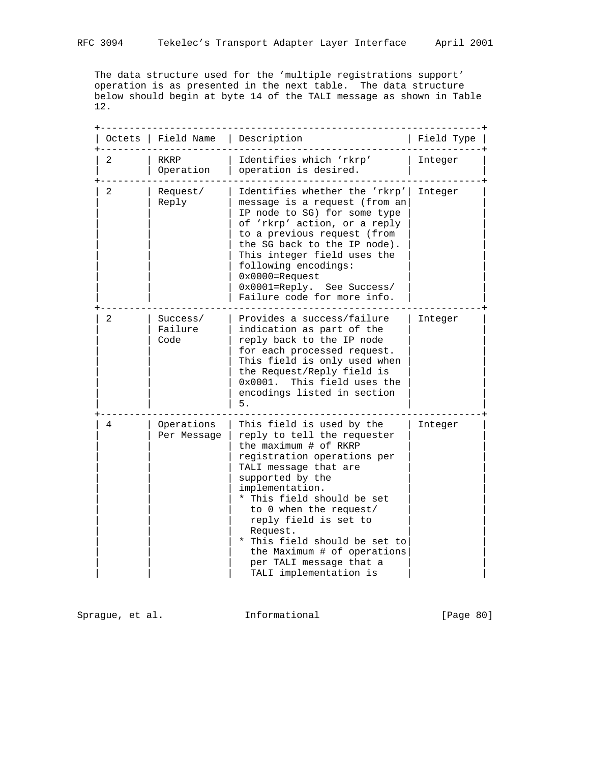The data structure used for the 'multiple registrations support' operation is as presented in the next table. The data structure below should begin at byte 14 of the TALI message as shown in Table 12.

| Octets | Field Name                  | Description                                                                                                                                                                                                                                                                                                                                                                                        | Field Type |
|--------|-----------------------------|----------------------------------------------------------------------------------------------------------------------------------------------------------------------------------------------------------------------------------------------------------------------------------------------------------------------------------------------------------------------------------------------------|------------|
| 2      | RKRP<br>Operation           | Identifies which 'rkrp'<br>operation is desired.                                                                                                                                                                                                                                                                                                                                                   | Integer    |
| 2      | Request/<br>Reply           | Identifies whether the 'rkrp'<br>message is a request (from an<br>IP node to SG) for some type<br>of 'rkrp' action, or a reply<br>to a previous request (from<br>the SG back to the IP node).<br>This integer field uses the<br>following encodings:<br>$0x0000 =$ Request<br>0x0001=Reply. See Success/<br>Failure code for more info.                                                            | Integer    |
| 2      | Success/<br>Failure<br>Code | Provides a success/failure<br>indication as part of the<br>reply back to the IP node<br>for each processed request.<br>This field is only used when<br>the Request/Reply field is<br>0x0001.<br>This field uses the<br>encodings listed in section<br>5.                                                                                                                                           | Integer    |
| 4      | Operations<br>Per Message   | This field is used by the<br>reply to tell the requester<br>the maximum # of RKRP<br>registration operations per<br>TALI message that are<br>supported by the<br>implementation.<br>* This field should be set<br>to 0 when the request/<br>reply field is set to<br>Request.<br>* This field should be set to<br>the Maximum # of operations<br>per TALI message that a<br>TALI implementation is | Integer    |

Sprague, et al. 1nformational [Page 80]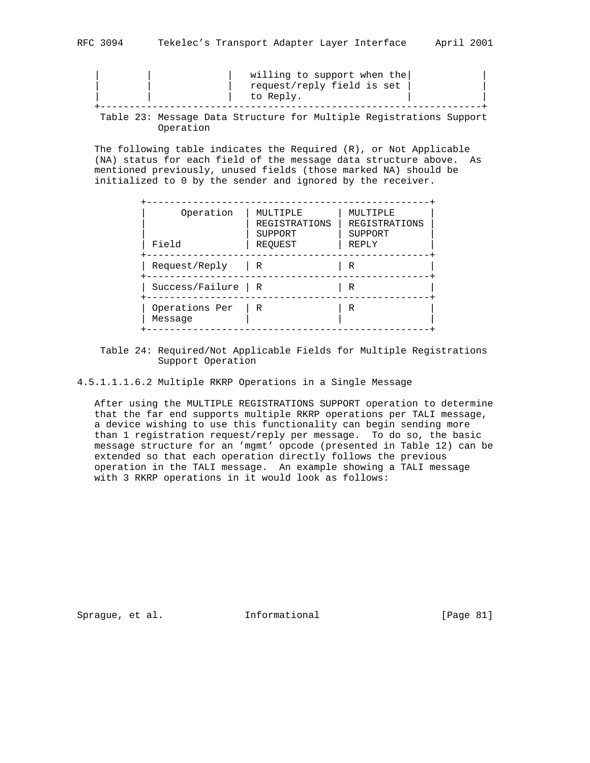|  |  | to Reply.                                                           | willing to support when the<br>request/reply field is set |  |  |
|--|--|---------------------------------------------------------------------|-----------------------------------------------------------|--|--|
|  |  | Table 23: Message Data Structure for Multiple Registrations Support |                                                           |  |  |

Operation

 The following table indicates the Required (R), or Not Applicable (NA) status for each field of the message data structure above. As mentioned previously, unused fields (those marked NA) should be initialized to 0 by the sender and ignored by the receiver.

| Operation<br>Field        | MULTIPLE<br><b>REGISTRATIONS</b><br>SUPPORT<br>REQUEST | MULTIPLE<br><b>REGISTRATIONS</b><br>SUPPORT<br>REPLY |
|---------------------------|--------------------------------------------------------|------------------------------------------------------|
| Request/Reply             | R                                                      | R                                                    |
| Success/Failure           | R                                                      | R                                                    |
| Operations Per<br>Message | R                                                      | R                                                    |

 Table 24: Required/Not Applicable Fields for Multiple Registrations Support Operation

4.5.1.1.1.6.2 Multiple RKRP Operations in a Single Message

 After using the MULTIPLE REGISTRATIONS SUPPORT operation to determine that the far end supports multiple RKRP operations per TALI message, a device wishing to use this functionality can begin sending more than 1 registration request/reply per message. To do so, the basic message structure for an 'mgmt' opcode (presented in Table 12) can be extended so that each operation directly follows the previous operation in the TALI message. An example showing a TALI message with 3 RKRP operations in it would look as follows:

Sprague, et al. **Informational** [Page 81]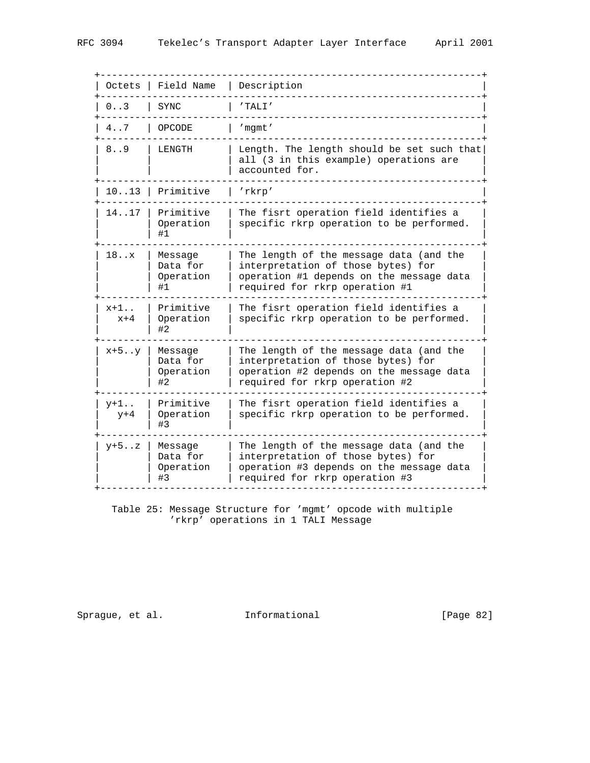+------------------------------------------------------------------+ | Octets | Field Name | Description | +------------------------------------------------------------------+  $\vert 0..3 \vert$  SYNC +------------------------------------------------------------------+ | 4..7 | OPCODE | 'mgmt' +------------------------------------------------------------------+ | 8..9 | LENGTH | Length. The length should be set such that| | | | all (3 in this example) operations are |  $\vert$  accounted for. +------------------------------------------------------------------+ | 10..13 | Primitive | 'rkrp' +------------------------------------------------------------------+ | 14..17 | Primitive | The fisrt operation field identifies a | | | Operation | specific rkrp operation to be performed. | | | #1 | | +------------------------------------------------------------------+ | 18..x | Message | The length of the message data (and the | | | Data for | interpretation of those bytes) for | | | Operation | operation #1 depends on the message data | |  $\vert$  #1  $\vert$  required for rkrp operation #1 | | +------------------------------------------------------------------+ | x+1.. | Primitive | The fisrt operation field identifies a | | x+4 | Operation | specific rkrp operation to be performed. | | | #2 | | +------------------------------------------------------------------+  $\vert$  x+5..y | Message  $\vert$  The length of the message data (and the  $\vert$ | | Data for | interpretation of those bytes) for | | | Operation | operation #2 depends on the message data | |  $\vert$  #2 | required for rkrp operation #2 | +------------------------------------------------------------------+  $|$   $y+1$ ..  $|$  Primitive  $|$  The fisrt operation field identifies a  $|$  | y+4 | Operation | specific rkrp operation to be performed. |  $|$  #3  $|$  +------------------------------------------------------------------+  $\vert$  y+5..z | Message  $\vert$  The length of the message data (and the  $\vert$ | | Data for | interpretation of those bytes) for | | | Operation | operation #3 depends on the message data | | | #3 | required for rkrp operation #3 | | +------------------------------------------------------------------+

 Table 25: Message Structure for 'mgmt' opcode with multiple 'rkrp' operations in 1 TALI Message

Sprague, et al. 1nformational [Page 82]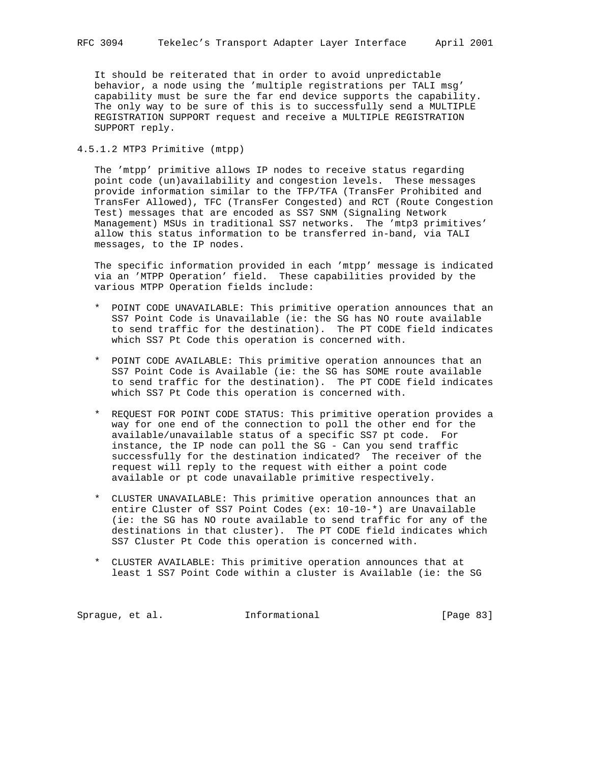It should be reiterated that in order to avoid unpredictable behavior, a node using the 'multiple registrations per TALI msg' capability must be sure the far end device supports the capability. The only way to be sure of this is to successfully send a MULTIPLE REGISTRATION SUPPORT request and receive a MULTIPLE REGISTRATION SUPPORT reply.

4.5.1.2 MTP3 Primitive (mtpp)

 The 'mtpp' primitive allows IP nodes to receive status regarding point code (un)availability and congestion levels. These messages provide information similar to the TFP/TFA (TransFer Prohibited and TransFer Allowed), TFC (TransFer Congested) and RCT (Route Congestion Test) messages that are encoded as SS7 SNM (Signaling Network Management) MSUs in traditional SS7 networks. The 'mtp3 primitives' allow this status information to be transferred in-band, via TALI messages, to the IP nodes.

 The specific information provided in each 'mtpp' message is indicated via an 'MTPP Operation' field. These capabilities provided by the various MTPP Operation fields include:

- \* POINT CODE UNAVAILABLE: This primitive operation announces that an SS7 Point Code is Unavailable (ie: the SG has NO route available to send traffic for the destination). The PT CODE field indicates which SS7 Pt Code this operation is concerned with.
- \* POINT CODE AVAILABLE: This primitive operation announces that an SS7 Point Code is Available (ie: the SG has SOME route available to send traffic for the destination). The PT CODE field indicates which SS7 Pt Code this operation is concerned with.
- \* REQUEST FOR POINT CODE STATUS: This primitive operation provides a way for one end of the connection to poll the other end for the available/unavailable status of a specific SS7 pt code. For instance, the IP node can poll the SG - Can you send traffic successfully for the destination indicated? The receiver of the request will reply to the request with either a point code available or pt code unavailable primitive respectively.
- \* CLUSTER UNAVAILABLE: This primitive operation announces that an entire Cluster of SS7 Point Codes (ex: 10-10-\*) are Unavailable (ie: the SG has NO route available to send traffic for any of the destinations in that cluster). The PT CODE field indicates which SS7 Cluster Pt Code this operation is concerned with.
- \* CLUSTER AVAILABLE: This primitive operation announces that at least 1 SS7 Point Code within a cluster is Available (ie: the SG

Sprague, et al. 1nformational 1999 [Page 83]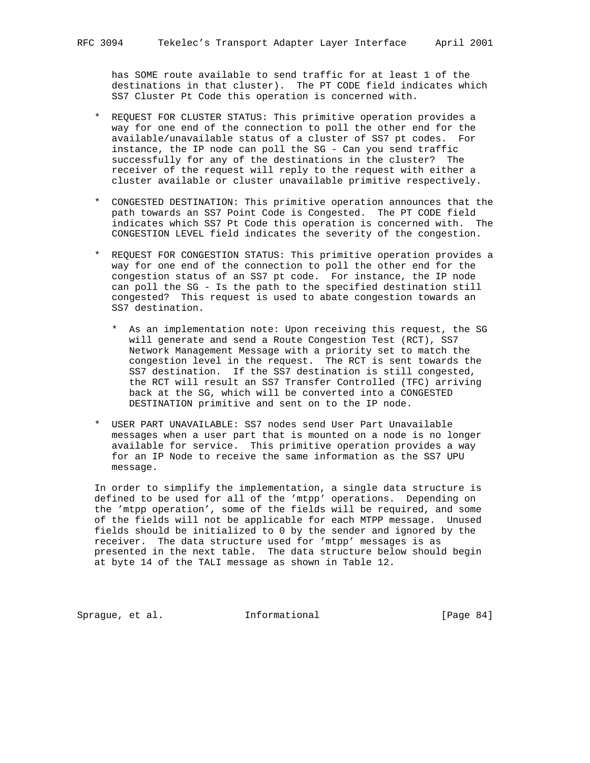has SOME route available to send traffic for at least 1 of the destinations in that cluster). The PT CODE field indicates which SS7 Cluster Pt Code this operation is concerned with.

- \* REQUEST FOR CLUSTER STATUS: This primitive operation provides a way for one end of the connection to poll the other end for the available/unavailable status of a cluster of SS7 pt codes. For instance, the IP node can poll the SG - Can you send traffic successfully for any of the destinations in the cluster? The receiver of the request will reply to the request with either a cluster available or cluster unavailable primitive respectively.
- \* CONGESTED DESTINATION: This primitive operation announces that the path towards an SS7 Point Code is Congested. The PT CODE field indicates which SS7 Pt Code this operation is concerned with. The CONGESTION LEVEL field indicates the severity of the congestion.
- \* REQUEST FOR CONGESTION STATUS: This primitive operation provides a way for one end of the connection to poll the other end for the congestion status of an SS7 pt code. For instance, the IP node can poll the SG - Is the path to the specified destination still congested? This request is used to abate congestion towards an SS7 destination.
	- \* As an implementation note: Upon receiving this request, the SG will generate and send a Route Congestion Test (RCT), SS7 Network Management Message with a priority set to match the congestion level in the request. The RCT is sent towards the SS7 destination. If the SS7 destination is still congested, the RCT will result an SS7 Transfer Controlled (TFC) arriving back at the SG, which will be converted into a CONGESTED DESTINATION primitive and sent on to the IP node.
- \* USER PART UNAVAILABLE: SS7 nodes send User Part Unavailable messages when a user part that is mounted on a node is no longer available for service. This primitive operation provides a way for an IP Node to receive the same information as the SS7 UPU message.

 In order to simplify the implementation, a single data structure is defined to be used for all of the 'mtpp' operations. Depending on the 'mtpp operation', some of the fields will be required, and some of the fields will not be applicable for each MTPP message. Unused fields should be initialized to 0 by the sender and ignored by the receiver. The data structure used for 'mtpp' messages is as presented in the next table. The data structure below should begin at byte 14 of the TALI message as shown in Table 12.

Sprague, et al. 1nformational 1999 [Page 84]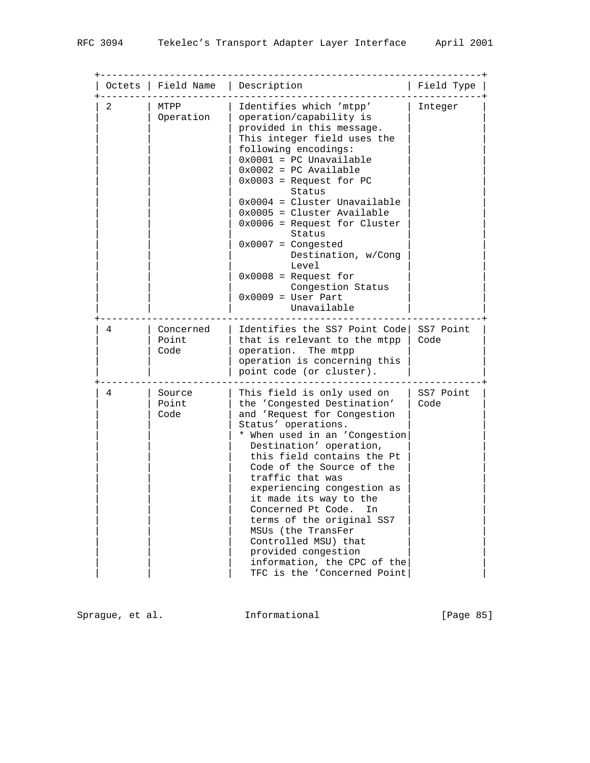| Octets | Field Name                 | Description                                                                                                                                                                                                                                                                                                                                                                                                                                                                                                    | Field Type        |
|--------|----------------------------|----------------------------------------------------------------------------------------------------------------------------------------------------------------------------------------------------------------------------------------------------------------------------------------------------------------------------------------------------------------------------------------------------------------------------------------------------------------------------------------------------------------|-------------------|
| 2      | MTPP<br>Operation          | Identifies which 'mtpp'<br>operation/capability is<br>provided in this message.<br>This integer field uses the<br>following encodings:<br>$0x0001 = PC Unavailable$<br>$0x0002 = PC Available$<br>$0x0003$ = Request for PC<br>Status<br>$0x0004 =$ Cluster Unavailable<br>$0x0005 = Cluster Available$<br>$0x0006$ = Request for Cluster<br>Status<br>$0x0007 =$ Congested<br>Destination, w/Cong<br>Level<br>$0x0008$ = Request for<br>Congestion Status<br>$0x0009 = User Part$<br>Unavailable              | Integer           |
| 4      | Concerned<br>Point<br>Code | Identifies the SS7 Point Code<br>that is relevant to the mtpp<br>operation. The mtpp<br>operation is concerning this<br>point code (or cluster).                                                                                                                                                                                                                                                                                                                                                               | SS7 Point<br>Code |
| 4      | Source<br>Point<br>Code    | This field is only used on<br>the 'Congested Destination'<br>and 'Request for Congestion<br>Status' operations.<br>* When used in an 'Congestion<br>Destination' operation,<br>this field contains the Pt<br>Code of the Source of the<br>traffic that was<br>experiencing congestion as<br>it made its way to the<br>Concerned Pt Code.<br>In<br>terms of the original SS7<br>MSUs (the TransFer<br>Controlled MSU) that<br>provided congestion<br>information, the CPC of the<br>TFC is the 'Concerned Point | SS7 Point<br>Code |

Sprague, et al. 1nformational 1999 [Page 85]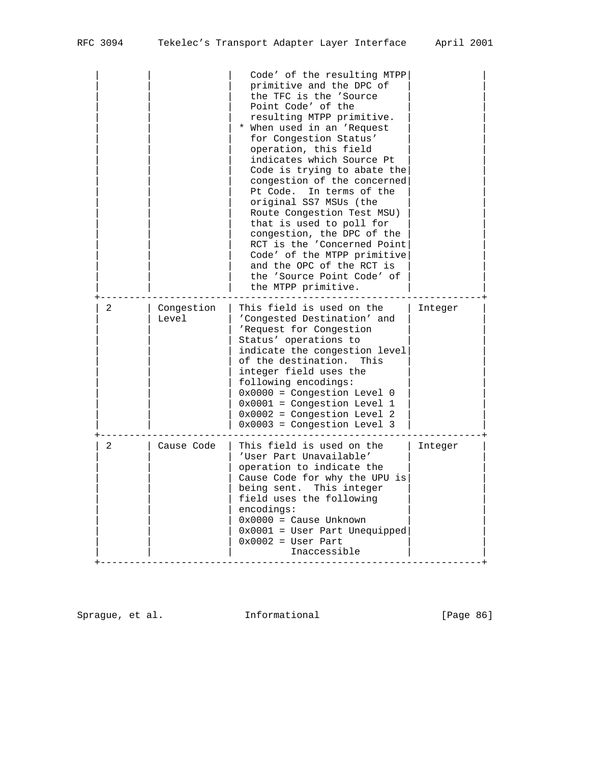|                |                     | Code' of the resulting MTPP<br>primitive and the DPC of<br>the TFC is the 'Source<br>Point Code' of the<br>resulting MTPP primitive.<br>* When used in an 'Request<br>for Congestion Status'<br>operation, this field<br>indicates which Source Pt<br>Code is trying to abate the<br>congestion of the concerned<br>Pt Code.<br>In terms of the<br>original SS7 MSUs (the<br>Route Congestion Test MSU)<br>that is used to poll for<br>congestion, the DPC of the<br>RCT is the 'Concerned Point<br>Code' of the MTPP primitive<br>and the OPC of the RCT is<br>the 'Source Point Code' of<br>the MTPP primitive. |         |
|----------------|---------------------|-------------------------------------------------------------------------------------------------------------------------------------------------------------------------------------------------------------------------------------------------------------------------------------------------------------------------------------------------------------------------------------------------------------------------------------------------------------------------------------------------------------------------------------------------------------------------------------------------------------------|---------|
| 2              | Congestion<br>Level | This field is used on the<br>'Congested Destination' and<br>'Request for Congestion<br>Status' operations to<br>indicate the congestion level<br>of the destination.<br>This<br>integer field uses the<br>following encodings:<br>$0x0000 = Congestion Level 0$<br>$0x0001$ = Congestion Level 1<br>$0x0002 = Congestion Level 2$<br>$0x0003 = Congestion Level 3$                                                                                                                                                                                                                                                | Integer |
| $\overline{2}$ | Cause Code          | This field is used on the<br>'User Part Unavailable'<br>operation to indicate the<br>Cause Code for why the UPU is<br>being sent. This integer<br>field uses the following<br>encodings:<br>$0x0000 =$ Cause Unknown<br>$0x0001$ = User Part Unequipped<br>$0x0002 = User Part$<br>Inaccessible                                                                                                                                                                                                                                                                                                                   | Integer |

Sprague, et al. 1nformational 11 [Page 86]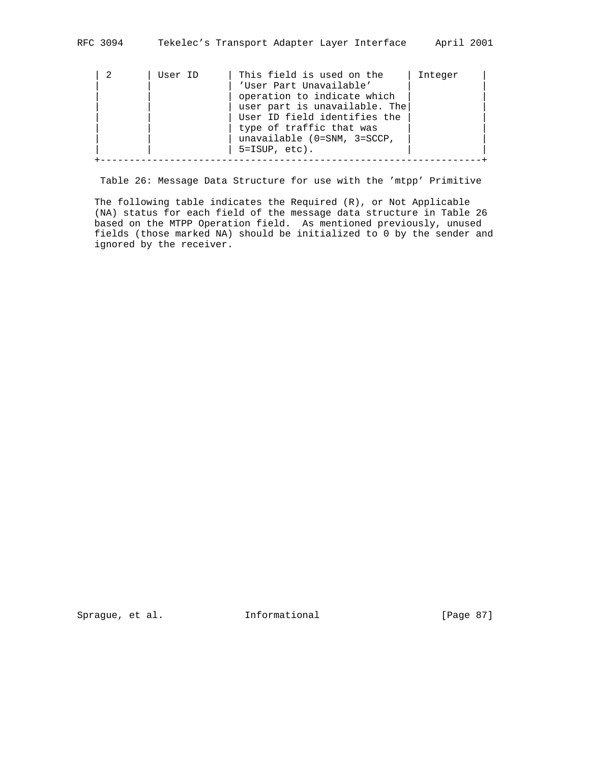| User ID | This field is used on the     | Integer |
|---------|-------------------------------|---------|
|         | 'User Part Unavailable'       |         |
|         | operation to indicate which   |         |
|         | user part is unavailable. The |         |
|         | User ID field identifies the  |         |
|         | type of traffic that was      |         |
|         | unavailable (0=SNM, 3=SCCP,   |         |
|         | $5 = ISUP, etc$ ).            |         |
|         |                               |         |

Table 26: Message Data Structure for use with the 'mtpp' Primitive

 The following table indicates the Required (R), or Not Applicable (NA) status for each field of the message data structure in Table 26 based on the MTPP Operation field. As mentioned previously, unused fields (those marked NA) should be initialized to 0 by the sender and ignored by the receiver.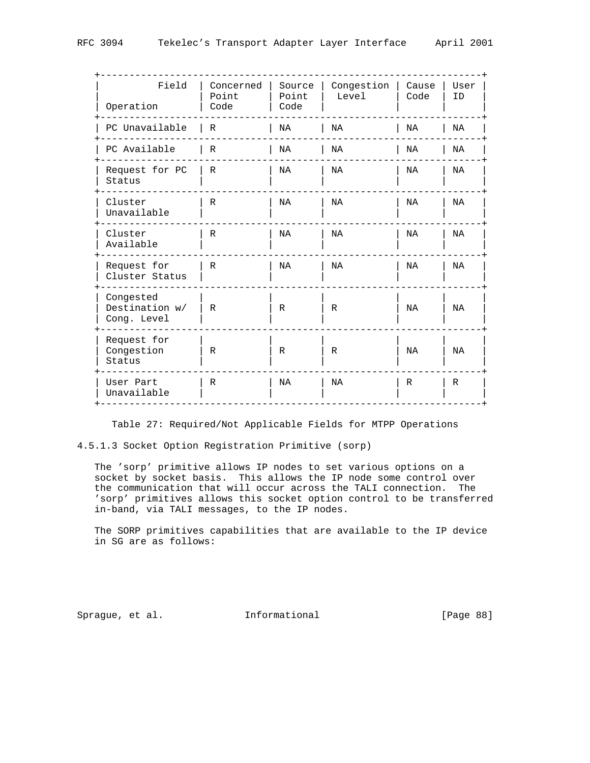| Field<br>Operation                         | Concerned<br>Point<br>Code | Source<br>Point<br>Code | Congestion<br>Level | Cause<br>Code | User<br>ID |
|--------------------------------------------|----------------------------|-------------------------|---------------------|---------------|------------|
| PC Unavailable                             | $\mathbb{R}$               | NA                      | NA                  | NA            | NA         |
| PC Available                               | R                          | NA                      | NA                  | NA            | ΝA         |
| Request for PC<br>Status                   | $\mathbb R$                | NA                      | NA                  | NA            | NA         |
| Cluster<br>Unavailable                     | $\mathbb{R}$               | NA                      | NA                  | NA            | NA         |
| Cluster<br>Available                       | $\mathbb R$                | NA                      | NA                  | NA            | NA         |
| Request for<br>Cluster Status              | R                          | NA                      | NA                  | NA            | NA         |
| Congested<br>Destination w/<br>Cong. Level | R                          | R                       | R                   | NA            | NA         |
| Request for<br>Congestion<br>Status        | R                          | R                       | R                   | NA            | NA         |
| User Part<br>Unavailable                   | R                          | NA                      | NA                  | R             | R          |
|                                            |                            |                         |                     |               |            |

Table 27: Required/Not Applicable Fields for MTPP Operations

4.5.1.3 Socket Option Registration Primitive (sorp)

 The 'sorp' primitive allows IP nodes to set various options on a socket by socket basis. This allows the IP node some control over the communication that will occur across the TALI connection. The 'sorp' primitives allows this socket option control to be transferred in-band, via TALI messages, to the IP nodes.

 The SORP primitives capabilities that are available to the IP device in SG are as follows:

Sprague, et al. 1nformational [Page 88]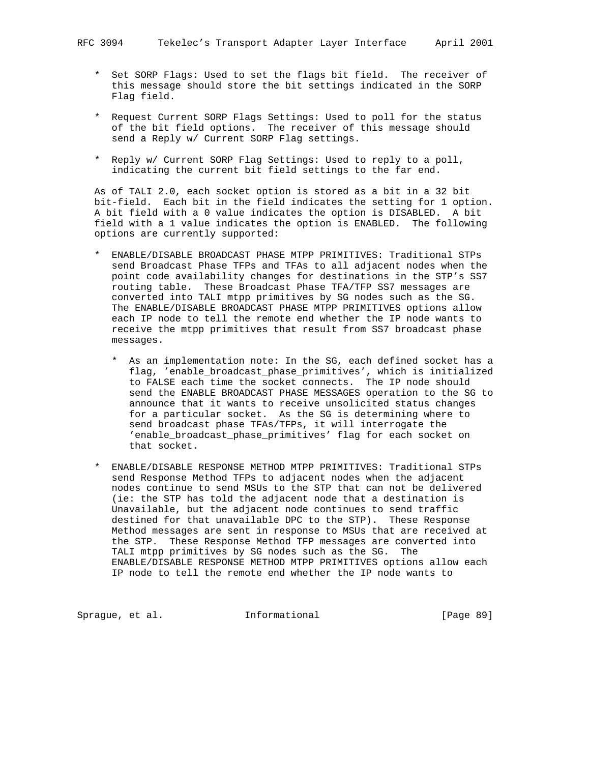- \* Set SORP Flags: Used to set the flags bit field. The receiver of this message should store the bit settings indicated in the SORP Flag field.
- \* Request Current SORP Flags Settings: Used to poll for the status of the bit field options. The receiver of this message should send a Reply w/ Current SORP Flag settings.
- \* Reply w/ Current SORP Flag Settings: Used to reply to a poll, indicating the current bit field settings to the far end.

 As of TALI 2.0, each socket option is stored as a bit in a 32 bit bit-field. Each bit in the field indicates the setting for 1 option. A bit field with a 0 value indicates the option is DISABLED. A bit field with a 1 value indicates the option is ENABLED. The following options are currently supported:

- \* ENABLE/DISABLE BROADCAST PHASE MTPP PRIMITIVES: Traditional STPs send Broadcast Phase TFPs and TFAs to all adjacent nodes when the point code availability changes for destinations in the STP's SS7 routing table. These Broadcast Phase TFA/TFP SS7 messages are converted into TALI mtpp primitives by SG nodes such as the SG. The ENABLE/DISABLE BROADCAST PHASE MTPP PRIMITIVES options allow each IP node to tell the remote end whether the IP node wants to receive the mtpp primitives that result from SS7 broadcast phase messages.
	- \* As an implementation note: In the SG, each defined socket has a flag, 'enable\_broadcast\_phase\_primitives', which is initialized to FALSE each time the socket connects. The IP node should send the ENABLE BROADCAST PHASE MESSAGES operation to the SG to announce that it wants to receive unsolicited status changes for a particular socket. As the SG is determining where to send broadcast phase TFAs/TFPs, it will interrogate the 'enable\_broadcast\_phase\_primitives' flag for each socket on that socket.
- \* ENABLE/DISABLE RESPONSE METHOD MTPP PRIMITIVES: Traditional STPs send Response Method TFPs to adjacent nodes when the adjacent nodes continue to send MSUs to the STP that can not be delivered (ie: the STP has told the adjacent node that a destination is Unavailable, but the adjacent node continues to send traffic destined for that unavailable DPC to the STP). These Response Method messages are sent in response to MSUs that are received at the STP. These Response Method TFP messages are converted into TALI mtpp primitives by SG nodes such as the SG. The ENABLE/DISABLE RESPONSE METHOD MTPP PRIMITIVES options allow each IP node to tell the remote end whether the IP node wants to

Sprague, et al. 1nformational 1999 [Page 89]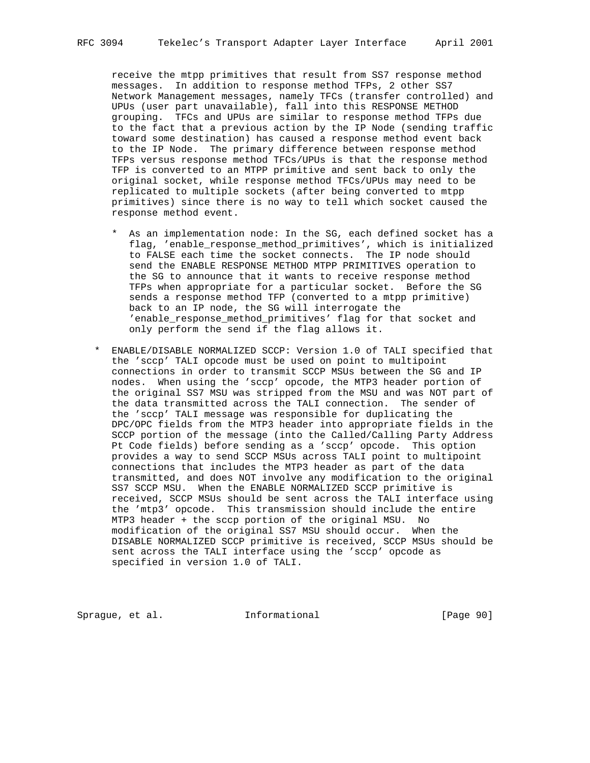receive the mtpp primitives that result from SS7 response method messages. In addition to response method TFPs, 2 other SS7 Network Management messages, namely TFCs (transfer controlled) and UPUs (user part unavailable), fall into this RESPONSE METHOD grouping. TFCs and UPUs are similar to response method TFPs due to the fact that a previous action by the IP Node (sending traffic toward some destination) has caused a response method event back to the IP Node. The primary difference between response method TFPs versus response method TFCs/UPUs is that the response method TFP is converted to an MTPP primitive and sent back to only the original socket, while response method TFCs/UPUs may need to be replicated to multiple sockets (after being converted to mtpp primitives) since there is no way to tell which socket caused the response method event.

- \* As an implementation node: In the SG, each defined socket has a flag, 'enable\_response\_method\_primitives', which is initialized to FALSE each time the socket connects. The IP node should send the ENABLE RESPONSE METHOD MTPP PRIMITIVES operation to the SG to announce that it wants to receive response method TFPs when appropriate for a particular socket. Before the SG sends a response method TFP (converted to a mtpp primitive) back to an IP node, the SG will interrogate the 'enable\_response\_method\_primitives' flag for that socket and only perform the send if the flag allows it.
- \* ENABLE/DISABLE NORMALIZED SCCP: Version 1.0 of TALI specified that the 'sccp' TALI opcode must be used on point to multipoint connections in order to transmit SCCP MSUs between the SG and IP nodes. When using the 'sccp' opcode, the MTP3 header portion of the original SS7 MSU was stripped from the MSU and was NOT part of the data transmitted across the TALI connection. The sender of the 'sccp' TALI message was responsible for duplicating the DPC/OPC fields from the MTP3 header into appropriate fields in the SCCP portion of the message (into the Called/Calling Party Address Pt Code fields) before sending as a 'sccp' opcode. This option provides a way to send SCCP MSUs across TALI point to multipoint connections that includes the MTP3 header as part of the data transmitted, and does NOT involve any modification to the original SS7 SCCP MSU. When the ENABLE NORMALIZED SCCP primitive is received, SCCP MSUs should be sent across the TALI interface using the 'mtp3' opcode. This transmission should include the entire MTP3 header + the sccp portion of the original MSU. No modification of the original SS7 MSU should occur. When the DISABLE NORMALIZED SCCP primitive is received, SCCP MSUs should be sent across the TALI interface using the 'sccp' opcode as specified in version 1.0 of TALI.

Sprague, et al. 1nformational [Page 90]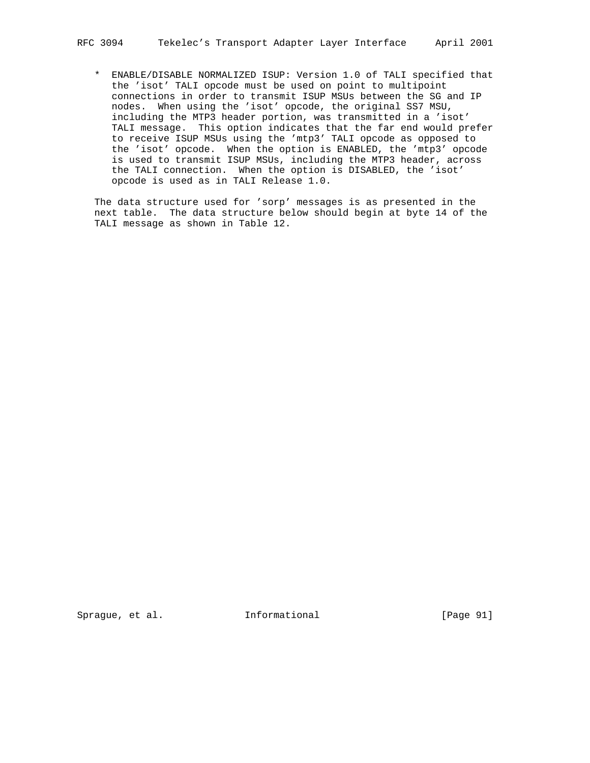\* ENABLE/DISABLE NORMALIZED ISUP: Version 1.0 of TALI specified that the 'isot' TALI opcode must be used on point to multipoint connections in order to transmit ISUP MSUs between the SG and IP nodes. When using the 'isot' opcode, the original SS7 MSU, including the MTP3 header portion, was transmitted in a 'isot' TALI message. This option indicates that the far end would prefer to receive ISUP MSUs using the 'mtp3' TALI opcode as opposed to the 'isot' opcode. When the option is ENABLED, the 'mtp3' opcode is used to transmit ISUP MSUs, including the MTP3 header, across the TALI connection. When the option is DISABLED, the 'isot' opcode is used as in TALI Release 1.0.

 The data structure used for 'sorp' messages is as presented in the next table. The data structure below should begin at byte 14 of the TALI message as shown in Table 12.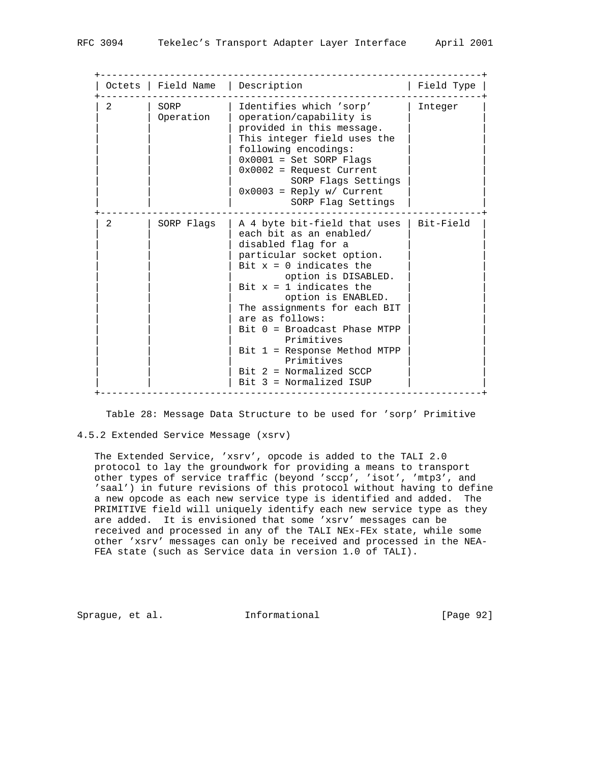|                | Octets   Field Name   Description |                                                                                                                                                                                                                                                                                                                                                                                                                                           | Field Type |
|----------------|-----------------------------------|-------------------------------------------------------------------------------------------------------------------------------------------------------------------------------------------------------------------------------------------------------------------------------------------------------------------------------------------------------------------------------------------------------------------------------------------|------------|
| $\mathcal{L}$  | SORP<br>Operation                 | Identifies which 'sorp'<br>operation/capability is<br>provided in this message.<br>This integer field uses the<br>following encodings:<br>$0x0001 = Set SORP Flaqs$<br>$0x0002$ = Request Current<br>SORP Flags Settings<br>$0x0003$ = Reply w/ Current<br>SORP Flag Settings                                                                                                                                                             | Integer    |
| $\mathfrak{D}$ | SORP Flags                        | A 4 byte bit-field that uses   Bit-Field<br>each bit as an enabled/<br>disabled flag for a<br>particular socket option.<br>Bit $x = 0$ indicates the<br>option is DISABLED.<br>Bit $x = 1$ indicates the<br>option is ENABLED.<br>The assignments for each BIT<br>are as follows:<br>$Bit 0 = Broadcast Phase MTPP$<br>Primitives<br>$Bit 1 = Response Method MTPP$<br>Primitives<br>$Bit 2 = Normalized SCCP$<br>Bit 3 = Normalized ISUP |            |

Table 28: Message Data Structure to be used for 'sorp' Primitive

#### 4.5.2 Extended Service Message (xsrv)

 The Extended Service, 'xsrv', opcode is added to the TALI 2.0 protocol to lay the groundwork for providing a means to transport other types of service traffic (beyond 'sccp', 'isot', 'mtp3', and 'saal') in future revisions of this protocol without having to define a new opcode as each new service type is identified and added. The PRIMITIVE field will uniquely identify each new service type as they are added. It is envisioned that some 'xsrv' messages can be received and processed in any of the TALI NEx-FEx state, while some other 'xsrv' messages can only be received and processed in the NEA- FEA state (such as Service data in version 1.0 of TALI).

Sprague, et al. **Informational** [Page 92]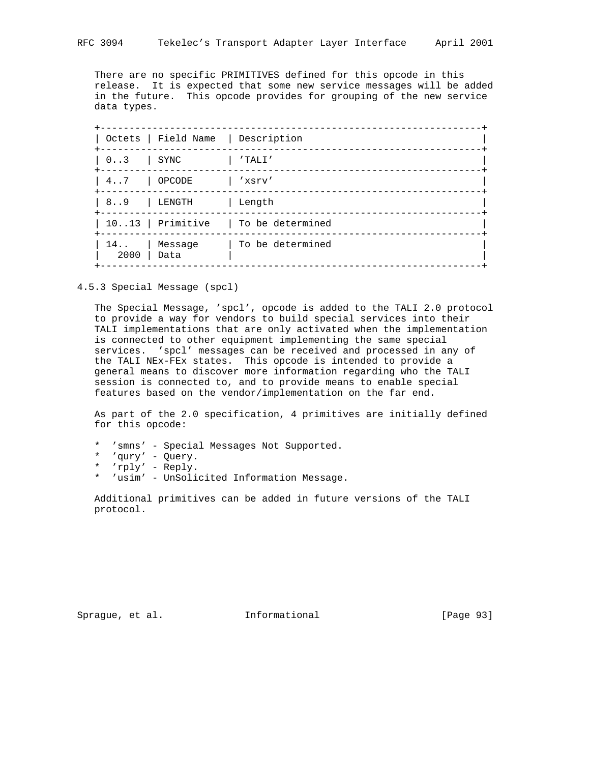There are no specific PRIMITIVES defined for this opcode in this release. It is expected that some new service messages will be added in the future. This opcode provides for grouping of the new service data types.

|              | Octets   Field Name   Description |                  |
|--------------|-----------------------------------|------------------|
| $0 \ldots 3$ | SYNC                              | $'$ TALI $'$     |
| $4 \ldots 7$ | OPCODE                            | 'xsrv'           |
| 89           | LENGTH                            | Length           |
|              | $1013$   Primitive                | To be determined |
| 14<br>2000   | Message<br>Data                   | To be determined |
|              |                                   |                  |

4.5.3 Special Message (spcl)

 The Special Message, 'spcl', opcode is added to the TALI 2.0 protocol to provide a way for vendors to build special services into their TALI implementations that are only activated when the implementation is connected to other equipment implementing the same special services. 'spcl' messages can be received and processed in any of the TALI NEx-FEx states. This opcode is intended to provide a general means to discover more information regarding who the TALI session is connected to, and to provide means to enable special features based on the vendor/implementation on the far end.

 As part of the 2.0 specification, 4 primitives are initially defined for this opcode:

- \* 'smns' Special Messages Not Supported.
- \* 'qury' Query.
- \* 'rply' Reply.
- \* 'usim' UnSolicited Information Message.

 Additional primitives can be added in future versions of the TALI protocol.

Sprague, et al. **Informational** [Page 93]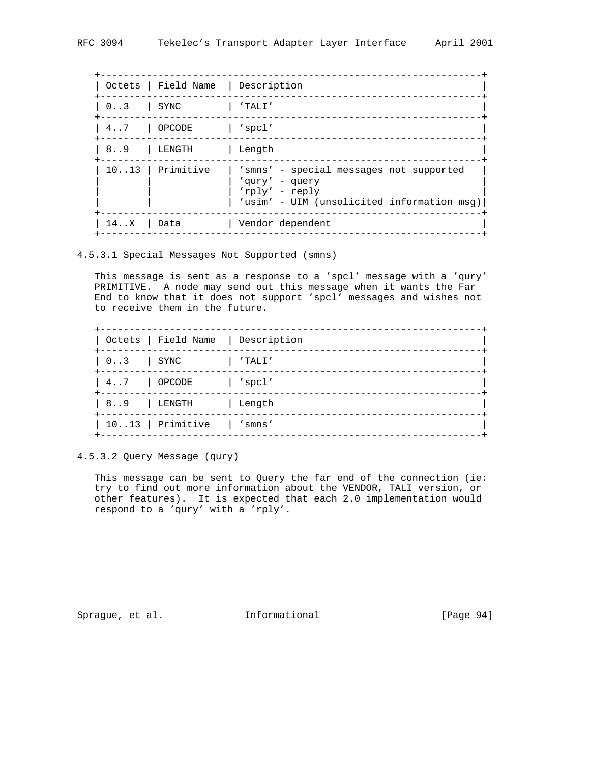|              | Octets   Field Name   Description |                                                                                                                           |
|--------------|-----------------------------------|---------------------------------------------------------------------------------------------------------------------------|
| $0 \ldots 3$ | SYNC                              | $'$ TALI $'$                                                                                                              |
| 47           | OPCODE                            | spcl'                                                                                                                     |
| 89           | LENGTH                            | Length                                                                                                                    |
|              | $1013$   Primitive                | 'smns' - special messages not supported<br>'qury' - query<br>'rply' - reply<br>'usim' - UIM (unsolicited information msg) |
| 14X          | Data                              | Vendor dependent                                                                                                          |

4.5.3.1 Special Messages Not Supported (smns)

 This message is sent as a response to a 'spcl' message with a 'qury' PRIMITIVE. A node may send out this message when it wants the Far End to know that it does not support 'spcl' messages and wishes not to receive them in the future.

|                       | Octets   Field Name   Description |        |
|-----------------------|-----------------------------------|--------|
| $03$ SYNC             |                                   | 'TALI' |
| $4 \ldots 7$   OPCODE |                                   | spcl'  |
| 89   LENGTH           |                                   | Length |
|                       | 1013   Primitive   'smns'         |        |

4.5.3.2 Query Message (qury)

 This message can be sent to Query the far end of the connection (ie: try to find out more information about the VENDOR, TALI version, or other features). It is expected that each 2.0 implementation would respond to a 'qury' with a 'rply'.

Sprague, et al. 1nformational [Page 94]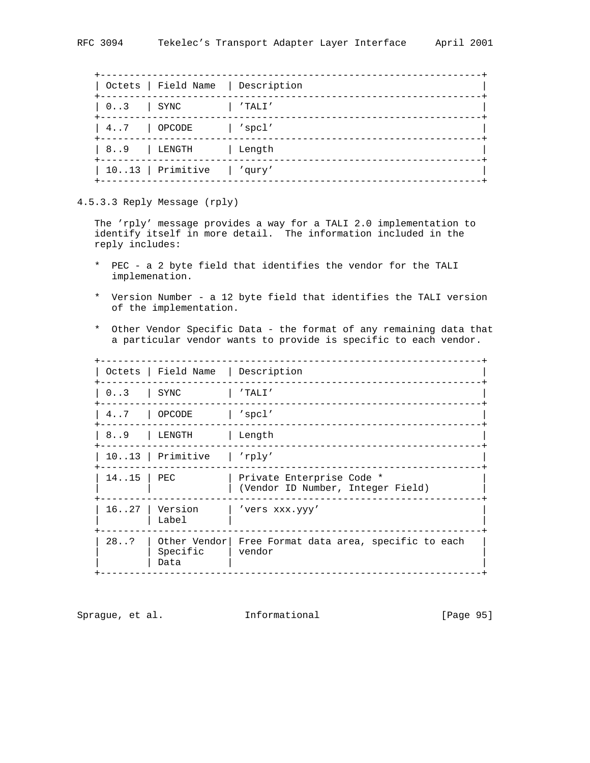|                       | Octets   Field Name   Description |                |
|-----------------------|-----------------------------------|----------------|
| $0.3$ SYNC            |                                   | 'TALI'         |
| $4 \ldots 7$   OPCODE |                                   | $\vert$ 'spcl' |
| 89   LENGTH           |                                   | Length         |
|                       | 1013 Primitive   'qury'           |                |
|                       |                                   |                |

4.5.3.3 Reply Message (rply)

 The 'rply' message provides a way for a TALI 2.0 implementation to identify itself in more detail. The information included in the reply includes:

- \* PEC a 2 byte field that identifies the vendor for the TALI implemenation.
- \* Version Number a 12 byte field that identifies the TALI version of the implementation.
- \* Other Vendor Specific Data the format of any remaining data that a particular vendor wants to provide is specific to each vendor.

+------------------------------------------------------------------+

|                    | Octets   Field Name   Description |                                                                |
|--------------------|-----------------------------------|----------------------------------------------------------------|
| $0.3$ SYNC         |                                   | $\vert$ 'TALI'                                                 |
|                    | 47   OPCODE   'spcl'              |                                                                |
|                    | 89   LENGTH   Length              |                                                                |
|                    | $1013$ Primitive   'rply'         |                                                                |
| $14 \ldots 15$ PEC |                                   | Private Enterprise Code *<br>(Vendor ID Number, Integer Field) |
| 16.027             | Version<br>Label                  | 'vers xxx.yyy'                                                 |
| 28.7               | Specific<br>Data                  | Other Vendor Free Format data area, specific to each<br>vendor |

Sprague, et al. 1nformational [Page 95]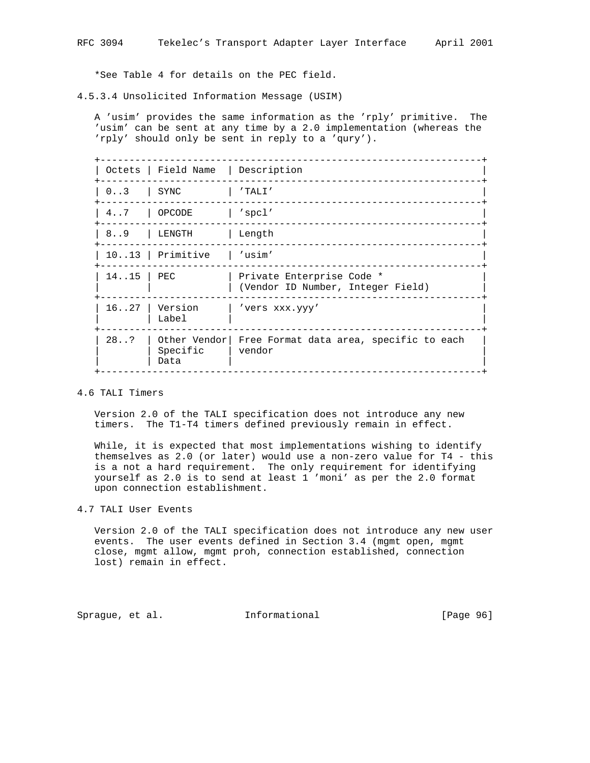\*See Table 4 for details on the PEC field.

4.5.3.4 Unsolicited Information Message (USIM)

 A 'usim' provides the same information as the 'rply' primitive. The 'usim' can be sent at any time by a 2.0 implementation (whereas the 'rply' should only be sent in reply to a 'qury').

|                    | Octets   Field Name   Description |                                                                |
|--------------------|-----------------------------------|----------------------------------------------------------------|
| $0.3$   SYNC       |                                   | l 'TALI'                                                       |
|                    | 47 OPCODE                         | $\vert$ 'spcl'                                                 |
|                    | 89   LENGTH   Length              |                                                                |
|                    | 1013   Primitive   'usim'         |                                                                |
| $14 \ldots 15$ PEC |                                   | Private Enterprise Code *<br>(Vendor ID Number, Integer Field) |
| 16.027             | Version<br>Label                  | 'vers xxx.yyy'                                                 |
| 28.3               | Specific<br>Data                  | Other Vendor Free Format data area, specific to each<br>vendor |

# 4.6 TALI Timers

 Version 2.0 of the TALI specification does not introduce any new timers. The T1-T4 timers defined previously remain in effect.

 While, it is expected that most implementations wishing to identify themselves as 2.0 (or later) would use a non-zero value for T4 - this is a not a hard requirement. The only requirement for identifying yourself as 2.0 is to send at least 1 'moni' as per the 2.0 format upon connection establishment.

## 4.7 TALI User Events

 Version 2.0 of the TALI specification does not introduce any new user events. The user events defined in Section 3.4 (mgmt open, mgmt close, mgmt allow, mgmt proh, connection established, connection lost) remain in effect.

Sprague, et al. 1nformational [Page 96]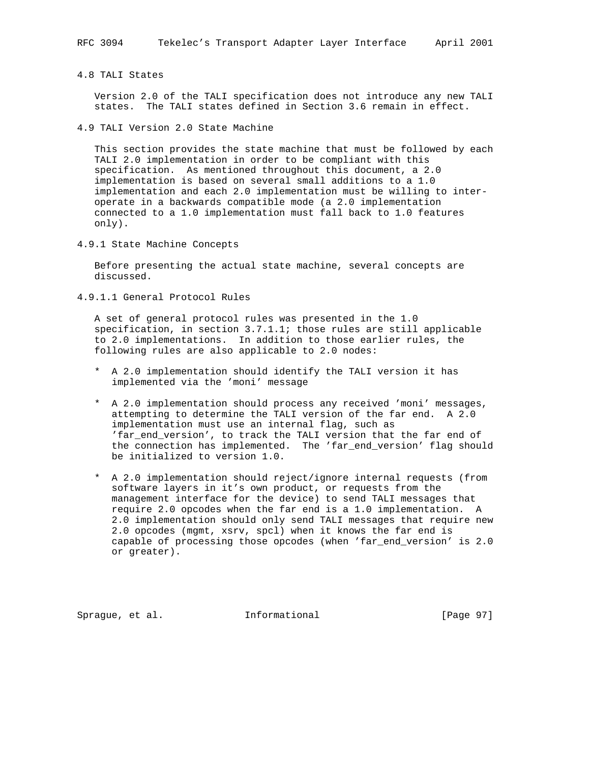## 4.8 TALI States

 Version 2.0 of the TALI specification does not introduce any new TALI states. The TALI states defined in Section 3.6 remain in effect.

4.9 TALI Version 2.0 State Machine

 This section provides the state machine that must be followed by each TALI 2.0 implementation in order to be compliant with this specification. As mentioned throughout this document, a 2.0 implementation is based on several small additions to a 1.0 implementation and each 2.0 implementation must be willing to inter operate in a backwards compatible mode (a 2.0 implementation connected to a 1.0 implementation must fall back to 1.0 features only).

4.9.1 State Machine Concepts

 Before presenting the actual state machine, several concepts are discussed.

4.9.1.1 General Protocol Rules

 A set of general protocol rules was presented in the 1.0 specification, in section 3.7.1.1; those rules are still applicable to 2.0 implementations. In addition to those earlier rules, the following rules are also applicable to 2.0 nodes:

- \* A 2.0 implementation should identify the TALI version it has implemented via the 'moni' message
- \* A 2.0 implementation should process any received 'moni' messages, attempting to determine the TALI version of the far end. A 2.0 implementation must use an internal flag, such as 'far\_end\_version', to track the TALI version that the far end of the connection has implemented. The 'far\_end\_version' flag should be initialized to version 1.0.
- \* A 2.0 implementation should reject/ignore internal requests (from software layers in it's own product, or requests from the management interface for the device) to send TALI messages that require 2.0 opcodes when the far end is a 1.0 implementation. A 2.0 implementation should only send TALI messages that require new 2.0 opcodes (mgmt, xsrv, spcl) when it knows the far end is capable of processing those opcodes (when 'far\_end\_version' is 2.0 or greater).

Sprague, et al. **Informational** [Page 97]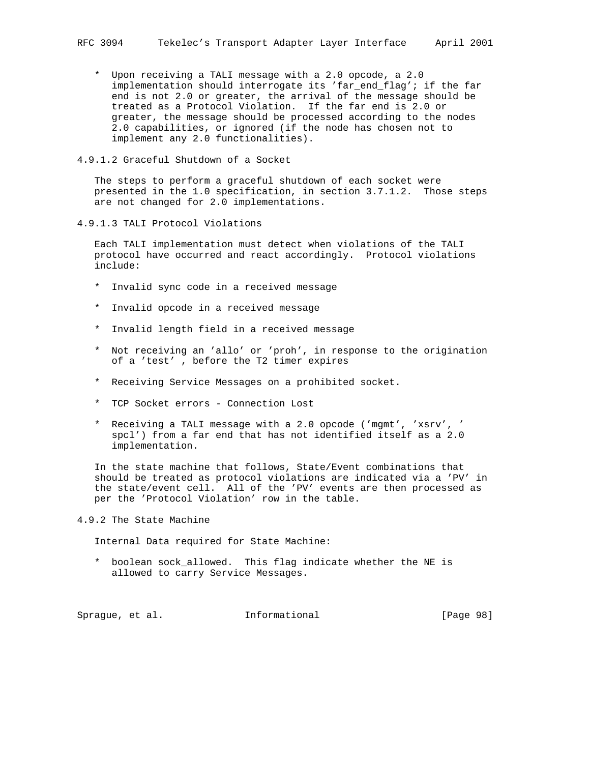- \* Upon receiving a TALI message with a 2.0 opcode, a 2.0 implementation should interrogate its 'far\_end\_flag'; if the far end is not 2.0 or greater, the arrival of the message should be treated as a Protocol Violation. If the far end is 2.0 or greater, the message should be processed according to the nodes 2.0 capabilities, or ignored (if the node has chosen not to implement any 2.0 functionalities).
- 4.9.1.2 Graceful Shutdown of a Socket

 The steps to perform a graceful shutdown of each socket were presented in the 1.0 specification, in section 3.7.1.2. Those steps are not changed for 2.0 implementations.

4.9.1.3 TALI Protocol Violations

 Each TALI implementation must detect when violations of the TALI protocol have occurred and react accordingly. Protocol violations include:

- \* Invalid sync code in a received message
- \* Invalid opcode in a received message
- \* Invalid length field in a received message
- \* Not receiving an 'allo' or 'proh', in response to the origination of a 'test' , before the T2 timer expires
- \* Receiving Service Messages on a prohibited socket.
- \* TCP Socket errors Connection Lost
- \* Receiving a TALI message with a 2.0 opcode ('mgmt', 'xsrv', ' spcl') from a far end that has not identified itself as a 2.0 implementation.

 In the state machine that follows, State/Event combinations that should be treated as protocol violations are indicated via a 'PV' in the state/event cell. All of the 'PV' events are then processed as per the 'Protocol Violation' row in the table.

4.9.2 The State Machine

Internal Data required for State Machine:

 \* boolean sock\_allowed. This flag indicate whether the NE is allowed to carry Service Messages.

Sprague, et al. 1nformational [Page 98]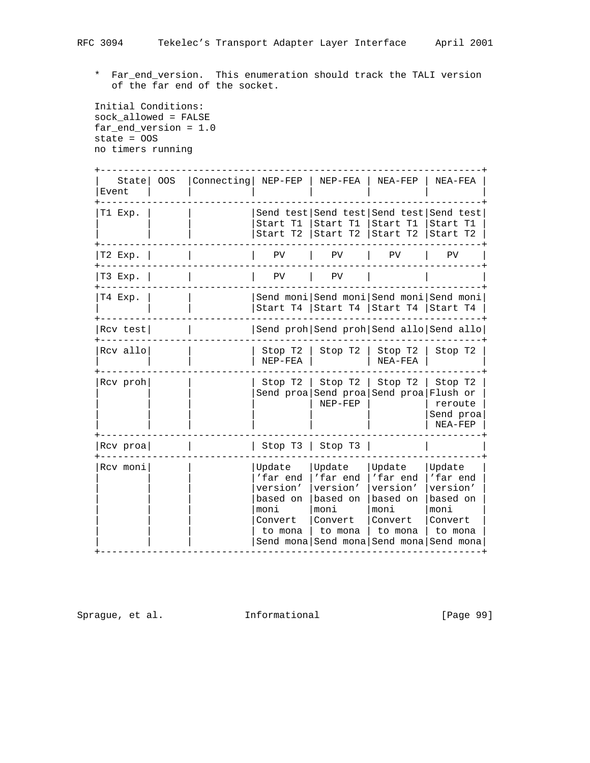\* Far\_end\_version. This enumeration should track the TALI version of the far end of the socket.

 Initial Conditions: sock\_allowed = FALSE far\_end\_version = 1.0 state = OOS no timers running

| State<br>Event | OOS. | Connecting NEP-FEP |                                                                          | NEP-FEA                                                                                                                | NEA-FEP                                                                   | NEA-FEA                                                                  |
|----------------|------|--------------------|--------------------------------------------------------------------------|------------------------------------------------------------------------------------------------------------------------|---------------------------------------------------------------------------|--------------------------------------------------------------------------|
| T1 Exp.        |      |                    |                                                                          | Send test Send test Send test Send test<br>Start T1   Start T1   Start T1   Start T1<br>Start T2   Start T2   Start T2 |                                                                           | Start T2                                                                 |
| T2 Exp.        |      |                    | PV                                                                       | PV                                                                                                                     | PV                                                                        | PV                                                                       |
| T3 Exp.        |      |                    | PV                                                                       | PV                                                                                                                     |                                                                           |                                                                          |
| T4 Exp.        |      |                    |                                                                          | Send moni Send moni Send moni Send moni<br>Start T4   Start T4   Start T4   Start T4                                   |                                                                           |                                                                          |
| Rcv test       |      |                    | Send proh Send proh Send allo Send allo                                  |                                                                                                                        |                                                                           |                                                                          |
| Rcv allo       |      |                    | Stop T2<br>$NEP-FEA$                                                     | Stop T2                                                                                                                | Stop T2<br>NEA-FEA                                                        | Stop T2                                                                  |
| Rcv proh       |      |                    | Stop T2                                                                  | Stop T2<br>Send proa Send proa Send proa Flush or<br>NEP-FEP                                                           | Stop T2                                                                   | Stop T2<br>reroute<br>Send proa<br>NEA-FEP                               |
| Rcv proa       |      |                    |                                                                          | Stop $T3$   Stop $T3$                                                                                                  |                                                                           |                                                                          |
| Rcv moni       |      |                    | Update<br>'far end<br>version'<br>based on<br>moni<br>Convert<br>to mona | Update<br>'far end<br>version'<br>based on<br>moni<br>Convert<br>to mona<br>Send mona Send mona Send mona Send mona    | Update<br>'far end<br>version'<br>based on<br>moni<br> Convert<br>to mona | Update<br>'far end<br>version'<br>based on<br>moni<br>Convert<br>to mona |

Sprague, et al. 1nformational [Page 99]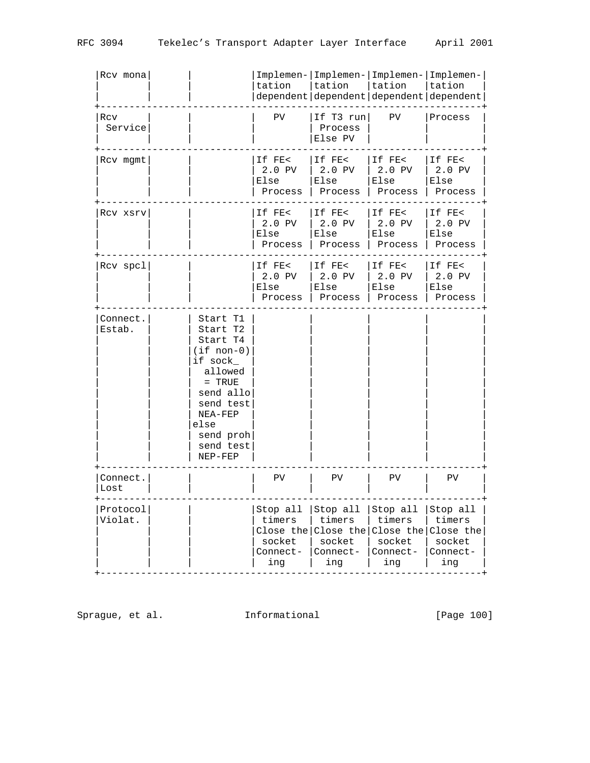| Rcv mona            |                                                                                                                                                                            | tation                                                       | Implemen- Implemen- Implemen- Implemen-<br>tation<br>dependent dependent dependent dependent | tation                                                       | tation                                                       |
|---------------------|----------------------------------------------------------------------------------------------------------------------------------------------------------------------------|--------------------------------------------------------------|----------------------------------------------------------------------------------------------|--------------------------------------------------------------|--------------------------------------------------------------|
| Rcv<br>Service      |                                                                                                                                                                            | PV                                                           | If T3 $run$<br>Process<br>Else PV                                                            | PV                                                           | Process                                                      |
| Rcv mgmt            |                                                                                                                                                                            | If FE<<br>2.0 PV<br>Else<br>Process                          | If FE<<br>2.0 PV<br>Else<br>Process                                                          | If FE<<br>2.0 PV<br>Else<br>Process                          | If FE<<br>2.0 PV<br>Else<br>Process                          |
| Rcv xsrv            |                                                                                                                                                                            | If FE<<br>2.0 PV<br>Else<br>Process                          | If FE<<br>2.0 PV<br>Else<br>Process                                                          | If FE<<br>2.0 PV<br>Else<br>Process                          | If FE<<br>2.0 PV<br>Else<br>Process                          |
| Rcv spcl            |                                                                                                                                                                            | If FE<<br>2.0 PV<br>Else<br>Process                          | If FE<<br>2.0 PV<br>Else<br>Process                                                          | If FE<<br>2.0 PV<br>Else<br>Process                          | If FE<<br>2.0 PV<br>Else<br>Process                          |
| Connect.<br>Estab.  | Start T1<br>Start T2<br>Start T4<br>$(i f non-0)$<br>if sock_<br>allowed<br>$=$ TRUE<br>send allo<br>send test<br>NEA-FEP<br>else<br>send proh<br>send test<br>$NEP - FEP$ |                                                              |                                                                                              |                                                              |                                                              |
| Connect.<br>Lost    |                                                                                                                                                                            | PV                                                           | PV.                                                                                          | PV.                                                          | PV.                                                          |
| Protocol<br>Violat. |                                                                                                                                                                            | Stop all<br>timers<br>Close the<br>socket<br>Connect-<br>ing | Stop all<br>timers<br>Close the<br>socket<br>Connect-<br>ing                                 | Stop all<br>timers<br>Close the<br>socket<br>Connect-<br>ing | Stop all<br>timers<br>Close the<br>socket<br>Connect-<br>ing |

Sprague, et al. 1nformational 1999 [Page 100]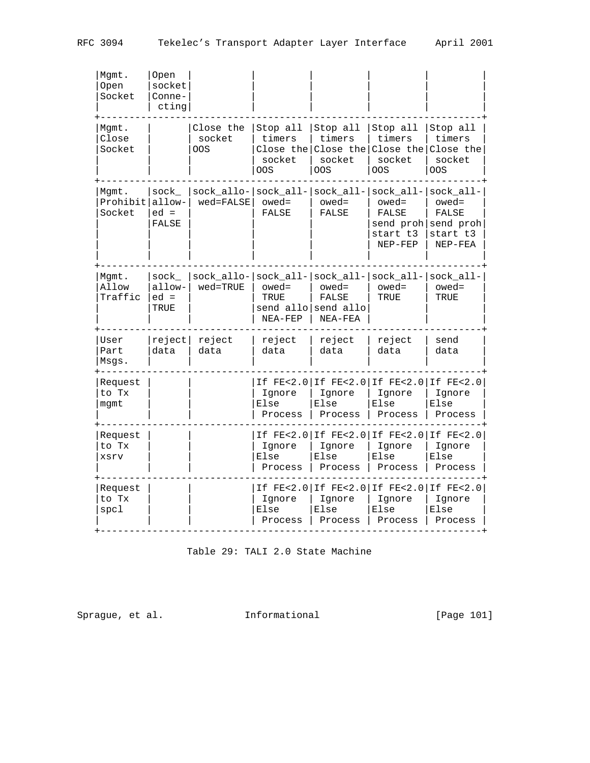| Mqmt.<br>Open<br>Socket            | Open<br>socket<br>Conne-<br>cting |                                                |                                              |                                                     |                                                                                            |                                              |
|------------------------------------|-----------------------------------|------------------------------------------------|----------------------------------------------|-----------------------------------------------------|--------------------------------------------------------------------------------------------|----------------------------------------------|
| Mgmt.<br>Close<br>Socket           |                                   | Close the<br>socket<br>OOS                     | Stop all<br>timers<br>socket<br>00S          | Stop all<br>timers<br>socket<br><b>OOS</b>          | Stop all<br>timers<br>Close the Close the Close the Close the<br>socket<br><b>OOS</b>      | Stop all<br>timers<br>socket<br><b>OOS</b>   |
| Mgmt.<br>Prohibit allow-<br>Socket | sock_<br>$ed =$<br>FALSE          | $sock_allo- sock_all- sock_all- $<br>wed=FALSE | $oved =$<br>FALSE                            | $oved =$<br><b>FALSE</b>                            | $sock\_all- sock\_all-$<br>$oved =$<br>FALSE<br>send proh send proh<br>start t3<br>NEP-FEP | $oved =$<br>FALSE<br>start t3<br>$NEP - FEA$ |
| Mgmt.<br>Allow<br>Traffic          | sock<br>allow-<br>$ed =$<br>TRUE  | $sock_allo- sock_all- sock_all- $<br>wed=TRUE  | $oved =$<br>TRUE<br>NEA-FEP                  | $oved =$<br>FALSE<br>send allo send allo<br>NEA-FEA | $sock_all-$<br>$oved =$<br>TRUE                                                            | sock_all-<br>$oved =$<br>TRUE                |
| User<br>Part<br>Msqs.              | reject<br>data                    | reject<br>data                                 | reject<br>data                               | reject<br>data                                      | reject<br>data                                                                             | send<br>data                                 |
| Request<br>to Tx<br>mgmt           |                                   |                                                | Ignore<br>Else<br>Process                    | Ignore<br>Else<br>Process                           | If FE<2.0   If FE<2.0   If FE<2.0   If FE<2.0<br>Ignore<br>Else<br>Process                 | Ignore<br>Else<br>Process                    |
| Request<br>to Tx<br>xsrv           |                                   |                                                | Ignore<br>Else<br>Process                    | Ignore<br>Else<br>Process                           | If FE<2.0 If FE<2.0 If FE<2.0 If FE<2.0<br>Ignore<br>Else<br>Process                       | Ignore<br>Else<br>Process                    |
| Request<br>to Tx<br>spcl           |                                   |                                                | $IF$ $FE < 2.0$<br>Ignore<br>Else<br>Process | If FE<2.0<br>Ignore<br>Else<br>Process              | $IF$ $FE < 2.0$<br>Ignore<br>Else<br>Process                                               | If FE<2.0<br>Ignore<br>Else<br>Process       |

Table 29: TALI 2.0 State Machine

Sprague, et al. 1nformational [Page 101]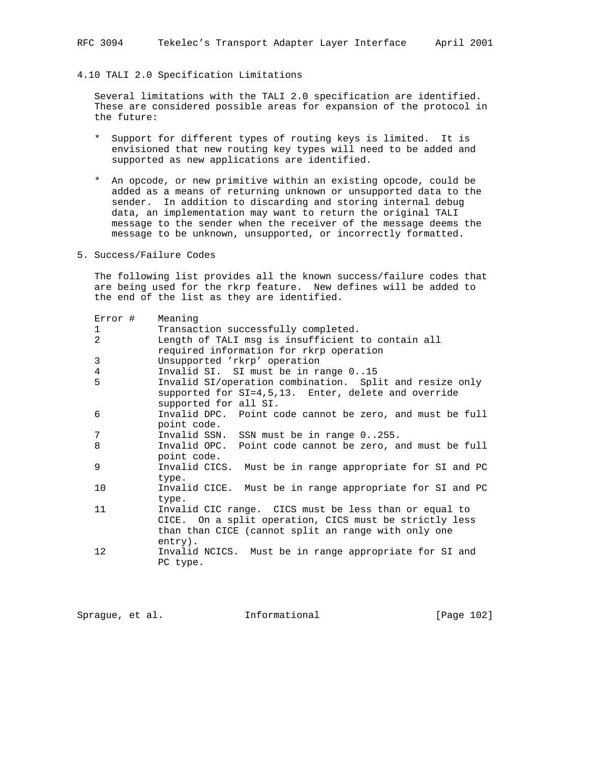## 4.10 TALI 2.0 Specification Limitations

 Several limitations with the TALI 2.0 specification are identified. These are considered possible areas for expansion of the protocol in the future:

- \* Support for different types of routing keys is limited. It is envisioned that new routing key types will need to be added and supported as new applications are identified.
- \* An opcode, or new primitive within an existing opcode, could be added as a means of returning unknown or unsupported data to the sender. In addition to discarding and storing internal debug data, an implementation may want to return the original TALI message to the sender when the receiver of the message deems the message to be unknown, unsupported, or incorrectly formatted.
- 5. Success/Failure Codes

 The following list provides all the known success/failure codes that are being used for the rkrp feature. New defines will be added to the end of the list as they are identified.

| Error #        | Meaning                                                                                                                                                                           |  |  |  |  |
|----------------|-----------------------------------------------------------------------------------------------------------------------------------------------------------------------------------|--|--|--|--|
| 1              | Transaction successfully completed.                                                                                                                                               |  |  |  |  |
| $\overline{a}$ | Length of TALI msg is insufficient to contain all                                                                                                                                 |  |  |  |  |
|                | required information for rkrp operation                                                                                                                                           |  |  |  |  |
| 3              | Unsupported 'rkrp' operation                                                                                                                                                      |  |  |  |  |
| 4              | Invalid SI. SI must be in range 015                                                                                                                                               |  |  |  |  |
| 5              | Invalid SI/operation combination. Split and resize only<br>supported for SI=4,5,13. Enter, delete and override                                                                    |  |  |  |  |
|                | supported for all SI.                                                                                                                                                             |  |  |  |  |
| 6              | Invalid DPC. Point code cannot be zero, and must be full<br>point code.                                                                                                           |  |  |  |  |
| 7              | Invalid SSN. SSN must be in range 0255.                                                                                                                                           |  |  |  |  |
| 8              | Invalid OPC. Point code cannot be zero, and must be full<br>point code.                                                                                                           |  |  |  |  |
| 9              | Invalid CICS. Must be in range appropriate for SI and PC<br>type.                                                                                                                 |  |  |  |  |
| 10             | Invalid CICE. Must be in range appropriate for SI and PC<br>type.                                                                                                                 |  |  |  |  |
| 11             | Invalid CIC range. CICS must be less than or equal to<br>CICE. On a split operation, CICS must be strictly less<br>than than CICE (cannot split an range with only one<br>entry). |  |  |  |  |
| 12             | Invalid NCICS. Must be in range appropriate for SI and<br>PC type.                                                                                                                |  |  |  |  |

Sprague, et al. **Informational** [Page 102]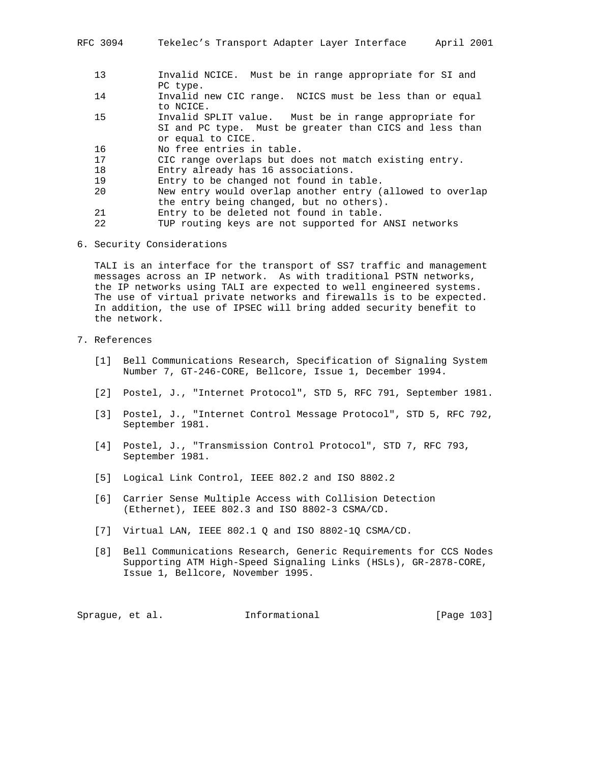- 13 Invalid NCICE. Must be in range appropriate for SI and PC type.
- 14 Invalid new CIC range. NCICS must be less than or equal to NCICE.
- 15 Invalid SPLIT value. Must be in range appropriate for SI and PC type. Must be greater than CICS and less than or equal to CICE.
- 16 No free entries in table.
- 17 CIC range overlaps but does not match existing entry.
- 18 Entry already has 16 associations.
- 19 Entry to be changed not found in table.
- 20 New entry would overlap another entry (allowed to overlap the entry being changed, but no others).
- 21 Entry to be deleted not found in table.
- 22 TUP routing keys are not supported for ANSI networks
- 6. Security Considerations

 TALI is an interface for the transport of SS7 traffic and management messages across an IP network. As with traditional PSTN networks, the IP networks using TALI are expected to well engineered systems. The use of virtual private networks and firewalls is to be expected. In addition, the use of IPSEC will bring added security benefit to the network.

- 7. References
	- [1] Bell Communications Research, Specification of Signaling System Number 7, GT-246-CORE, Bellcore, Issue 1, December 1994.
	- [2] Postel, J., "Internet Protocol", STD 5, RFC 791, September 1981.
	- [3] Postel, J., "Internet Control Message Protocol", STD 5, RFC 792, September 1981.
	- [4] Postel, J., "Transmission Control Protocol", STD 7, RFC 793, September 1981.
	- [5] Logical Link Control, IEEE 802.2 and ISO 8802.2
	- [6] Carrier Sense Multiple Access with Collision Detection (Ethernet), IEEE 802.3 and ISO 8802-3 CSMA/CD.
	- [7] Virtual LAN, IEEE 802.1 Q and ISO 8802-1Q CSMA/CD.
	- [8] Bell Communications Research, Generic Requirements for CCS Nodes Supporting ATM High-Speed Signaling Links (HSLs), GR-2878-CORE, Issue 1, Bellcore, November 1995.

Sprague, et al. **Informational** [Page 103]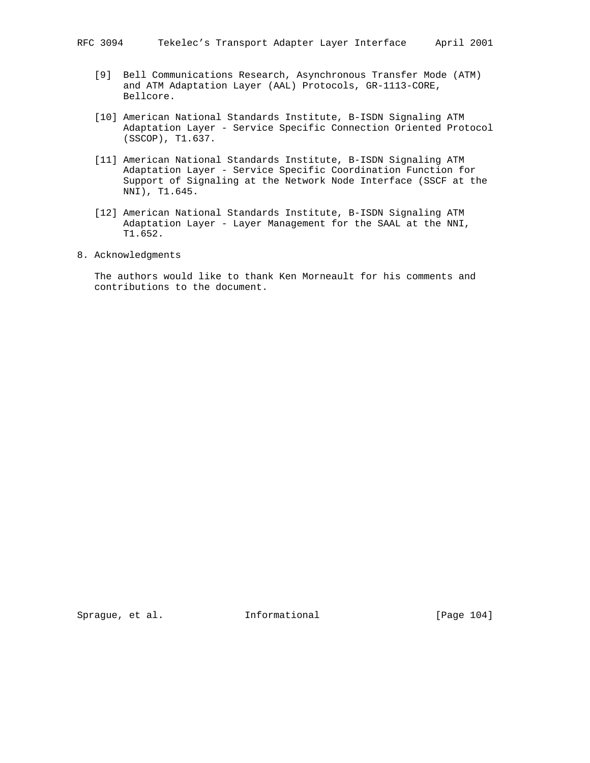RFC 3094 Tekelec's Transport Adapter Layer Interface April 2001

- [9] Bell Communications Research, Asynchronous Transfer Mode (ATM) and ATM Adaptation Layer (AAL) Protocols, GR-1113-CORE, Bellcore.
- [10] American National Standards Institute, B-ISDN Signaling ATM Adaptation Layer - Service Specific Connection Oriented Protocol (SSCOP), T1.637.
- [11] American National Standards Institute, B-ISDN Signaling ATM Adaptation Layer - Service Specific Coordination Function for Support of Signaling at the Network Node Interface (SSCF at the NNI), T1.645.
- [12] American National Standards Institute, B-ISDN Signaling ATM Adaptation Layer - Layer Management for the SAAL at the NNI, T1.652.
- 8. Acknowledgments

 The authors would like to thank Ken Morneault for his comments and contributions to the document.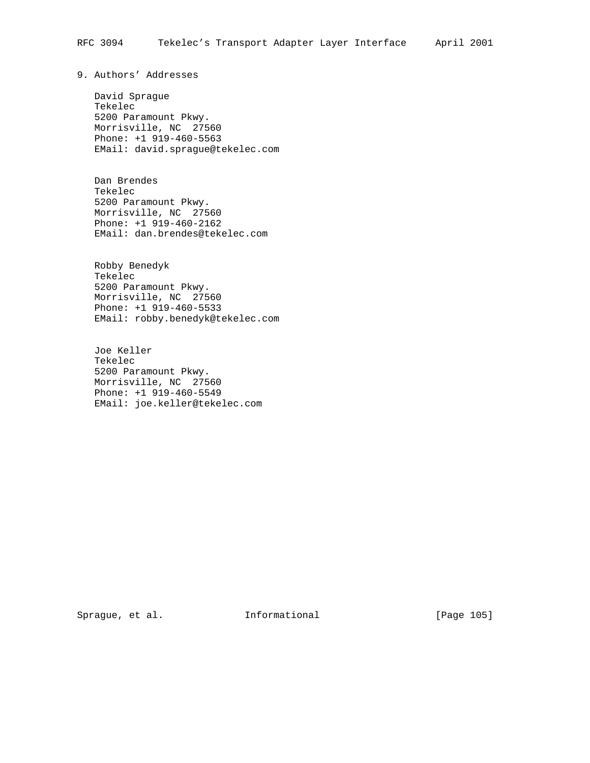9. Authors' Addresses

 David Sprague Tekelec 5200 Paramount Pkwy. Morrisville, NC 27560 Phone: +1 919-460-5563 EMail: david.sprague@tekelec.com

 Dan Brendes Tekelec 5200 Paramount Pkwy. Morrisville, NC 27560 Phone: +1 919-460-2162 EMail: dan.brendes@tekelec.com

 Robby Benedyk Tekelec 5200 Paramount Pkwy. Morrisville, NC 27560 Phone: +1 919-460-5533 EMail: robby.benedyk@tekelec.com

 Joe Keller Tekelec 5200 Paramount Pkwy. Morrisville, NC 27560 Phone: +1 919-460-5549 EMail: joe.keller@tekelec.com

Sprague, et al. 1nformational 1999 [Page 105]